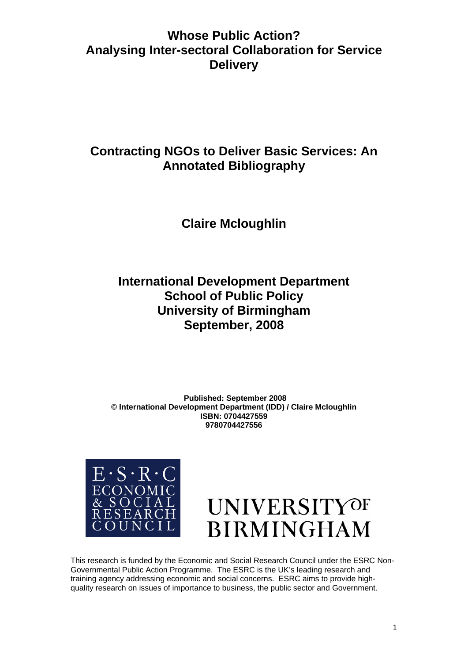# **Whose Public Action? Analysing Inter-sectoral Collaboration for Service Delivery**

# **Contracting NGOs to Deliver Basic Services: An Annotated Bibliography**

# **Claire Mcloughlin**

# **International Development Department School of Public Policy University of Birmingham September, 2008**

**Published: September 2008 © International Development Department (IDD) / Claire Mcloughlin ISBN: 070442755 9 9780704427556**





This research is funded by the Economic and Social Research Council under the ESRC Non-Governmental Public Action Programme. The ESRC is the UK's leading research and training agency addressing economic and social concerns. ESRC aims to provide highquality research on issues of importance to business, the public sector and Government.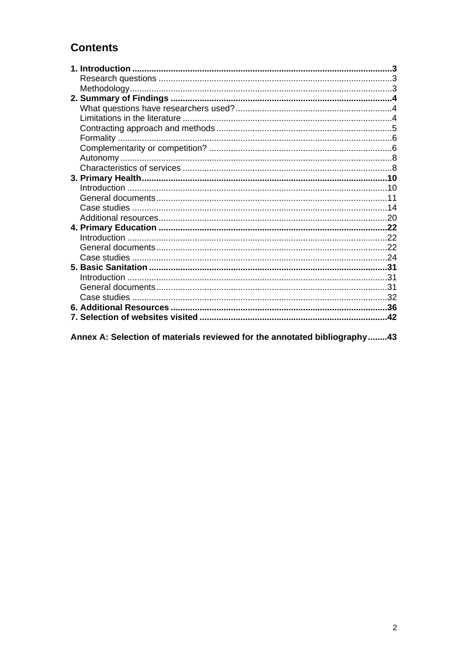## **Contents**

| .42 |
|-----|
|     |

Annex A: Selection of materials reviewed for the annotated bibliography........43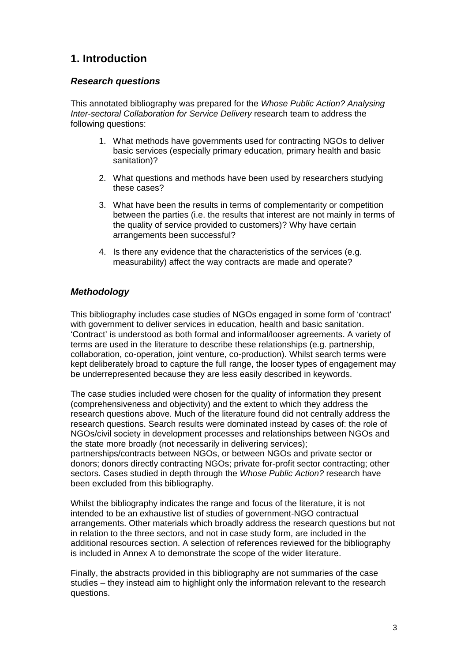## <span id="page-2-0"></span>**1. Introduction**

## <span id="page-2-1"></span>*Research questions*

This annotated bibliography was prepared for the *Whose Public Action? Analysing Inter-sectoral Collaboration for Service Delivery* research team to address the following questions:

- 1. What methods have governments used for contracting NGOs to deliver basic services (especially primary education, primary health and basic sanitation)?
- 2. What questions and methods have been used by researchers studying these cases?
- 3. What have been the results in terms of complementarity or competition between the parties (i.e. the results that interest are not mainly in terms of the quality of service provided to customers)? Why have certain arrangements been successful?
- 4. Is there any evidence that the characteristics of the services (e.g. measurability) affect the way contracts are made and operate?

## <span id="page-2-2"></span>*Methodology*

This bibliography includes case studies of NGOs engaged in some form of 'contract' with government to deliver services in education, health and basic sanitation. 'Contract' is understood as both formal and informal/looser agreements. A variety of terms are used in the literature to describe these relationships (e.g. partnership, collaboration, co-operation, joint venture, co-production). Whilst search terms were kept deliberately broad to capture the full range, the looser types of engagement may be underrepresented because they are less easily described in keywords.

The case studies included were chosen for the quality of information they present (comprehensiveness and objectivity) and the extent to which they address the research questions above. Much of the literature found did not centrally address the research questions. Search results were dominated instead by cases of: the role of NGOs/civil society in development processes and relationships between NGOs and the state more broadly (not necessarily in delivering services); partnerships/contracts between NGOs, or between NGOs and private sector or donors; donors directly contracting NGOs; private for-profit sector contracting; other sectors. Cases studied in depth through the *Whose Public Action?* research have been excluded from this bibliography.

Whilst the bibliography indicates the range and focus of the literature, it is not intended to be an exhaustive list of studies of government-NGO contractual arrangements. Other materials which broadly address the research questions but not in relation to the three sectors, and not in case study form, are included in the additional resources section. A selection of references reviewed for the bibliography is included in Annex A to demonstrate the scope of the wider literature.

Finally, the abstracts provided in this bibliography are not summaries of the case studies – they instead aim to highlight only the information relevant to the research questions.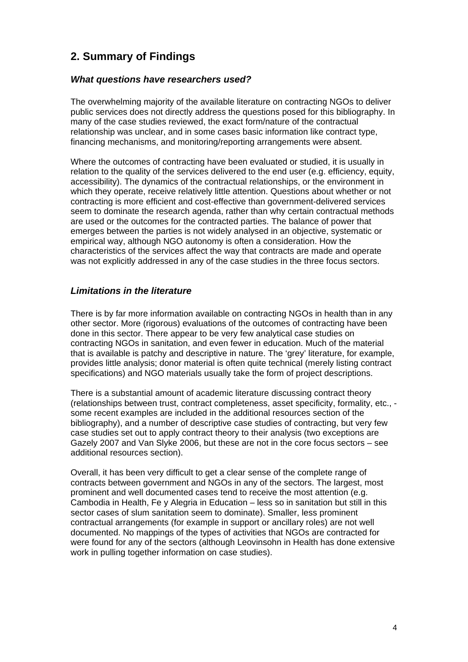## <span id="page-3-0"></span>**2. Summary of Findings**

## *What questions have researchers used?*

<span id="page-3-1"></span>The overwhelming majority of the available literature on contracting NGOs to deliver public services does not directly address the questions posed for this bibliography. In many of the case studies reviewed, the exact form/nature of the contractual relationship was unclear, and in some cases basic information like contract type, financing mechanisms, and monitoring/reporting arrangements were absent.

Where the outcomes of contracting have been evaluated or studied, it is usually in relation to the quality of the services delivered to the end user (e.g. efficiency, equity, accessibility). The dynamics of the contractual relationships, or the environment in which they operate, receive relatively little attention. Questions about whether or not contracting is more efficient and cost-effective than government-delivered services seem to dominate the research agenda, rather than why certain contractual methods are used or the outcomes for the contracted parties. The balance of power that emerges between the parties is not widely analysed in an objective, systematic or empirical way, although NGO autonomy is often a consideration. How the characteristics of the services affect the way that contracts are made and operate was not explicitly addressed in any of the case studies in the three focus sectors.

### <span id="page-3-2"></span>*Limitations in the literature*

There is by far more information available on contracting NGOs in health than in any other sector. More (rigorous) evaluations of the outcomes of contracting have been done in this sector. There appear to be very few analytical case studies on contracting NGOs in sanitation, and even fewer in education. Much of the material that is available is patchy and descriptive in nature. The 'grey' literature, for example, provides little analysis; donor material is often quite technical (merely listing contract specifications) and NGO materials usually take the form of project descriptions.

There is a substantial amount of academic literature discussing contract theory (relationships between trust, contract completeness, asset specificity, formality, etc., some recent examples are included in the additional resources section of the bibliography), and a number of descriptive case studies of contracting, but very few case studies set out to apply contract theory to their analysis (two exceptions are Gazely 2007 and Van Slyke 2006, but these are not in the core focus sectors – see additional resources section).

Overall, it has been very difficult to get a clear sense of the complete range of contracts between government and NGOs in any of the sectors. The largest, most prominent and well documented cases tend to receive the most attention (e.g. Cambodia in Health, Fe y Alegria in Education – less so in sanitation but still in this sector cases of slum sanitation seem to dominate). Smaller, less prominent contractual arrangements (for example in support or ancillary roles) are not well documented. No mappings of the types of activities that NGOs are contracted for were found for any of the sectors (although Leovinsohn in Health has done extensive work in pulling together information on case studies).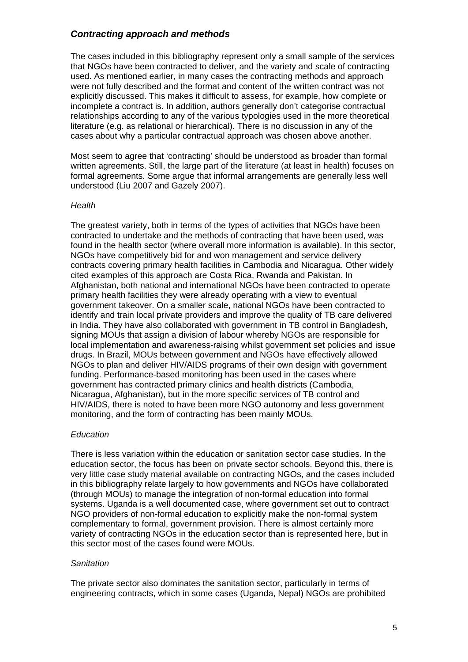## <span id="page-4-0"></span>*Contracting approach and methods*

The cases included in this bibliography represent only a small sample of the services that NGOs have been contracted to deliver, and the variety and scale of contracting used. As mentioned earlier, in many cases the contracting methods and approach were not fully described and the format and content of the written contract was not explicitly discussed. This makes it difficult to assess, for example, how complete or incomplete a contract is. In addition, authors generally don't categorise contractual relationships according to any of the various typologies used in the more theoretical literature (e.g. as relational or hierarchical). There is no discussion in any of the cases about why a particular contractual approach was chosen above another.

Most seem to agree that 'contracting' should be understood as broader than formal written agreements. Still, the large part of the literature (at least in health) focuses on formal agreements. Some argue that informal arrangements are generally less well understood (Liu 2007 and Gazely 2007).

#### *Health*

The greatest variety, both in terms of the types of activities that NGOs have been contracted to undertake and the methods of contracting that have been used, was found in the health sector (where overall more information is available). In this sector, NGOs have competitively bid for and won management and service delivery contracts covering primary health facilities in Cambodia and Nicaragua. Other widely cited examples of this approach are Costa Rica, Rwanda and Pakistan. In Afghanistan, both national and international NGOs have been contracted to operate primary health facilities they were already operating with a view to eventual government takeover. On a smaller scale, national NGOs have been contracted to identify and train local private providers and improve the quality of TB care delivered in India. They have also collaborated with government in TB control in Bangladesh, signing MOUs that assign a division of labour whereby NGOs are responsible for local implementation and awareness-raising whilst government set policies and issue drugs. In Brazil, MOUs between government and NGOs have effectively allowed NGOs to plan and deliver HIV/AIDS programs of their own design with government funding. Performance-based monitoring has been used in the cases where government has contracted primary clinics and health districts (Cambodia, Nicaragua, Afghanistan), but in the more specific services of TB control and HIV/AIDS, there is noted to have been more NGO autonomy and less government monitoring, and the form of contracting has been mainly MOUs.

#### *Education*

There is less variation within the education or sanitation sector case studies. In the education sector, the focus has been on private sector schools. Beyond this, there is very little case study material available on contracting NGOs, and the cases included in this bibliography relate largely to how governments and NGOs have collaborated (through MOUs) to manage the integration of non-formal education into formal systems. Uganda is a well documented case, where government set out to contract NGO providers of non-formal education to explicitly make the non-formal system complementary to formal, government provision. There is almost certainly more variety of contracting NGOs in the education sector than is represented here, but in this sector most of the cases found were MOUs.

#### *Sanitation*

The private sector also dominates the sanitation sector, particularly in terms of engineering contracts, which in some cases (Uganda, Nepal) NGOs are prohibited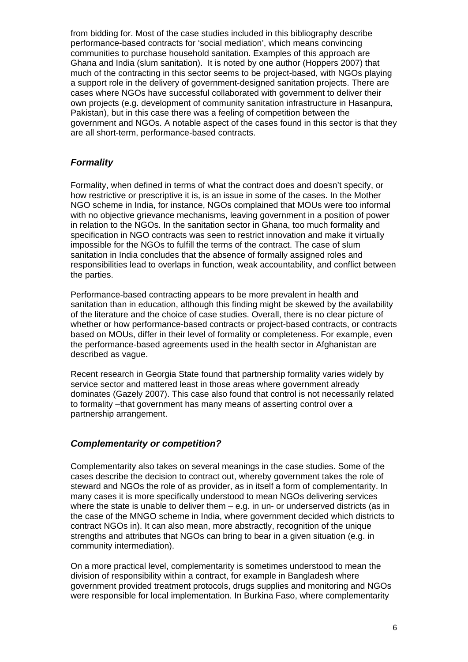from bidding for. Most of the case studies included in this bibliography describe performance-based contracts for 'social mediation', which means convincing communities to purchase household sanitation. Examples of this approach are Ghana and India (slum sanitation). It is noted by one author (Hoppers 2007) that much of the contracting in this sector seems to be project-based, with NGOs playing a support role in the delivery of government-designed sanitation projects. There are cases where NGOs have successful collaborated with government to deliver their own projects (e.g. development of community sanitation infrastructure in Hasanpura, Pakistan), but in this case there was a feeling of competition between the government and NGOs. A notable aspect of the cases found in this sector is that they are all short-term, performance-based contracts.

## <span id="page-5-0"></span>*Formality*

Formality, when defined in terms of what the contract does and doesn't specify, or how restrictive or prescriptive it is, is an issue in some of the cases. In the Mother NGO scheme in India, for instance, NGOs complained that MOUs were too informal with no objective grievance mechanisms, leaving government in a position of power in relation to the NGOs. In the sanitation sector in Ghana, too much formality and specification in NGO contracts was seen to restrict innovation and make it virtually impossible for the NGOs to fulfill the terms of the contract. The case of slum sanitation in India concludes that the absence of formally assigned roles and responsibilities lead to overlaps in function, weak accountability, and conflict between the parties.

Performance-based contracting appears to be more prevalent in health and sanitation than in education, although this finding might be skewed by the availability of the literature and the choice of case studies. Overall, there is no clear picture of whether or how performance-based contracts or project-based contracts, or contracts based on MOUs, differ in their level of formality or completeness. For example, even the performance-based agreements used in the health sector in Afghanistan are described as vague.

Recent research in Georgia State found that partnership formality varies widely by service sector and mattered least in those areas where government already dominates (Gazely 2007). This case also found that control is not necessarily related to formality –that government has many means of asserting control over a partnership arrangement.

## <span id="page-5-1"></span>*Complementarity or competition?*

Complementarity also takes on several meanings in the case studies. Some of the cases describe the decision to contract out, whereby government takes the role of steward and NGOs the role of as provider, as in itself a form of complementarity. In many cases it is more specifically understood to mean NGOs delivering services where the state is unable to deliver them  $-$  e.g. in un- or underserved districts (as in the case of the MNGO scheme in India, where government decided which districts to contract NGOs in). It can also mean, more abstractly, recognition of the unique strengths and attributes that NGOs can bring to bear in a given situation (e.g. in community intermediation).

On a more practical level, complementarity is sometimes understood to mean the division of responsibility within a contract, for example in Bangladesh where government provided treatment protocols, drugs supplies and monitoring and NGOs were responsible for local implementation. In Burkina Faso, where complementarity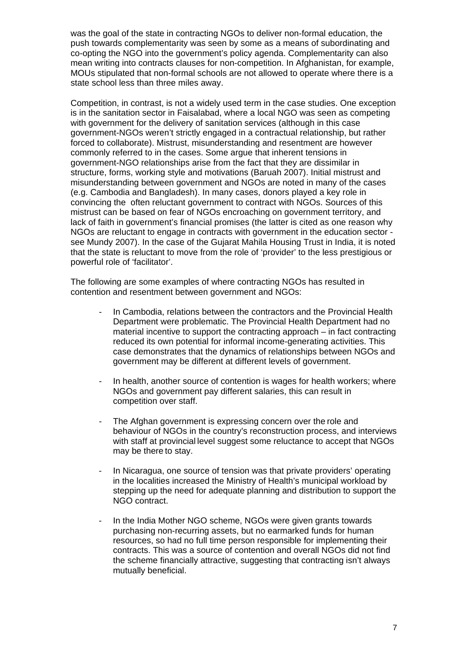was the goal of the state in contracting NGOs to deliver non-formal education, the push towards complementarity was seen by some as a means of subordinating and co-opting the NGO into the government's policy agenda. Complementarity can also mean writing into contracts clauses for non-competition. In Afghanistan, for example, MOUs stipulated that non-formal schools are not allowed to operate where there is a state school less than three miles away.

Competition, in contrast, is not a widely used term in the case studies. One exception is in the sanitation sector in Faisalabad, where a local NGO was seen as competing with government for the delivery of sanitation services (although in this case government-NGOs weren't strictly engaged in a contractual relationship, but rather forced to collaborate). Mistrust, misunderstanding and resentment are however commonly referred to in the cases. Some argue that inherent tensions in government-NGO relationships arise from the fact that they are dissimilar in structure, forms, working style and motivations (Baruah 2007). Initial mistrust and misunderstanding between government and NGOs are noted in many of the cases (e.g. Cambodia and Bangladesh). In many cases, donors played a key role in convincing the often reluctant government to contract with NGOs. Sources of this mistrust can be based on fear of NGOs encroaching on government territory, and lack of faith in government's financial promises (the latter is cited as one reason why NGOs are reluctant to engage in contracts with government in the education sector see Mundy 2007). In the case of the Gujarat Mahila Housing Trust in India, it is noted that the state is reluctant to move from the role of 'provider' to the less prestigious or powerful role of 'facilitator'.

The following are some examples of where contracting NGOs has resulted in contention and resentment between government and NGOs:

- In Cambodia, relations between the contractors and the Provincial Health Department were problematic. The Provincial Health Department had no material incentive to support the contracting approach – in fact contracting reduced its own potential for informal income-generating activities. This case demonstrates that the dynamics of relationships between NGOs and government may be different at different levels of government.
- In health, another source of contention is wages for health workers; where NGOs and government pay different salaries, this can result in competition over staff.
- The Afghan government is expressing concern over the role and behaviour of NGOs in the country's reconstruction process, and interviews with staff at provincial level suggest some reluctance to accept that NGOs may be there to stay.
- In Nicaragua, one source of tension was that private providers' operating in the localities increased the Ministry of Health's municipal workload by stepping up the need for adequate planning and distribution to support the NGO contract.
- In the India Mother NGO scheme, NGOs were given grants towards purchasing non-recurring assets, but no earmarked funds for human resources, so had no full time person responsible for implementing their contracts. This was a source of contention and overall NGOs did not find the scheme financially attractive, suggesting that contracting isn't always mutually beneficial.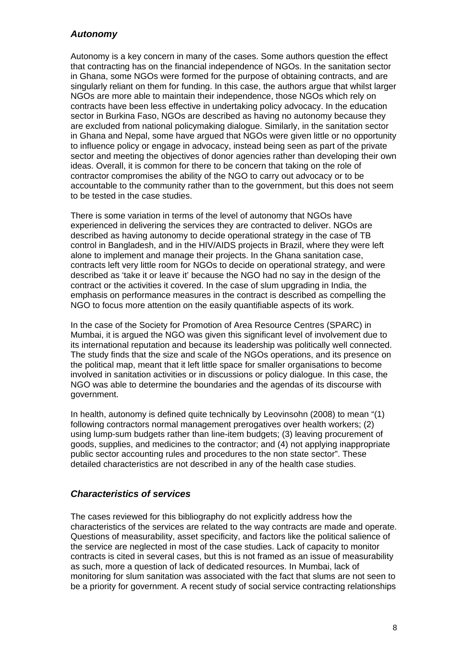### <span id="page-7-0"></span>*Autonomy*

Autonomy is a key concern in many of the cases. Some authors question the effect that contracting has on the financial independence of NGOs. In the sanitation sector in Ghana, some NGOs were formed for the purpose of obtaining contracts, and are singularly reliant on them for funding. In this case, the authors argue that whilst larger NGOs are more able to maintain their independence, those NGOs which rely on contracts have been less effective in undertaking policy advocacy. In the education sector in Burkina Faso, NGOs are described as having no autonomy because they are excluded from national policymaking dialogue. Similarly, in the sanitation sector in Ghana and Nepal, some have argued that NGOs were given little or no opportunity to influence policy or engage in advocacy, instead being seen as part of the private sector and meeting the objectives of donor agencies rather than developing their own ideas. Overall, it is common for there to be concern that taking on the role of contractor compromises the ability of the NGO to carry out advocacy or to be accountable to the community rather than to the government, but this does not seem to be tested in the case studies.

There is some variation in terms of the level of autonomy that NGOs have experienced in delivering the services they are contracted to deliver. NGOs are described as having autonomy to decide operational strategy in the case of TB control in Bangladesh, and in the HIV/AIDS projects in Brazil, where they were left alone to implement and manage their projects. In the Ghana sanitation case, contracts left very little room for NGOs to decide on operational strategy, and were described as 'take it or leave it' because the NGO had no say in the design of the contract or the activities it covered. In the case of slum upgrading in India, the emphasis on performance measures in the contract is described as compelling the NGO to focus more attention on the easily quantifiable aspects of its work.

In the case of the Society for Promotion of Area Resource Centres (SPARC) in Mumbai, it is argued the NGO was given this significant level of involvement due to its international reputation and because its leadership was politically well connected. The study finds that the size and scale of the NGOs operations, and its presence on the political map, meant that it left little space for smaller organisations to become involved in sanitation activities or in discussions or policy dialogue. In this case, the NGO was able to determine the boundaries and the agendas of its discourse with government.

In health, autonomy is defined quite technically by Leovinsohn (2008) to mean "(1) following contractors normal management prerogatives over health workers; (2) using lump-sum budgets rather than line-item budgets; (3) leaving procurement of goods, supplies, and medicines to the contractor; and (4) not applying inappropriate public sector accounting rules and procedures to the non state sector". These detailed characteristics are not described in any of the health case studies.

## <span id="page-7-1"></span>*Characteristics of services*

The cases reviewed for this bibliography do not explicitly address how the characteristics of the services are related to the way contracts are made and operate. Questions of measurability, asset specificity, and factors like the political salience of the service are neglected in most of the case studies. Lack of capacity to monitor contracts is cited in several cases, but this is not framed as an issue of measurability as such, more a question of lack of dedicated resources. In Mumbai, lack of monitoring for slum sanitation was associated with the fact that slums are not seen to be a priority for government. A recent study of social service contracting relationships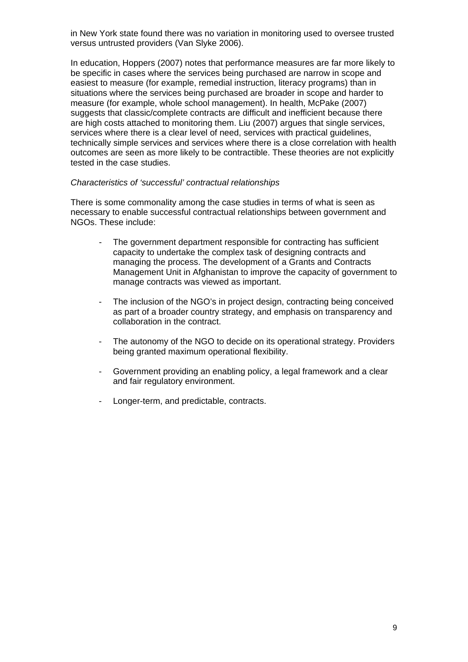in New York state found there was no variation in monitoring used to oversee trusted versus untrusted providers (Van Slyke 2006).

In education, Hoppers (2007) notes that performance measures are far more likely to be specific in cases where the services being purchased are narrow in scope and easiest to measure (for example, remedial instruction, literacy programs) than in situations where the services being purchased are broader in scope and harder to measure (for example, whole school management). In health, McPake (2007) suggests that classic/complete contracts are difficult and inefficient because there are high costs attached to monitoring them. Liu (2007) argues that single services, services where there is a clear level of need, services with practical guidelines, technically simple services and services where there is a close correlation with health outcomes are seen as more likely to be contractible. These theories are not explicitly tested in the case studies.

#### *Characteristics of 'successful' contractual relationships*

There is some commonality among the case studies in terms of what is seen as necessary to enable successful contractual relationships between government and NGOs. These include:

- The government department responsible for contracting has sufficient capacity to undertake the complex task of designing contracts and managing the process. The development of a Grants and Contracts Management Unit in Afghanistan to improve the capacity of government to manage contracts was viewed as important.
- The inclusion of the NGO's in project design, contracting being conceived as part of a broader country strategy, and emphasis on transparency and collaboration in the contract.
- The autonomy of the NGO to decide on its operational strategy. Providers being granted maximum operational flexibility.
- Government providing an enabling policy, a legal framework and a clear and fair regulatory environment.
- Longer-term, and predictable, contracts.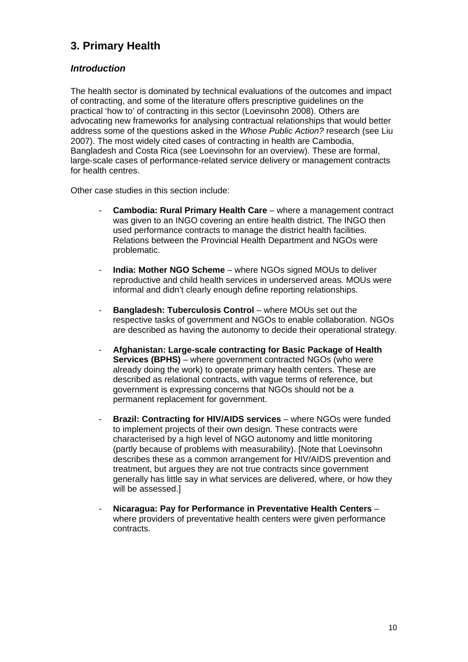## <span id="page-9-0"></span>**3. Primary Health**

## <span id="page-9-1"></span>*Introduction*

The health sector is dominated by technical evaluations of the outcomes and impact of contracting, and some of the literature offers prescriptive guidelines on the practical 'how to' of contracting in this sector (Loevinsohn 2008). Others are advocating new frameworks for analysing contractual relationships that would better address some of the questions asked in the *Whose Public Action?* research (see Liu 2007). The most widely cited cases of contracting in health are Cambodia, Bangladesh and Costa Rica (see Loevinsohn for an overview). These are formal, large-scale cases of performance-related service delivery or management contracts for health centres.

Other case studies in this section include:

- **Cambodia: Rural Primary Health Care** where a management contract was given to an INGO covering an entire health district. The INGO then used performance contracts to manage the district health facilities. Relations between the Provincial Health Department and NGOs were problematic.
- **India: Mother NGO Scheme** where NGOs signed MOUs to deliver reproductive and child health services in underserved areas*.* MOUs were informal and didn't clearly enough define reporting relationships.
- **Bangladesh: Tuberculosis Control** where MOUs set out the respective tasks of government and NGOs to enable collaboration. NGOs are described as having the autonomy to decide their operational strategy.
- **Afghanistan: Large-scale contracting for Basic Package of Health Services (BPHS)** – where government contracted NGOs (who were already doing the work) to operate primary health centers. These are described as relational contracts, with vague terms of reference, but government is expressing concerns that NGOs should not be a permanent replacement for government.
- **Brazil: Contracting for HIV/AIDS services** where NGOs were funded to implement projects of their own design. These contracts were characterised by a high level of NGO autonomy and little monitoring (partly because of problems with measurability). [Note that Loevinsohn describes these as a common arrangement for HIV/AIDS prevention and treatment, but argues they are not true contracts since government generally has little say in what services are delivered, where, or how they will be assessed.]
- **Nicaragua: Pay for Performance in Preventative Health Centers** where providers of preventative health centers were given performance contracts.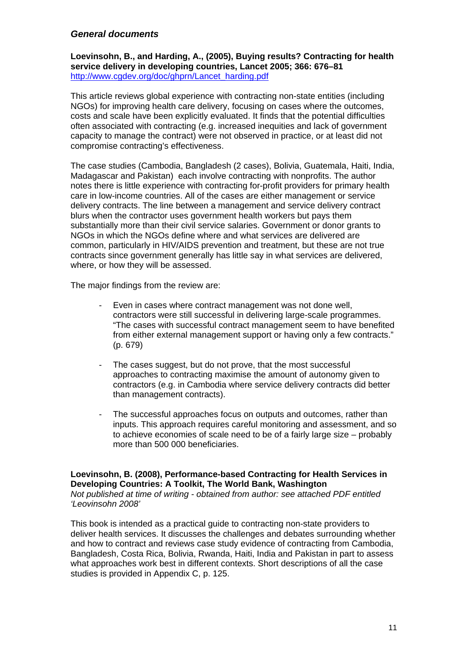### <span id="page-10-0"></span>*General documents*

**Loevinsohn, B., and Harding, A., (2005), Buying results? Contracting for health service delivery in developing countries, Lancet 2005; 366: 676–81**  [http://www.cgdev.org/doc/ghprn/Lancet\\_harding.pdf](http://www.cgdev.org/doc/ghprn/Lancet_harding.pdf) 

This article reviews global experience with contracting non-state entities (including NGOs) for improving health care delivery, focusing on cases where the outcomes, costs and scale have been explicitly evaluated. It finds that the potential difficulties often associated with contracting (e.g. increased inequities and lack of government capacity to manage the contract) were not observed in practice, or at least did not compromise contracting's effectiveness.

The case studies (Cambodia, Bangladesh (2 cases), Bolivia, Guatemala, Haiti, India, Madagascar and Pakistan) each involve contracting with nonprofits. The author notes there is little experience with contracting for-profit providers for primary health care in low-income countries. All of the cases are either management or service delivery contracts. The line between a management and service delivery contract blurs when the contractor uses government health workers but pays them substantially more than their civil service salaries. Government or donor grants to NGOs in which the NGOs define where and what services are delivered are common, particularly in HIV/AIDS prevention and treatment, but these are not true contracts since government generally has little say in what services are delivered, where, or how they will be assessed.

The major findings from the review are:

- Even in cases where contract management was not done well, contractors were still successful in delivering large-scale programmes. "The cases with successful contract management seem to have benefited from either external management support or having only a few contracts." (p. 679)
- The cases suggest, but do not prove, that the most successful approaches to contracting maximise the amount of autonomy given to contractors (e.g. in Cambodia where service delivery contracts did better than management contracts).
- The successful approaches focus on outputs and outcomes, rather than inputs. This approach requires careful monitoring and assessment, and so to achieve economies of scale need to be of a fairly large size – probably more than 500 000 beneficiaries.

#### **Loevinsohn, B. (2008), Performance-based Contracting for Health Services in Developing Countries: A Toolkit, The World Bank, Washington**

*Not published at time of writing - obtained from author: see attached PDF entitled 'Leovinsohn 2008'* 

This book is intended as a practical guide to contracting non-state providers to deliver health services. It discusses the challenges and debates surrounding whether and how to contract and reviews case study evidence of contracting from Cambodia, Bangladesh, Costa Rica, Bolivia, Rwanda, Haiti, India and Pakistan in part to assess what approaches work best in different contexts. Short descriptions of all the case studies is provided in Appendix C, p. 125.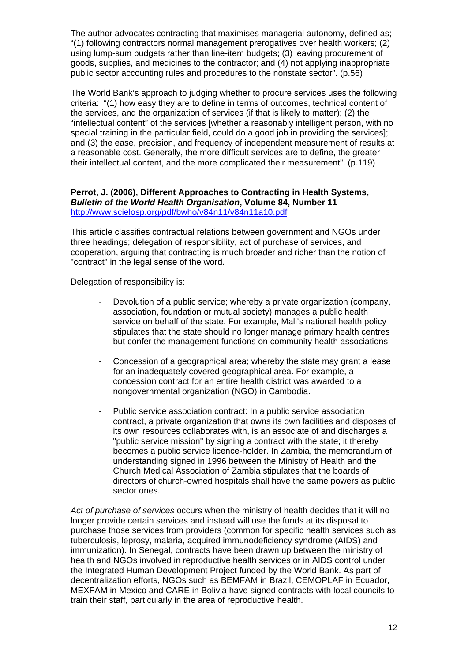The author advocates contracting that maximises managerial autonomy, defined as; "(1) following contractors normal management prerogatives over health workers; (2) using lump-sum budgets rather than line-item budgets; (3) leaving procurement of goods, supplies, and medicines to the contractor; and (4) not applying inappropriate public sector accounting rules and procedures to the nonstate sector". (p.56)

The World Bank's approach to judging whether to procure services uses the following criteria: "(1) how easy they are to define in terms of outcomes, technical content of the services, and the organization of services (if that is likely to matter); (2) the "intellectual content" of the services [whether a reasonably intelligent person, with no special training in the particular field, could do a good job in providing the services]; and (3) the ease, precision, and frequency of independent measurement of results at a reasonable cost. Generally, the more difficult services are to define, the greater their intellectual content, and the more complicated their measurement". (p.119)

#### **Perrot, J. (2006), Different Approaches to Contracting in Health Systems,**  *Bulletin of the World Health Organisation***, Volume 84, Number 11**  <http://www.scielosp.org/pdf/bwho/v84n11/v84n11a10.pdf>

This article classifies contractual relations between government and NGOs under three headings; delegation of responsibility, act of purchase of services, and cooperation, arguing that contracting is much broader and richer than the notion of "contract" in the legal sense of the word.

Delegation of responsibility is:

- Devolution of a public service; whereby a private organization (company, association, foundation or mutual society) manages a public health service on behalf of the state. For example, Mali's national health policy stipulates that the state should no longer manage primary health centres but confer the management functions on community health associations.
- Concession of a geographical area; whereby the state may grant a lease for an inadequately covered geographical area. For example, a concession contract for an entire health district was awarded to a nongovernmental organization (NGO) in Cambodia.
- Public service association contract: In a public service association contract, a private organization that owns its own facilities and disposes of its own resources collaborates with, is an associate of and discharges a "public service mission" by signing a contract with the state; it thereby becomes a public service licence-holder. In Zambia, the memorandum of understanding signed in 1996 between the Ministry of Health and the Church Medical Association of Zambia stipulates that the boards of directors of church-owned hospitals shall have the same powers as public sector ones.

*Act of purchase of services* occurs when the ministry of health decides that it will no longer provide certain services and instead will use the funds at its disposal to purchase those services from providers (common for specific health services such as tuberculosis, leprosy, malaria, acquired immunodeficiency syndrome (AIDS) and immunization). In Senegal, contracts have been drawn up between the ministry of health and NGOs involved in reproductive health services or in AIDS control under the Integrated Human Development Project funded by the World Bank. As part of decentralization efforts, NGOs such as BEMFAM in Brazil, CEMOPLAF in Ecuador, MEXFAM in Mexico and CARE in Bolivia have signed contracts with local councils to train their staff, particularly in the area of reproductive health.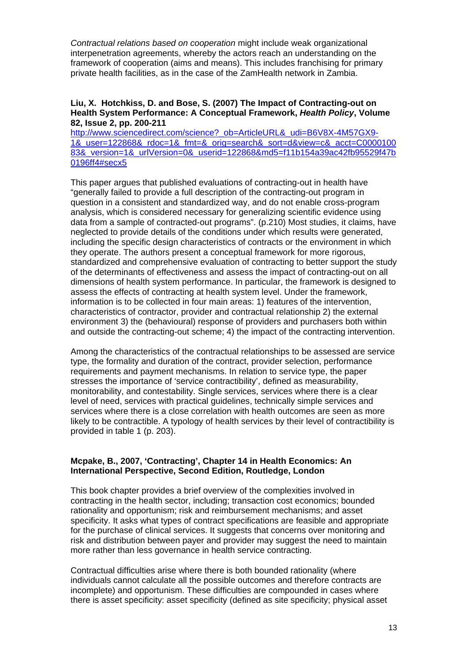*Contractual relations based on cooperation* might include weak organizational interpenetration agreements, whereby the actors reach an understanding on the framework of cooperation (aims and means). This includes franchising for primary private health facilities, as in the case of the ZamHealth network in Zambia.

#### **Liu, X. Hotchkiss, D. and Bose, S. (2007) The Impact of Contracting-out on Health System Performance: A Conceptual Framework,** *Health Policy***, Volume 82, Issue 2, pp. 200-211**

[http://www.sciencedirect.com/science?\\_ob=ArticleURL&\\_udi=B6V8X-4M57GX9-](http://www.sciencedirect.com/science?_ob=ArticleURL&_udi=B6V8X-4M57GX9-1&_user=122868&_rdoc=1&_fmt=&_orig=search&_sort=d&view=c&_acct=C000010083&_version=1&_urlVersion=0&_userid=122868&md5=f11b154a39ac42fb95529f47b0196ff4#secx5) [1&\\_user=122868&\\_rdoc=1&\\_fmt=&\\_orig=search&\\_sort=d&view=c&\\_acct=C0000100](http://www.sciencedirect.com/science?_ob=ArticleURL&_udi=B6V8X-4M57GX9-1&_user=122868&_rdoc=1&_fmt=&_orig=search&_sort=d&view=c&_acct=C000010083&_version=1&_urlVersion=0&_userid=122868&md5=f11b154a39ac42fb95529f47b0196ff4#secx5) [83&\\_version=1&\\_urlVersion=0&\\_userid=122868&md5=f11b154a39ac42fb95529f47b](http://www.sciencedirect.com/science?_ob=ArticleURL&_udi=B6V8X-4M57GX9-1&_user=122868&_rdoc=1&_fmt=&_orig=search&_sort=d&view=c&_acct=C000010083&_version=1&_urlVersion=0&_userid=122868&md5=f11b154a39ac42fb95529f47b0196ff4#secx5) [0196ff4#secx5](http://www.sciencedirect.com/science?_ob=ArticleURL&_udi=B6V8X-4M57GX9-1&_user=122868&_rdoc=1&_fmt=&_orig=search&_sort=d&view=c&_acct=C000010083&_version=1&_urlVersion=0&_userid=122868&md5=f11b154a39ac42fb95529f47b0196ff4#secx5)

This paper argues that published evaluations of contracting-out in health have "generally failed to provide a full description of the contracting-out program in question in a consistent and standardized way, and do not enable cross-program analysis, which is considered necessary for generalizing scientific evidence using data from a sample of contracted-out programs". (p.210) Most studies, it claims, have neglected to provide details of the conditions under which results were generated, including the specific design characteristics of contracts or the environment in which they operate. The authors present a conceptual framework for more rigorous, standardized and comprehensive evaluation of contracting to better support the study of the determinants of effectiveness and assess the impact of contracting-out on all dimensions of health system performance. In particular, the framework is designed to assess the effects of contracting at health system level. Under the framework, information is to be collected in four main areas: 1) features of the intervention, characteristics of contractor, provider and contractual relationship 2) the external environment 3) the (behavioural) response of providers and purchasers both within and outside the contracting-out scheme; 4) the impact of the contracting intervention.

Among the characteristics of the contractual relationships to be assessed are service type, the formality and duration of the contract, provider selection, performance requirements and payment mechanisms. In relation to service type, the paper stresses the importance of 'service contractibility', defined as measurability, monitorability, and contestability. Single services, services where there is a clear level of need, services with practical guidelines, technically simple services and services where there is a close correlation with health outcomes are seen as more likely to be contractible. A typology of health services by their level of contractibility is provided in table 1 (p. 203).

#### **Mcpake, B., 2007, 'Contracting', Chapter 14 in Health Economics: An International Perspective, Second Edition, Routledge, London**

This book chapter provides a brief overview of the complexities involved in contracting in the health sector, including; transaction cost economics; bounded rationality and opportunism; risk and reimbursement mechanisms; and asset specificity. It asks what types of contract specifications are feasible and appropriate for the purchase of clinical services. It suggests that concerns over monitoring and risk and distribution between payer and provider may suggest the need to maintain more rather than less governance in health service contracting.

Contractual difficulties arise where there is both bounded rationality (where individuals cannot calculate all the possible outcomes and therefore contracts are incomplete) and opportunism. These difficulties are compounded in cases where there is asset specificity: asset specificity (defined as site specificity; physical asset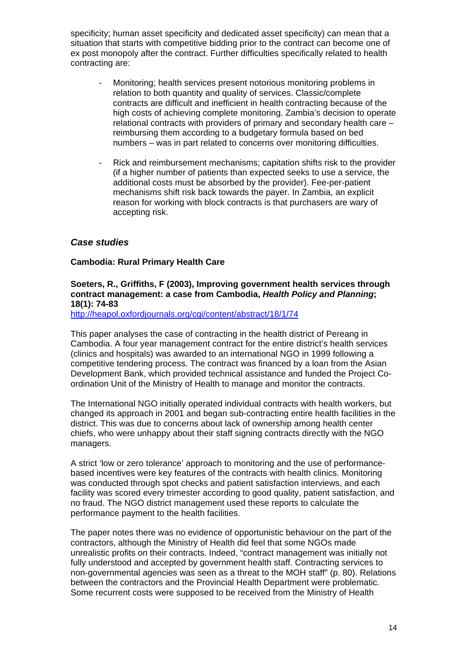specificity; human asset specificity and dedicated asset specificity) can mean that a situation that starts with competitive bidding prior to the contract can become one of ex post monopoly after the contract. Further difficulties specifically related to health contracting are:

- Monitoring; health services present notorious monitoring problems in relation to both quantity and quality of services. Classic/complete contracts are difficult and inefficient in health contracting because of the high costs of achieving complete monitoring. Zambia's decision to operate relational contracts with providers of primary and secondary health care – reimbursing them according to a budgetary formula based on bed numbers – was in part related to concerns over monitoring difficulties.
- Rick and reimbursement mechanisms; capitation shifts risk to the provider (if a higher number of patients than expected seeks to use a service, the additional costs must be absorbed by the provider). Fee-per-patient mechanisms shift risk back towards the payer. In Zambia, an explicit reason for working with block contracts is that purchasers are wary of accepting risk.

### <span id="page-13-0"></span>*Case studies*

#### **Cambodia: Rural Primary Health Care**

#### **Soeters, R., Griffiths, F (2003), Improving government health services through contract management: a case from Cambodia,** *Health Policy and Planning***; 18(1): 74-83**

<http://heapol.oxfordjournals.org/cgi/content/abstract/18/1/74>

This paper analyses the case of contracting in the health district of Pereang in Cambodia. A four year management contract for the entire district's health services (clinics and hospitals) was awarded to an international NGO in 1999 following a competitive tendering process. The contract was financed by a loan from the Asian Development Bank, which provided technical assistance and funded the Project Coordination Unit of the Ministry of Health to manage and monitor the contracts.

The International NGO initially operated individual contracts with health workers, but changed its approach in 2001 and began sub-contracting entire health facilities in the district. This was due to concerns about lack of ownership among health center chiefs, who were unhappy about their staff signing contracts directly with the NGO managers.

A strict 'low or zero tolerance' approach to monitoring and the use of performancebased incentives were key features of the contracts with health clinics. Monitoring was conducted through spot checks and patient satisfaction interviews, and each facility was scored every trimester according to good quality, patient satisfaction, and no fraud. The NGO district management used these reports to calculate the performance payment to the health facilities.

The paper notes there was no evidence of opportunistic behaviour on the part of the contractors, although the Ministry of Health did feel that some NGOs made unrealistic profits on their contracts. Indeed, "contract management was initially not fully understood and accepted by government health staff. Contracting services to non-governmental agencies was seen as a threat to the MOH staff" (p. 80). Relations between the contractors and the Provincial Health Department were problematic. Some recurrent costs were supposed to be received from the Ministry of Health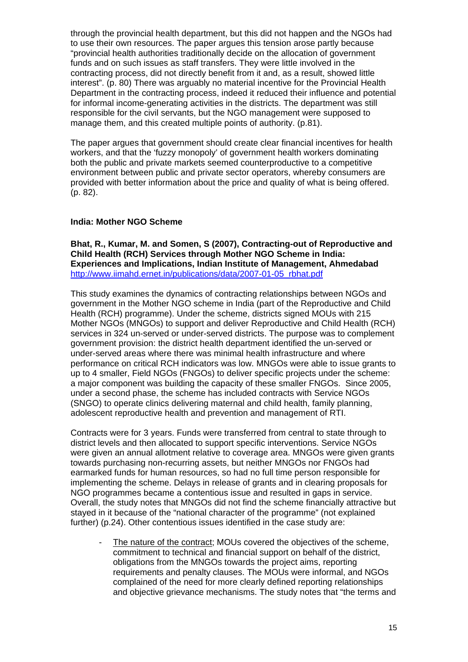through the provincial health department, but this did not happen and the NGOs had to use their own resources. The paper argues this tension arose partly because "provincial health authorities traditionally decide on the allocation of government funds and on such issues as staff transfers. They were little involved in the contracting process, did not directly benefit from it and, as a result, showed little interest". (p. 80) There was arguably no material incentive for the Provincial Health Department in the contracting process, indeed it reduced their influence and potential for informal income-generating activities in the districts. The department was still responsible for the civil servants, but the NGO management were supposed to manage them, and this created multiple points of authority. (p.81).

The paper argues that government should create clear financial incentives for health workers, and that the 'fuzzy monopoly' of government health workers dominating both the public and private markets seemed counterproductive to a competitive environment between public and private sector operators, whereby consumers are provided with better information about the price and quality of what is being offered. (p. 82).

#### **India: Mother NGO Scheme**

**Bhat, R., Kumar, M. and Somen, S (2007), Contracting-out of Reproductive and Child Health (RCH) Services through Mother NGO Scheme in India: Experiences and Implications, Indian Institute of Management, Ahmedabad**  [http://www.iimahd.ernet.in/publications/data/2007-01-05\\_rbhat.pdf](http://www.iimahd.ernet.in/publications/data/2007-01-05_rbhat.pdf) 

This study examines the dynamics of contracting relationships between NGOs and government in the Mother NGO scheme in India (part of the Reproductive and Child Health (RCH) programme). Under the scheme, districts signed MOUs with 215 Mother NGOs (MNGOs) to support and deliver Reproductive and Child Health (RCH) services in 324 un-served or under-served districts. The purpose was to complement government provision: the district health department identified the un-served or under-served areas where there was minimal health infrastructure and where performance on critical RCH indicators was low. MNGOs were able to issue grants to up to 4 smaller, Field NGOs (FNGOs) to deliver specific projects under the scheme: a major component was building the capacity of these smaller FNGOs. Since 2005, under a second phase, the scheme has included contracts with Service NGOs (SNGO) to operate clinics delivering maternal and child health, family planning, adolescent reproductive health and prevention and management of RTI.

Contracts were for 3 years. Funds were transferred from central to state through to district levels and then allocated to support specific interventions. Service NGOs were given an annual allotment relative to coverage area. MNGOs were given grants towards purchasing non-recurring assets, but neither MNGOs nor FNGOs had earmarked funds for human resources, so had no full time person responsible for implementing the scheme. Delays in release of grants and in clearing proposals for NGO programmes became a contentious issue and resulted in gaps in service. Overall, the study notes that MNGOs did not find the scheme financially attractive but stayed in it because of the "national character of the programme" (not explained further) (p.24). Other contentious issues identified in the case study are:

The nature of the contract; MOUs covered the objectives of the scheme, commitment to technical and financial support on behalf of the district, obligations from the MNGOs towards the project aims, reporting requirements and penalty clauses. The MOUs were informal, and NGOs complained of the need for more clearly defined reporting relationships and objective grievance mechanisms. The study notes that "the terms and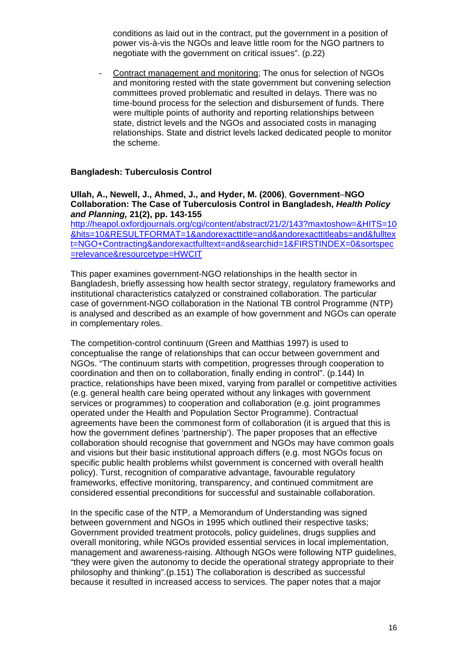conditions as laid out in the contract, put the government in a position of power vis-à-vis the NGOs and leave little room for the NGO partners to negotiate with the government on critical issues". (p.22)

Contract management and monitoring; The onus for selection of NGOs and monitoring rested with the state government but convening selection committees proved problematic and resulted in delays. There was no time-bound process for the selection and disbursement of funds. There were multiple points of authority and reporting relationships between state, district levels and the NGOs and associated costs in managing relationships. State and district levels lacked dedicated people to monitor the scheme.

#### **Bangladesh: Tuberculosis Control**

#### **Ullah, A., Newell, J., Ahmed, J., and Hyder, M. (2006)**, **Government**–**NGO Collaboration: The Case of Tuberculosis Control in Bangladesh,** *Health Policy and Planning,* **21(2), pp. 143-155**

[http://heapol.oxfordjournals.org/cgi/content/abstract/21/2/143?maxtoshow=&HITS=10](http://heapol.oxfordjournals.org/cgi/content/abstract/21/2/143?maxtoshow=&HITS=10&hits=10&RESULTFORMAT=1&andorexacttitle=and&andorexacttitleabs=and&fulltext=NGO+Contracting&andorexactfulltext=and&searchid=1&FIRSTINDEX=0&sortspec=relevance&resourcetype=HWCIT) [&hits=10&RESULTFORMAT=1&andorexacttitle=and&andorexacttitleabs=and&fulltex](http://heapol.oxfordjournals.org/cgi/content/abstract/21/2/143?maxtoshow=&HITS=10&hits=10&RESULTFORMAT=1&andorexacttitle=and&andorexacttitleabs=and&fulltext=NGO+Contracting&andorexactfulltext=and&searchid=1&FIRSTINDEX=0&sortspec=relevance&resourcetype=HWCIT) [t=NGO+Contracting&andorexactfulltext=and&searchid=1&FIRSTINDEX=0&sortspec](http://heapol.oxfordjournals.org/cgi/content/abstract/21/2/143?maxtoshow=&HITS=10&hits=10&RESULTFORMAT=1&andorexacttitle=and&andorexacttitleabs=and&fulltext=NGO+Contracting&andorexactfulltext=and&searchid=1&FIRSTINDEX=0&sortspec=relevance&resourcetype=HWCIT) [=relevance&resourcetype=HWCIT](http://heapol.oxfordjournals.org/cgi/content/abstract/21/2/143?maxtoshow=&HITS=10&hits=10&RESULTFORMAT=1&andorexacttitle=and&andorexacttitleabs=and&fulltext=NGO+Contracting&andorexactfulltext=and&searchid=1&FIRSTINDEX=0&sortspec=relevance&resourcetype=HWCIT)

This paper examines government-NGO relationships in the health sector in Bangladesh, briefly assessing how health sector strategy, regulatory frameworks and institutional characteristics catalyzed or constrained collaboration. The particular case of government-NGO collaboration in the National TB control Programme (NTP) is analysed and described as an example of how government and NGOs can operate in complementary roles.

The competition-control continuum (Green and Matthias 1997) is used to conceptualise the range of relationships that can occur between government and NGOs. "The continuum starts with competition, progresses through cooperation to coordination and then on to collaboration, finally ending in control". (p.144) In practice, relationships have been mixed, varying from parallel or competitive activities (e.g. general health care being operated without any linkages with government services or programmes) to cooperation and collaboration (e.g. joint programmes operated under the Health and Population Sector Programme). Contractual agreements have been the commonest form of collaboration (it is argued that this is how the government defines 'partnership'). The paper proposes that an effective collaboration should recognise that government and NGOs may have common goals and visions but their basic institutional approach differs (e.g. most NGOs focus on specific public health problems whilst government is concerned with overall health policy). Turst, recognition of comparative advantage, favourable regulatory frameworks, effective monitoring, transparency, and continued commitment are considered essential preconditions for successful and sustainable collaboration.

In the specific case of the NTP, a Memorandum of Understanding was signed between government and NGOs in 1995 which outlined their respective tasks: Government provided treatment protocols, policy guidelines, drugs supplies and overall monitoring, while NGOs provided essential services in local implementation, management and awareness-raising. Although NGOs were following NTP guidelines, "they were given the autonomy to decide the operational strategy appropriate to their philosophy and thinking".(p.151) The collaboration is described as successful because it resulted in increased access to services. The paper notes that a major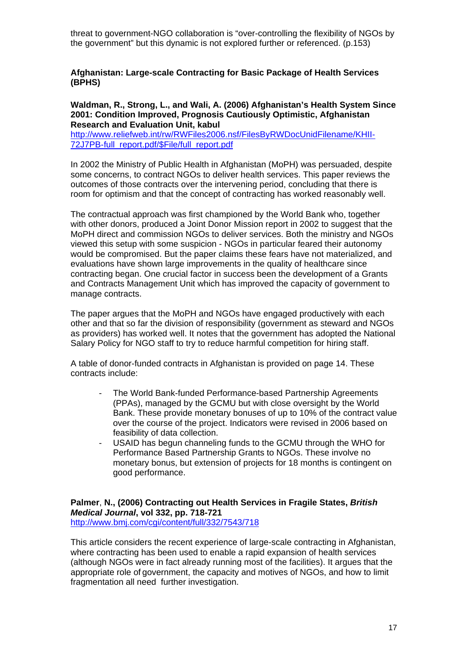threat to government-NGO collaboration is "over-controlling the flexibility of NGOs by the government" but this dynamic is not explored further or referenced. (p.153)

#### **Afghanistan: Large-scale Contracting for Basic Package of Health Services (BPHS)**

**Waldman, R., Strong, L., and Wali, A. (2006) Afghanistan's Health System Since 2001: Condition Improved, Prognosis Cautiously Optimistic, Afghanistan Research and Evaluation Unit, kabul** 

[http://www.reliefweb.int/rw/RWFiles2006.nsf/FilesByRWDocUnidFilename/KHII-](http://www.reliefweb.int/rw/RWFiles2006.nsf/FilesByRWDocUnidFilename/KHII-72J7PB-full_report.pdf/$File/full_report.pdf)[72J7PB-full\\_report.pdf/\\$File/full\\_report.pdf](http://www.reliefweb.int/rw/RWFiles2006.nsf/FilesByRWDocUnidFilename/KHII-72J7PB-full_report.pdf/$File/full_report.pdf) 

In 2002 the Ministry of Public Health in Afghanistan (MoPH) was persuaded, despite some concerns, to contract NGOs to deliver health services. This paper reviews the outcomes of those contracts over the intervening period, concluding that there is room for optimism and that the concept of contracting has worked reasonably well.

The contractual approach was first championed by the World Bank who, together with other donors, produced a Joint Donor Mission report in 2002 to suggest that the MoPH direct and commission NGOs to deliver services. Both the ministry and NGOs viewed this setup with some suspicion - NGOs in particular feared their autonomy would be compromised. But the paper claims these fears have not materialized, and evaluations have shown large improvements in the quality of healthcare since contracting began. One crucial factor in success been the development of a Grants and Contracts Management Unit which has improved the capacity of government to manage contracts.

The paper argues that the MoPH and NGOs have engaged productively with each other and that so far the division of responsibility (government as steward and NGOs as providers) has worked well. It notes that the government has adopted the National Salary Policy for NGO staff to try to reduce harmful competition for hiring staff.

A table of donor-funded contracts in Afghanistan is provided on page 14. These contracts include:

- The World Bank-funded Performance-based Partnership Agreements (PPAs), managed by the GCMU but with close oversight by the World Bank. These provide monetary bonuses of up to 10% of the contract value over the course of the project. Indicators were revised in 2006 based on feasibility of data collection.
- USAID has begun channeling funds to the GCMU through the WHO for Performance Based Partnership Grants to NGOs. These involve no monetary bonus, but extension of projects for 18 months is contingent on good performance.

**Palmer**, **N., (2006) Contracting out Health Services in Fragile States,** *British Medical Journal***, vol 332, pp. 718-721**  <http://www.bmj.com/cgi/content/full/332/7543/718>

This article considers the recent experience of large-scale contracting in Afghanistan, where contracting has been used to enable a rapid expansion of health services (although NGOs were in fact already running most of the facilities). It argues that the appropriate role of government, the capacity and motives of NGOs, and how to limit fragmentation all need further investigation.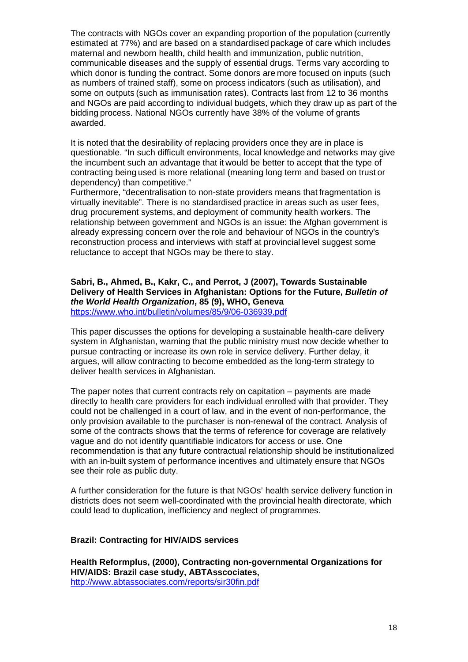The contracts with NGOs cover an expanding proportion of the population (currently estimated at 77%) and are based on a standardised package of care which includes maternal and newborn health, child health and immunization, public nutrition, communicable diseases and the supply of essential drugs. Terms vary according to which donor is funding the contract. Some donors are more focused on inputs (such as numbers of trained staff), some on process indicators (such as utilisation), and some on outputs (such as immunisation rates). Contracts last from 12 to 36 months and NGOs are paid according to individual budgets, which they draw up as part of the bidding process. National NGOs currently have 38% of the volume of grants awarded.

It is noted that the desirability of replacing providers once they are in place is questionable. "In such difficult environments, local knowledge and networks may give the incumbent such an advantage that it would be better to accept that the type of contracting being used is more relational (meaning long term and based on trust or dependency) than competitive."

Furthermore, "decentralisation to non-state providers means that fragmentation is virtually inevitable". There is no standardised practice in areas such as user fees, drug procurement systems, and deployment of community health workers. The relationship between government and NGOs is an issue: the Afghan government is already expressing concern over the role and behaviour of NGOs in the country's reconstruction process and interviews with staff at provincial level suggest some reluctance to accept that NGOs may be there to stay.

#### **Sabri, B., Ahmed, B., Kakr, C., and Perrot, J (2007), Towards Sustainable Delivery of Health Services in Afghanistan: Options for the Future,** *Bulletin of the World Health Organization***, 85 (9), WHO, Geneva**  <https://www.who.int/bulletin/volumes/85/9/06-036939.pdf>

This paper discusses the options for developing a sustainable health-care delivery system in Afghanistan, warning that the public ministry must now decide whether to pursue contracting or increase its own role in service delivery. Further delay, it argues, will allow contracting to become embedded as the long-term strategy to deliver health services in Afghanistan.

The paper notes that current contracts rely on capitation – payments are made directly to health care providers for each individual enrolled with that provider. They could not be challenged in a court of law, and in the event of non-performance, the only provision available to the purchaser is non-renewal of the contract. Analysis of some of the contracts shows that the terms of reference for coverage are relatively vague and do not identify quantifiable indicators for access or use. One recommendation is that any future contractual relationship should be institutionalized with an in-built system of performance incentives and ultimately ensure that NGOs see their role as public duty.

A further consideration for the future is that NGOs' health service delivery function in districts does not seem well-coordinated with the provincial health directorate, which could lead to duplication, inefficiency and neglect of programmes.

#### **Brazil: Contracting for HIV/AIDS services**

**Health Reformplus, (2000), Contracting non-governmental Organizations for HIV/AIDS: Brazil case study, ABTAsscociates,**  <http://www.abtassociates.com/reports/sir30fin.pdf>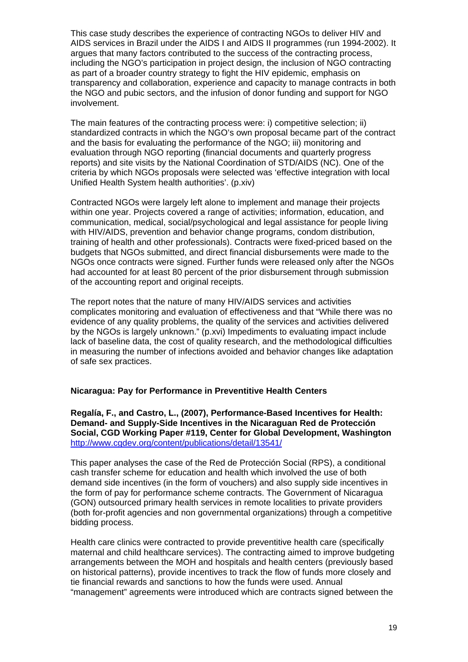This case study describes the experience of contracting NGOs to deliver HIV and AIDS services in Brazil under the AIDS I and AIDS II programmes (run 1994-2002). It argues that many factors contributed to the success of the contracting process, including the NGO's participation in project design, the inclusion of NGO contracting as part of a broader country strategy to fight the HIV epidemic, emphasis on transparency and collaboration, experience and capacity to manage contracts in both the NGO and pubic sectors, and the infusion of donor funding and support for NGO involvement.

The main features of the contracting process were: i) competitive selection; ii) standardized contracts in which the NGO's own proposal became part of the contract and the basis for evaluating the performance of the NGO; iii) monitoring and evaluation through NGO reporting (financial documents and quarterly progress reports) and site visits by the National Coordination of STD/AIDS (NC). One of the criteria by which NGOs proposals were selected was 'effective integration with local Unified Health System health authorities'. (p.xiv)

Contracted NGOs were largely left alone to implement and manage their projects within one year. Projects covered a range of activities; information, education, and communication, medical, social/psychological and legal assistance for people living with HIV/AIDS, prevention and behavior change programs, condom distribution, training of health and other professionals). Contracts were fixed-priced based on the budgets that NGOs submitted, and direct financial disbursements were made to the NGOs once contracts were signed. Further funds were released only after the NGOs had accounted for at least 80 percent of the prior disbursement through submission of the accounting report and original receipts.

The report notes that the nature of many HIV/AIDS services and activities complicates monitoring and evaluation of effectiveness and that "While there was no evidence of any quality problems, the quality of the services and activities delivered by the NGOs is largely unknown." (p.xvi) Impediments to evaluating impact include lack of baseline data, the cost of quality research, and the methodological difficulties in measuring the number of infections avoided and behavior changes like adaptation of safe sex practices.

#### **Nicaragua: Pay for Performance in Preventitive Health Centers**

**Regalía, F., and Castro, L., (2007), Performance-Based Incentives for Health: Demand- and Supply-Side Incentives in the Nicaraguan Red de Protección Social, CGD Working Paper #119, Center for Global Development, Washington**  <http://www.cgdev.org/content/publications/detail/13541/>

This paper analyses the case of the Red de Protección Social (RPS), a conditional cash transfer scheme for education and health which involved the use of both demand side incentives (in the form of vouchers) and also supply side incentives in the form of pay for performance scheme contracts. The Government of Nicaragua (GON) outsourced primary health services in remote localities to private providers (both for-profit agencies and non governmental organizations) through a competitive bidding process.

Health care clinics were contracted to provide preventitive health care (specifically maternal and child healthcare services). The contracting aimed to improve budgeting arrangements between the MOH and hospitals and health centers (previously based on historical patterns), provide incentives to track the flow of funds more closely and tie financial rewards and sanctions to how the funds were used. Annual "management" agreements were introduced which are contracts signed between the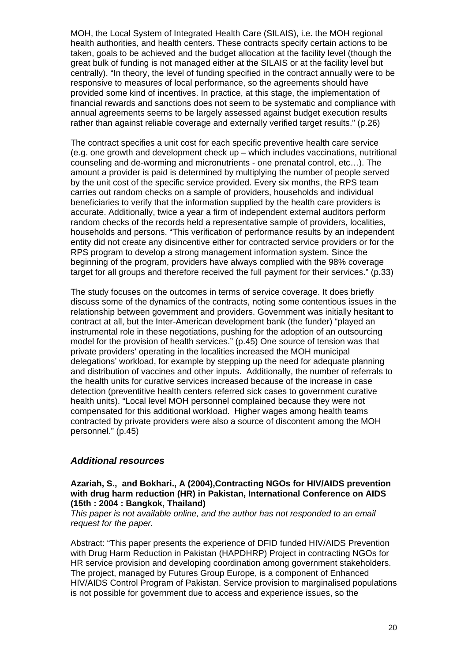MOH, the Local System of Integrated Health Care (SILAIS), i.e. the MOH regional health authorities, and health centers. These contracts specify certain actions to be taken, goals to be achieved and the budget allocation at the facility level (though the great bulk of funding is not managed either at the SILAIS or at the facility level but centrally). "In theory, the level of funding specified in the contract annually were to be responsive to measures of local performance, so the agreements should have provided some kind of incentives. In practice, at this stage, the implementation of financial rewards and sanctions does not seem to be systematic and compliance with annual agreements seems to be largely assessed against budget execution results rather than against reliable coverage and externally verified target results." (p.26)

The contract specifies a unit cost for each specific preventive health care service (e.g. one growth and development check up – which includes vaccinations, nutritional counseling and de-worming and micronutrients - one prenatal control, etc…). The amount a provider is paid is determined by multiplying the number of people served by the unit cost of the specific service provided. Every six months, the RPS team carries out random checks on a sample of providers, households and individual beneficiaries to verify that the information supplied by the health care providers is accurate. Additionally, twice a year a firm of independent external auditors perform random checks of the records held a representative sample of providers, localities, households and persons. "This verification of performance results by an independent entity did not create any disincentive either for contracted service providers or for the RPS program to develop a strong management information system. Since the beginning of the program, providers have always complied with the 98% coverage target for all groups and therefore received the full payment for their services." (p.33)

The study focuses on the outcomes in terms of service coverage. It does briefly discuss some of the dynamics of the contracts, noting some contentious issues in the relationship between government and providers. Government was initially hesitant to contract at all, but the Inter-American development bank (the funder) "played an instrumental role in these negotiations, pushing for the adoption of an outsourcing model for the provision of health services." (p.45) One source of tension was that private providers' operating in the localities increased the MOH municipal delegations' workload, for example by stepping up the need for adequate planning and distribution of vaccines and other inputs. Additionally, the number of referrals to the health units for curative services increased because of the increase in case detection (preventitive health centers referred sick cases to government curative health units). "Local level MOH personnel complained because they were not compensated for this additional workload. Higher wages among health teams contracted by private providers were also a source of discontent among the MOH personnel." (p.45)

#### <span id="page-19-0"></span>*Additional resources*

#### **Azariah, S., and Bokhari., A (2004),Contracting NGOs for HIV/AIDS prevention with drug harm reduction (HR) in Pakistan, International Conference on AIDS (15th : 2004 : Bangkok, Thailand)**

*This paper is not available online, and the author has not responded to an email request for the paper.* 

Abstract: "This paper presents the experience of DFID funded HIV/AIDS Prevention with Drug Harm Reduction in Pakistan (HAPDHRP) Project in contracting NGOs for HR service provision and developing coordination among government stakeholders. The project, managed by Futures Group Europe, is a component of Enhanced HIV/AIDS Control Program of Pakistan. Service provision to marginalised populations is not possible for government due to access and experience issues, so the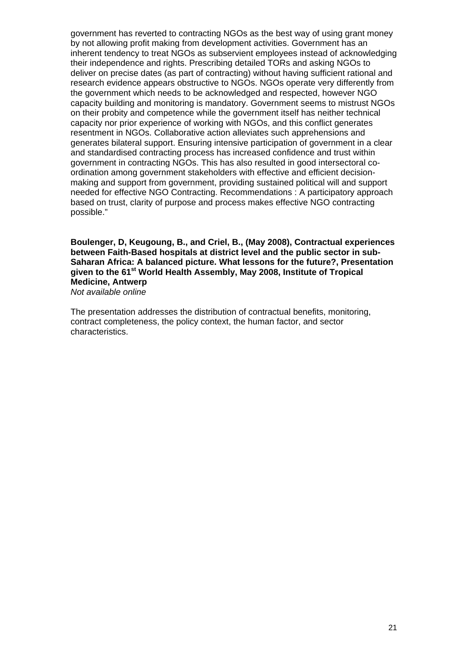government has reverted to contracting NGOs as the best way of using grant money by not allowing profit making from development activities. Government has an inherent tendency to treat NGOs as subservient employees instead of acknowledging their independence and rights. Prescribing detailed TORs and asking NGOs to deliver on precise dates (as part of contracting) without having sufficient rational and research evidence appears obstructive to NGOs. NGOs operate very differently from the government which needs to be acknowledged and respected, however NGO capacity building and monitoring is mandatory. Government seems to mistrust NGOs on their probity and competence while the government itself has neither technical capacity nor prior experience of working with NGOs, and this conflict generates resentment in NGOs. Collaborative action alleviates such apprehensions and generates bilateral support. Ensuring intensive participation of government in a clear and standardised contracting process has increased confidence and trust within government in contracting NGOs. This has also resulted in good intersectoral coordination among government stakeholders with effective and efficient decisionmaking and support from government, providing sustained political will and support needed for effective NGO Contracting. Recommendations : A participatory approach based on trust, clarity of purpose and process makes effective NGO contracting possible."

## **Boulenger, D, Keugoung, B., and Criel, B., (May 2008), Contractual experiences between Faith-Based hospitals at district level and the public sector in sub-Saharan Africa: A balanced picture. What lessons for the future?, Presentation given to the 61st World Health Assembly, May 2008, Institute of Tropical Medicine, Antwerp**

*Not available online* 

The presentation addresses the distribution of contractual benefits, monitoring, contract completeness, the policy context, the human factor, and sector characteristics.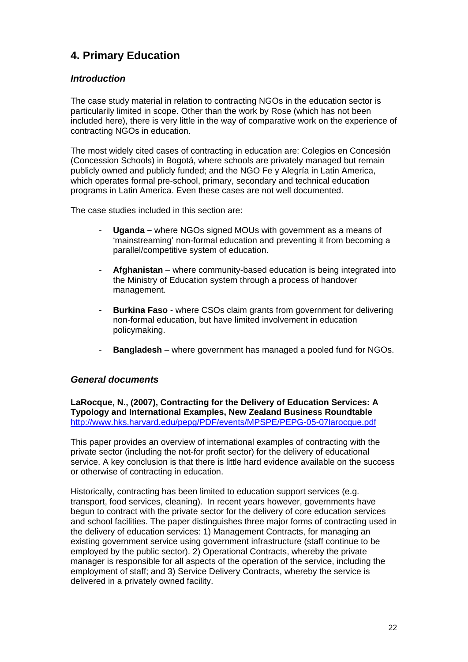## <span id="page-21-0"></span>**4. Primary Education**

## <span id="page-21-1"></span>*Introduction*

The case study material in relation to contracting NGOs in the education sector is particularily limited in scope. Other than the work by Rose (which has not been included here), there is very little in the way of comparative work on the experience of contracting NGOs in education.

The most widely cited cases of contracting in education are: Colegios en Concesión (Concession Schools) in Bogotá, where schools are privately managed but remain publicly owned and publicly funded; and the NGO Fe y Alegría in Latin America, which operates formal pre-school, primary, secondary and technical education programs in Latin America. Even these cases are not well documented.

The case studies included in this section are:

- **Uganda** where NGOs signed MOUs with government as a means of 'mainstreaming' non-formal education and preventing it from becoming a parallel/competitive system of education.
- Afghanistan where community-based education is being integrated into the Ministry of Education system through a process of handover management.
- **Burkina Faso** where CSOs claim grants from government for delivering non-formal education, but have limited involvement in education policymaking.
- **Bangladesh** where government has managed a pooled fund for NGOs.

## <span id="page-21-2"></span>*General documents*

**LaRocque, N., (2007), Contracting for the Delivery of Education Services: A Typology and International Examples, New Zealand Business Roundtable**  <http://www.hks.harvard.edu/pepg/PDF/events/MPSPE/PEPG-05-07larocque.pdf>

This paper provides an overview of international examples of contracting with the private sector (including the not-for profit sector) for the delivery of educational service. A key conclusion is that there is little hard evidence available on the success or otherwise of contracting in education.

Historically, contracting has been limited to education support services (e.g. transport, food services, cleaning). In recent years however, governments have begun to contract with the private sector for the delivery of core education services and school facilities. The paper distinguishes three major forms of contracting used in the delivery of education services: 1) Management Contracts, for managing an existing government service using government infrastructure (staff continue to be employed by the public sector). 2) Operational Contracts, whereby the private manager is responsible for all aspects of the operation of the service, including the employment of staff; and 3) Service Delivery Contracts, whereby the service is delivered in a privately owned facility.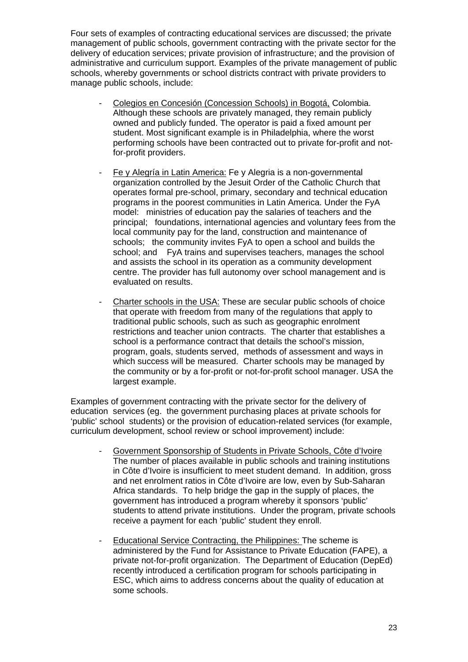Four sets of examples of contracting educational services are discussed; the private management of public schools, government contracting with the private sector for the delivery of education services; private provision of infrastructure; and the provision of administrative and curriculum support. Examples of the private management of public schools, whereby governments or school districts contract with private providers to manage public schools, include:

- Colegios en Concesión (Concession Schools) in Bogotá, Colombia. Although these schools are privately managed, they remain publicly owned and publicly funded. The operator is paid a fixed amount per student. Most significant example is in Philadelphia, where the worst performing schools have been contracted out to private for-profit and notfor-profit providers.
- Fe y Alegría in Latin America: Fe y Alegria is a non-governmental organization controlled by the Jesuit Order of the Catholic Church that operates formal pre-school, primary, secondary and technical education programs in the poorest communities in Latin America. Under the FyA model: ministries of education pay the salaries of teachers and the principal; foundations, international agencies and voluntary fees from the local community pay for the land, construction and maintenance of schools; the community invites FyA to open a school and builds the school; and FyA trains and supervises teachers, manages the school and assists the school in its operation as a community development centre. The provider has full autonomy over school management and is evaluated on results.
- Charter schools in the USA: These are secular public schools of choice that operate with freedom from many of the regulations that apply to traditional public schools, such as such as geographic enrolment restrictions and teacher union contracts. The charter that establishes a school is a performance contract that details the school's mission, program, goals, students served, methods of assessment and ways in which success will be measured. Charter schools may be managed by the community or by a for-profit or not-for-profit school manager. USA the largest example.

Examples of government contracting with the private sector for the delivery of education services (eg. the government purchasing places at private schools for 'public' school students) or the provision of education-related services (for example, curriculum development, school review or school improvement) include:

- Government Sponsorship of Students in Private Schools, Côte d'Ivoire The number of places available in public schools and training institutions in Côte d'Ivoire is insufficient to meet student demand. In addition, gross and net enrolment ratios in Côte d'Ivoire are low, even by Sub-Saharan Africa standards. To help bridge the gap in the supply of places, the government has introduced a program whereby it sponsors 'public' students to attend private institutions. Under the program, private schools receive a payment for each 'public' student they enroll.
- Educational Service Contracting, the Philippines: The scheme is administered by the Fund for Assistance to Private Education (FAPE), a private not-for-profit organization. The Department of Education (DepEd) recently introduced a certification program for schools participating in ESC, which aims to address concerns about the quality of education at some schools.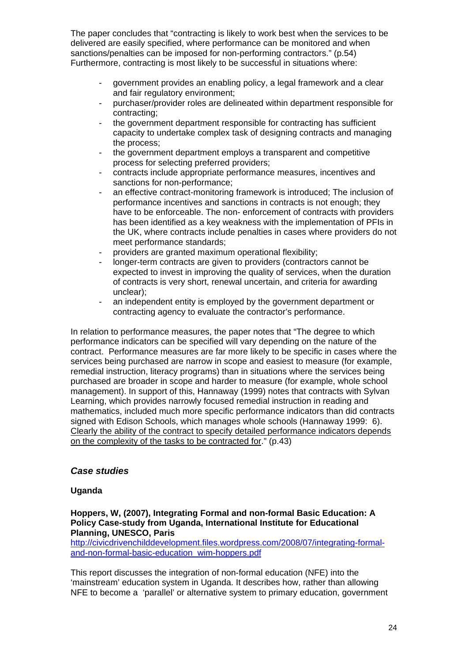The paper concludes that "contracting is likely to work best when the services to be delivered are easily specified, where performance can be monitored and when sanctions/penalties can be imposed for non-performing contractors." (p.54) Furthermore, contracting is most likely to be successful in situations where:

- government provides an enabling policy, a legal framework and a clear and fair regulatory environment;
- purchaser/provider roles are delineated within department responsible for contracting;
- the government department responsible for contracting has sufficient capacity to undertake complex task of designing contracts and managing the process;
- the government department employs a transparent and competitive process for selecting preferred providers;
- contracts include appropriate performance measures, incentives and sanctions for non-performance;
- an effective contract-monitoring framework is introduced; The inclusion of performance incentives and sanctions in contracts is not enough; they have to be enforceable. The non- enforcement of contracts with providers has been identified as a key weakness with the implementation of PFIs in the UK, where contracts include penalties in cases where providers do not meet performance standards;
- providers are granted maximum operational flexibility;
- longer-term contracts are given to providers (contractors cannot be expected to invest in improving the quality of services, when the duration of contracts is very short, renewal uncertain, and criteria for awarding unclear);
- an independent entity is employed by the government department or contracting agency to evaluate the contractor's performance.

In relation to performance measures, the paper notes that "The degree to which performance indicators can be specified will vary depending on the nature of the contract. Performance measures are far more likely to be specific in cases where the services being purchased are narrow in scope and easiest to measure (for example, remedial instruction, literacy programs) than in situations where the services being purchased are broader in scope and harder to measure (for example, whole school management). In support of this, Hannaway (1999) notes that contracts with Sylvan Learning, which provides narrowly focused remedial instruction in reading and mathematics, included much more specific performance indicators than did contracts signed with Edison Schools, which manages whole schools (Hannaway 1999: 6). Clearly the ability of the contract to specify detailed performance indicators depends on the complexity of the tasks to be contracted for." (p.43)

## <span id="page-23-0"></span>*Case studies*

#### **Uganda**

**Hoppers, W, (2007), Integrating Formal and non-formal Basic Education: A Policy Case-study from Uganda, International Institute for Educational Planning, UNESCO, Paris** 

[http://civicdrivenchilddevelopment.files.wordpress.com/2008/07/integrating-formal](http://civicdrivenchilddevelopment.files.wordpress.com/2008/07/integrating-formal-and-non-formal-basic-education_wim-hoppers.pdf)[and-non-formal-basic-education\\_wim-hoppers.pdf](http://civicdrivenchilddevelopment.files.wordpress.com/2008/07/integrating-formal-and-non-formal-basic-education_wim-hoppers.pdf) 

This report discusses the integration of non-formal education (NFE) into the 'mainstream' education system in Uganda. It describes how, rather than allowing NFE to become a 'parallel' or alternative system to primary education, government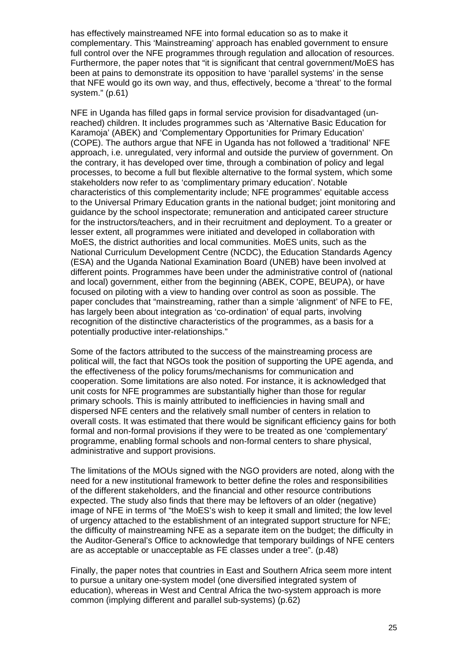has effectively mainstreamed NFE into formal education so as to make it complementary. This 'Mainstreaming' approach has enabled government to ensure full control over the NFE programmes through regulation and allocation of resources. Furthermore, the paper notes that "it is significant that central government/MoES has been at pains to demonstrate its opposition to have 'parallel systems' in the sense that NFE would go its own way, and thus, effectively, become a 'threat' to the formal system." (p.61)

NFE in Uganda has filled gaps in formal service provision for disadvantaged (unreached) children. It includes programmes such as 'Alternative Basic Education for Karamoja' (ABEK) and 'Complementary Opportunities for Primary Education' (COPE). The authors argue that NFE in Uganda has not followed a 'traditional' NFE approach, i.e. unregulated, very informal and outside the purview of government. On the contrary, it has developed over time, through a combination of policy and legal processes, to become a full but flexible alternative to the formal system, which some stakeholders now refer to as 'complimentary primary education'. Notable characteristics of this complementarity include; NFE programmes' equitable access to the Universal Primary Education grants in the national budget; joint monitoring and guidance by the school inspectorate; remuneration and anticipated career structure for the instructors/teachers, and in their recruitment and deployment. To a greater or lesser extent, all programmes were initiated and developed in collaboration with MoES, the district authorities and local communities. MoES units, such as the National Curriculum Development Centre (NCDC), the Education Standards Agency (ESA) and the Uganda National Examination Board (UNEB) have been involved at different points. Programmes have been under the administrative control of (national and local) government, either from the beginning (ABEK, COPE, BEUPA), or have focused on piloting with a view to handing over control as soon as possible. The paper concludes that "mainstreaming, rather than a simple 'alignment' of NFE to FE, has largely been about integration as 'co-ordination' of equal parts, involving recognition of the distinctive characteristics of the programmes, as a basis for a potentially productive inter-relationships."

Some of the factors attributed to the success of the mainstreaming process are political will, the fact that NGOs took the position of supporting the UPE agenda, and the effectiveness of the policy forums/mechanisms for communication and cooperation. Some limitations are also noted. For instance, it is acknowledged that unit costs for NFE programmes are substantially higher than those for regular primary schools. This is mainly attributed to inefficiencies in having small and dispersed NFE centers and the relatively small number of centers in relation to overall costs. It was estimated that there would be significant efficiency gains for both formal and non-formal provisions if they were to be treated as one 'complementary' programme, enabling formal schools and non-formal centers to share physical, administrative and support provisions.

The limitations of the MOUs signed with the NGO providers are noted, along with the need for a new institutional framework to better define the roles and responsibilities of the different stakeholders, and the financial and other resource contributions expected. The study also finds that there may be leftovers of an older (negative) image of NFE in terms of "the MoES's wish to keep it small and limited; the low level of urgency attached to the establishment of an integrated support structure for NFE; the difficulty of mainstreaming NFE as a separate item on the budget; the difficulty in the Auditor-General's Office to acknowledge that temporary buildings of NFE centers are as acceptable or unacceptable as FE classes under a tree". (p.48)

Finally, the paper notes that countries in East and Southern Africa seem more intent to pursue a unitary one-system model (one diversified integrated system of education), whereas in West and Central Africa the two-system approach is more common (implying different and parallel sub-systems) (p.62)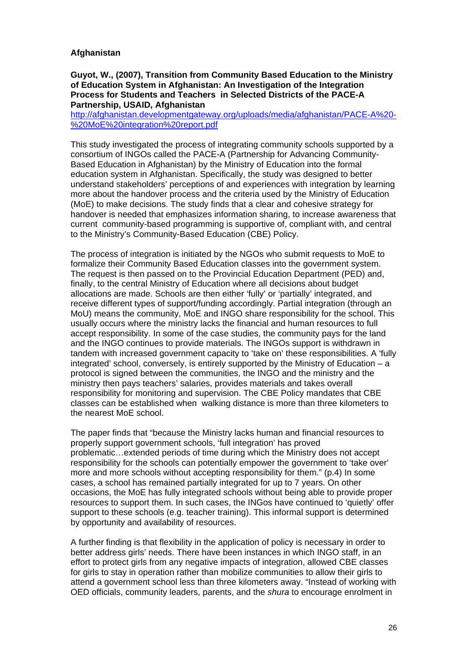#### **Afghanistan**

#### **Guyot, W., (2007), Transition from Community Based Education to the Ministry of Education System in Afghanistan: An Investigation of the Integration Process for Students and Teachers in Selected Districts of the PACE-A Partnership, USAID, Afghanistan**

[http://afghanistan.developmentgateway.org/uploads/media/afghanistan/PACE-A%20-](http://afghanistan.developmentgateway.org/uploads/media/afghanistan/PACE-A%20-%20MoE%20integration%20report.pdf) [%20MoE%20integration%20report.pdf](http://afghanistan.developmentgateway.org/uploads/media/afghanistan/PACE-A%20-%20MoE%20integration%20report.pdf)

This study investigated the process of integrating community schools supported by a consortium of INGOs called the PACE-A (Partnership for Advancing Community-Based Education in Afghanistan) by the Ministry of Education into the formal education system in Afghanistan. Specifically, the study was designed to better understand stakeholders' perceptions of and experiences with integration by learning more about the handover process and the criteria used by the Ministry of Education (MoE) to make decisions. The study finds that a clear and cohesive strategy for handover is needed that emphasizes information sharing, to increase awareness that current community-based programming is supportive of, compliant with, and central to the Ministry's Community-Based Education (CBE) Policy.

The process of integration is initiated by the NGOs who submit requests to MoE to formalize their Community Based Education classes into the government system. The request is then passed on to the Provincial Education Department (PED) and, finally, to the central Ministry of Education where all decisions about budget allocations are made. Schools are then either 'fully' or 'partially' integrated, and receive different types of support/funding accordingly. Partial integration (through an MoU) means the community, MoE and INGO share responsibility for the school. This usually occurs where the ministry lacks the financial and human resources to full accept responsibility. In some of the case studies, the community pays for the land and the INGO continues to provide materials. The INGOs support is withdrawn in tandem with increased government capacity to 'take on' these responsibilities. A 'fully integrated' school, conversely, is entirely supported by the Ministry of Education – a protocol is signed between the communities, the INGO and the ministry and the ministry then pays teachers' salaries, provides materials and takes overall responsibility for monitoring and supervision. The CBE Policy mandates that CBE classes can be established when walking distance is more than three kilometers to the nearest MoE school.

The paper finds that "because the Ministry lacks human and financial resources to properly support government schools, 'full integration' has proved problematic…extended periods of time during which the Ministry does not accept responsibility for the schools can potentially empower the government to 'take over' more and more schools without accepting responsibility for them." (p.4) In some cases, a school has remained partially integrated for up to 7 years. On other occasions, the MoE has fully integrated schools without being able to provide proper resources to support them. In such cases, the INGos have continued to 'quietly' offer support to these schools (e.g. teacher training). This informal support is determined by opportunity and availability of resources.

A further finding is that flexibility in the application of policy is necessary in order to better address girls' needs. There have been instances in which INGO staff, in an effort to protect girls from any negative impacts of integration, allowed CBE classes for girls to stay in operation rather than mobilize communities to allow their girls to attend a government school less than three kilometers away. "Instead of working with OED officials, community leaders, parents, and the *shura* to encourage enrolment in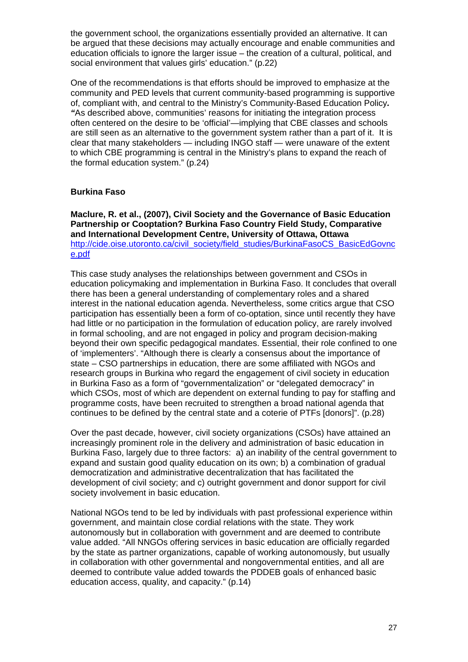the government school, the organizations essentially provided an alternative. It can be argued that these decisions may actually encourage and enable communities and education officials to ignore the larger issue – the creation of a cultural, political, and social environment that values girls' education." (p.22)

One of the recommendations is that efforts should be improved to emphasize at the community and PED levels that current community-based programming is supportive of, compliant with, and central to the Ministry's Community-Based Education Policy*. "*As described above, communities' reasons for initiating the integration process often centered on the desire to be 'official'—implying that CBE classes and schools are still seen as an alternative to the government system rather than a part of it. It is clear that many stakeholders — including INGO staff — were unaware of the extent to which CBE programming is central in the Ministry's plans to expand the reach of the formal education system." (p.24)

#### **Burkina Faso**

**Maclure, R. et al., (2007), Civil Society and the Governance of Basic Education Partnership or Cooptation? Burkina Faso Country Field Study, Comparative and International Development Centre, University of Ottawa, Ottawa**  [http://cide.oise.utoronto.ca/civil\\_society/field\\_studies/BurkinaFasoCS\\_BasicEdGovnc](http://cide.oise.utoronto.ca/civil_society/field_studies/BurkinaFasoCS_BasicEdGovnce.pdf) [e.pdf](http://cide.oise.utoronto.ca/civil_society/field_studies/BurkinaFasoCS_BasicEdGovnce.pdf)

This case study analyses the relationships between government and CSOs in education policymaking and implementation in Burkina Faso. It concludes that overall there has been a general understanding of complementary roles and a shared interest in the national education agenda. Nevertheless, some critics argue that CSO participation has essentially been a form of co-optation, since until recently they have had little or no participation in the formulation of education policy, are rarely involved in formal schooling, and are not engaged in policy and program decision-making beyond their own specific pedagogical mandates. Essential, their role confined to one of 'implementers'. "Although there is clearly a consensus about the importance of state – CSO partnerships in education, there are some affiliated with NGOs and research groups in Burkina who regard the engagement of civil society in education in Burkina Faso as a form of "governmentalization" or "delegated democracy" in which CSOs, most of which are dependent on external funding to pay for staffing and programme costs, have been recruited to strengthen a broad national agenda that continues to be defined by the central state and a coterie of PTFs [donors]". (p.28)

Over the past decade, however, civil society organizations (CSOs) have attained an increasingly prominent role in the delivery and administration of basic education in Burkina Faso, largely due to three factors: a) an inability of the central government to expand and sustain good quality education on its own; b) a combination of gradual democratization and administrative decentralization that has facilitated the development of civil society; and c) outright government and donor support for civil society involvement in basic education.

National NGOs tend to be led by individuals with past professional experience within government, and maintain close cordial relations with the state. They work autonomously but in collaboration with government and are deemed to contribute value added. "All NNGOs offering services in basic education are officially regarded by the state as partner organizations, capable of working autonomously, but usually in collaboration with other governmental and nongovernmental entities, and all are deemed to contribute value added towards the PDDEB goals of enhanced basic education access, quality, and capacity." (p.14)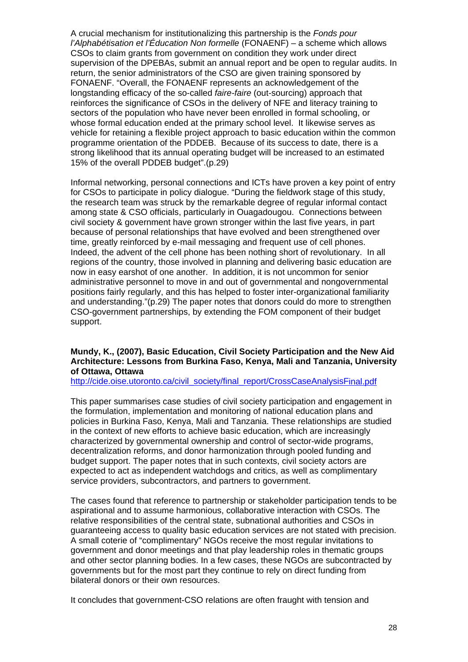A crucial mechanism for institutionalizing this partnership is the *Fonds pour l'Alphabétisation et l'Éducation Non formelle* (FONAENF) – a scheme which allows CSOs to claim grants from government on condition they work under direct supervision of the DPEBAs, submit an annual report and be open to regular audits. In return, the senior administrators of the CSO are given training sponsored by FONAENF. "Overall, the FONAENF represents an acknowledgement of the longstanding efficacy of the so-called *faire-faire* (out-sourcing) approach that reinforces the significance of CSOs in the delivery of NFE and literacy training to sectors of the population who have never been enrolled in formal schooling, or whose formal education ended at the primary school level. It likewise serves as vehicle for retaining a flexible project approach to basic education within the common programme orientation of the PDDEB. Because of its success to date, there is a strong likelihood that its annual operating budget will be increased to an estimated 15% of the overall PDDEB budget".(p.29)

Informal networking, personal connections and ICTs have proven a key point of entry for CSOs to participate in policy dialogue. "During the fieldwork stage of this study, the research team was struck by the remarkable degree of regular informal contact among state & CSO officials, particularly in Ouagadougou. Connections between civil society & government have grown stronger within the last five years, in part because of personal relationships that have evolved and been strengthened over time, greatly reinforced by e-mail messaging and frequent use of cell phones. Indeed, the advent of the cell phone has been nothing short of revolutionary. In all regions of the country, those involved in planning and delivering basic education are now in easy earshot of one another. In addition, it is not uncommon for senior administrative personnel to move in and out of governmental and nongovernmental positions fairly regularly, and this has helped to foster inter-organizational familiarity and understanding."(p.29) The paper notes that donors could do more to strengthen CSO-government partnerships, by extending the FOM component of their budget support.

#### **Mundy, K., (2007), Basic Education, Civil Society Participation and the New Aid Architecture: Lessons from Burkina Faso, Kenya, Mali and Tanzania, University of Ottawa, Ottawa**

[http://cide.oise.utoronto.ca/civil\\_society/final\\_report/CrossCaseAnalysisFinal.pdf](http://cide.oise.utoronto.ca/civil_society/final_report/CrossCaseAnalysisFinal.pdf)

This paper summarises case studies of civil society participation and engagement in the formulation, implementation and monitoring of national education plans and policies in Burkina Faso, Kenya, Mali and Tanzania. These relationships are studied in the context of new efforts to achieve basic education, which are increasingly characterized by governmental ownership and control of sector-wide programs, decentralization reforms, and donor harmonization through pooled funding and budget support. The paper notes that in such contexts, civil society actors are expected to act as independent watchdogs and critics, as well as complimentary service providers, subcontractors, and partners to government.

The cases found that reference to partnership or stakeholder participation tends to be aspirational and to assume harmonious, collaborative interaction with CSOs. The relative responsibilities of the central state, subnational authorities and CSOs in guaranteeing access to quality basic education services are not stated with precision. A small coterie of "complimentary" NGOs receive the most regular invitations to government and donor meetings and that play leadership roles in thematic groups and other sector planning bodies. In a few cases, these NGOs are subcontracted by governments but for the most part they continue to rely on direct funding from bilateral donors or their own resources.

It concludes that government-CSO relations are often fraught with tension and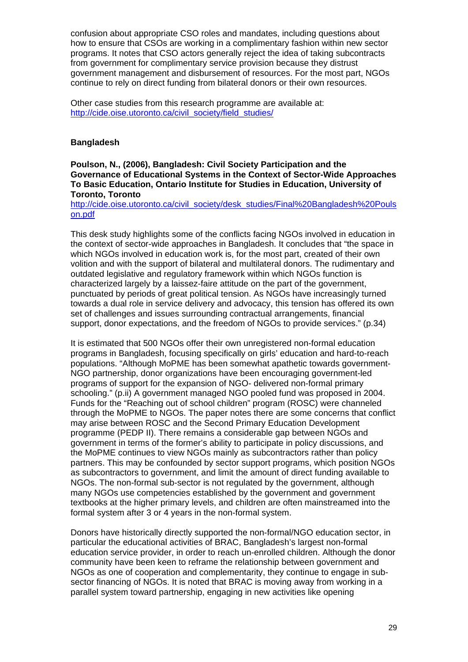confusion about appropriate CSO roles and mandates, including questions about how to ensure that CSOs are working in a complimentary fashion within new sector programs. It notes that CSO actors generally reject the idea of taking subcontracts from government for complimentary service provision because they distrust government management and disbursement of resources. For the most part, NGOs continue to rely on direct funding from bilateral donors or their own resources.

Other case studies from this research programme are available at: http://cide.oise.utoronto.ca/civil\_society/field\_studies/

#### **Bangladesh**

**Poulson, N., (2006), Bangladesh: Civil Society Participation and the Governance of Educational Systems in the Context of Sector-Wide Approaches To Basic Education, Ontario Institute for Studies in Education, University of Toronto, Toronto** 

[http://cide.oise.utoronto.ca/civil\\_society/desk\\_studies/Final%20Bangladesh%20Pouls](http://cide.oise.utoronto.ca/civil_society/desk_studies/Final%20Bangladesh%20Poulson.pdf) [on.pdf](http://cide.oise.utoronto.ca/civil_society/desk_studies/Final%20Bangladesh%20Poulson.pdf)

This desk study highlights some of the conflicts facing NGOs involved in education in the context of sector-wide approaches in Bangladesh. It concludes that "the space in which NGOs involved in education work is, for the most part, created of their own volition and with the support of bilateral and multilateral donors. The rudimentary and outdated legislative and regulatory framework within which NGOs function is characterized largely by a laissez-faire attitude on the part of the government, punctuated by periods of great political tension. As NGOs have increasingly turned towards a dual role in service delivery and advocacy, this tension has offered its own set of challenges and issues surrounding contractual arrangements, financial support, donor expectations, and the freedom of NGOs to provide services." (p.34)

It is estimated that 500 NGOs offer their own unregistered non-formal education programs in Bangladesh, focusing specifically on girls' education and hard-to-reach populations. "Although MoPME has been somewhat apathetic towards government-NGO partnership, donor organizations have been encouraging government-led programs of support for the expansion of NGO- delivered non-formal primary schooling." (p.ii) A government managed NGO pooled fund was proposed in 2004. Funds for the "Reaching out of school children" program (ROSC) were channeled through the MoPME to NGOs. The paper notes there are some concerns that conflict may arise between ROSC and the Second Primary Education Development programme (PEDP II). There remains a considerable gap between NGOs and government in terms of the former's ability to participate in policy discussions, and the MoPME continues to view NGOs mainly as subcontractors rather than policy partners. This may be confounded by sector support programs, which position NGOs as subcontractors to government, and limit the amount of direct funding available to NGOs. The non-formal sub-sector is not regulated by the government, although many NGOs use competencies established by the government and government textbooks at the higher primary levels, and children are often mainstreamed into the formal system after 3 or 4 years in the non-formal system.

Donors have historically directly supported the non-formal/NGO education sector, in particular the educational activities of BRAC, Bangladesh's largest non-formal education service provider, in order to reach un-enrolled children. Although the donor community have been keen to reframe the relationship between government and NGOs as one of cooperation and complementarity, they continue to engage in subsector financing of NGOs. It is noted that BRAC is moving away from working in a parallel system toward partnership, engaging in new activities like opening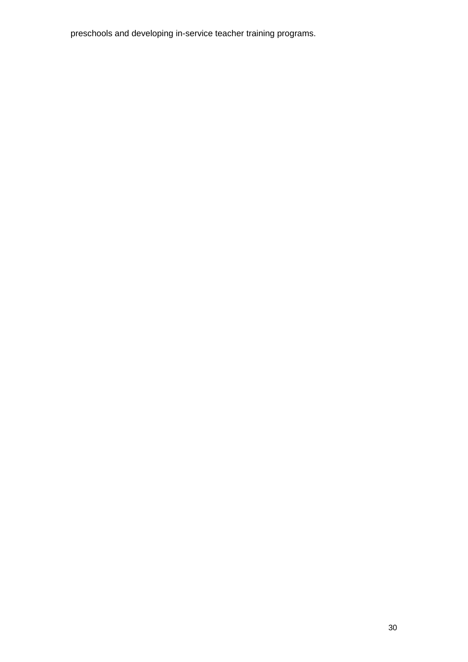preschools and developing in-service teacher training programs.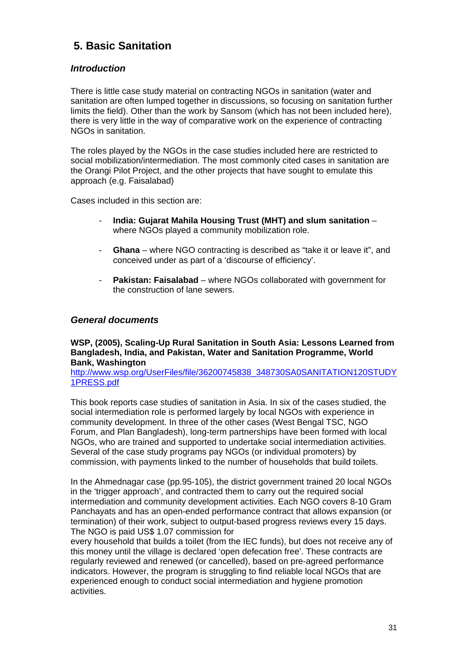## <span id="page-30-0"></span>**5. Basic Sanitation**

## *Introduction*

<span id="page-30-1"></span>There is little case study material on contracting NGOs in sanitation (water and sanitation are often lumped together in discussions, so focusing on sanitation further limits the field). Other than the work by Sansom (which has not been included here), there is very little in the way of comparative work on the experience of contracting NGOs in sanitation.

The roles played by the NGOs in the case studies included here are restricted to social mobilization/intermediation. The most commonly cited cases in sanitation are the Orangi Pilot Project, and the other projects that have sought to emulate this approach (e.g. Faisalabad)

Cases included in this section are:

- **India: Gujarat Mahila Housing Trust (MHT) and slum sanitation** where NGOs played a community mobilization role.
- **Ghana** where NGO contracting is described as "take it or leave it", and conceived under as part of a 'discourse of efficiency'.
- **Pakistan: Faisalabad** where NGOs collaborated with government for the construction of lane sewers.

### <span id="page-30-2"></span>*General documents*

#### **WSP, (2005), Scaling-Up Rural Sanitation in South Asia: Lessons Learned from Bangladesh, India, and Pakistan, Water and Sanitation Programme, World Bank, Washington**

[http://www.wsp.org/UserFiles/file/36200745838\\_348730SA0SANITATION120STUDY](http://www.wsp.org/UserFiles/file/36200745838_348730SA0SANITATION120STUDY1PRESS.pdf) [1PRESS.pdf](http://www.wsp.org/UserFiles/file/36200745838_348730SA0SANITATION120STUDY1PRESS.pdf) 

This book reports case studies of sanitation in Asia. In six of the cases studied, the social intermediation role is performed largely by local NGOs with experience in community development. In three of the other cases (West Bengal TSC, NGO Forum, and Plan Bangladesh), long-term partnerships have been formed with local NGOs, who are trained and supported to undertake social intermediation activities. Several of the case study programs pay NGOs (or individual promoters) by commission, with payments linked to the number of households that build toilets.

In the Ahmednagar case (pp.95-105), the district government trained 20 local NGOs in the 'trigger approach', and contracted them to carry out the required social intermediation and community development activities. Each NGO covers 8-10 Gram Panchayats and has an open-ended performance contract that allows expansion (or termination) of their work, subject to output-based progress reviews every 15 days. The NGO is paid US\$ 1.07 commission for

every household that builds a toilet (from the IEC funds), but does not receive any of this money until the village is declared 'open defecation free'. These contracts are regularly reviewed and renewed (or cancelled), based on pre-agreed performance indicators. However, the program is struggling to find reliable local NGOs that are experienced enough to conduct social intermediation and hygiene promotion activities.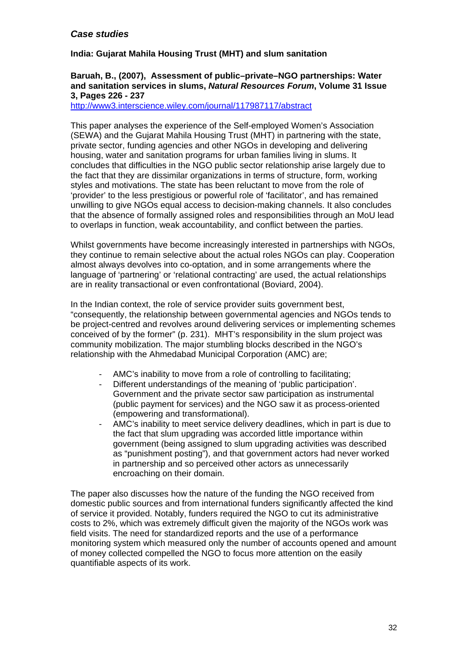## <span id="page-31-0"></span>*Case studies*

### **India: Gujarat Mahila Housing Trust (MHT) and slum sanitation**

#### **Baruah, B., (2007), Assessment of public–private–NGO partnerships: Water and sanitation services in slums,** *Natural Resources Forum***, [Volume 31 Issue](http://www3.interscience.wiley.com/journal/117987107/issue)  [3,](http://www3.interscience.wiley.com/journal/117987107/issue) Pages 226 - 237**

<http://www3.interscience.wiley.com/journal/117987117/abstract>

This paper analyses the experience of the Self-employed Women's Association (SEWA) and the Gujarat Mahila Housing Trust (MHT) in partnering with the state, private sector, funding agencies and other NGOs in developing and delivering housing, water and sanitation programs for urban families living in slums. It concludes that difficulties in the NGO public sector relationship arise largely due to the fact that they are dissimilar organizations in terms of structure, form, working styles and motivations. The state has been reluctant to move from the role of 'provider' to the less prestigious or powerful role of 'facilitator', and has remained unwilling to give NGOs equal access to decision-making channels. It also concludes that the absence of formally assigned roles and responsibilities through an MoU lead to overlaps in function, weak accountability, and conflict between the parties.

Whilst governments have become increasingly interested in partnerships with NGOs, they continue to remain selective about the actual roles NGOs can play. Cooperation almost always devolves into co-optation, and in some arrangements where the language of 'partnering' or 'relational contracting' are used, the actual relationships are in reality transactional or even confrontational (Boviard, 2004).

In the Indian context, the role of service provider suits government best, "consequently, the relationship between governmental agencies and NGOs tends to be project-centred and revolves around delivering services or implementing schemes conceived of by the former" (p. 231). MHT's responsibility in the slum project was community mobilization. The major stumbling blocks described in the NGO's relationship with the Ahmedabad Municipal Corporation (AMC) are;

- AMC's inability to move from a role of controlling to facilitating;
- Different understandings of the meaning of 'public participation'. Government and the private sector saw participation as instrumental (public payment for services) and the NGO saw it as process-oriented (empowering and transformational).
- AMC's inability to meet service delivery deadlines, which in part is due to the fact that slum upgrading was accorded little importance within government (being assigned to slum upgrading activities was described as "punishment posting"), and that government actors had never worked in partnership and so perceived other actors as unnecessarily encroaching on their domain.

The paper also discusses how the nature of the funding the NGO received from domestic public sources and from international funders significantly affected the kind of service it provided. Notably, funders required the NGO to cut its administrative costs to 2%, which was extremely difficult given the majority of the NGOs work was field visits. The need for standardized reports and the use of a performance monitoring system which measured only the number of accounts opened and amount of money collected compelled the NGO to focus more attention on the easily quantifiable aspects of its work.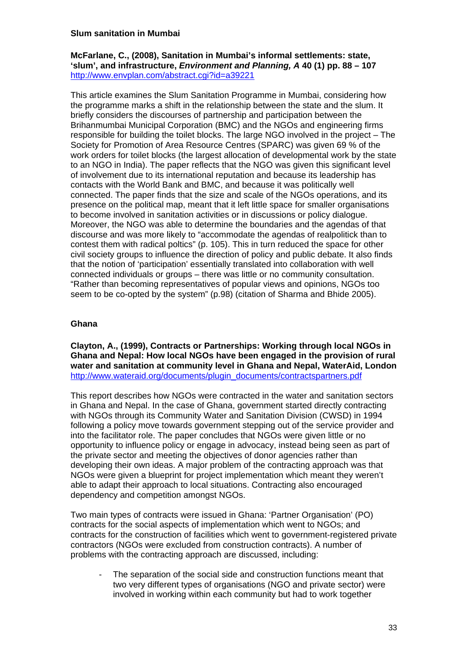#### **Slum sanitation in Mumbai**

**McFarlane, C., (2008), Sanitation in Mumbai's informal settlements: state, 'slum', and infrastructure,** *Environment and Planning, A* **40 (1) pp. 88 – 107**  <http://www.envplan.com/abstract.cgi?id=a39221>

This article examines the Slum Sanitation Programme in Mumbai, considering how the programme marks a shift in the relationship between the state and the slum. It briefly considers the discourses of partnership and participation between the Brihanmumbai Municipal Corporation (BMC) and the NGOs and engineering firms responsible for building the toilet blocks. The large NGO involved in the project – The Society for Promotion of Area Resource Centres (SPARC) was given 69 % of the work orders for toilet blocks (the largest allocation of developmental work by the state to an NGO in India). The paper reflects that the NGO was given this significant level of involvement due to its international reputation and because its leadership has contacts with the World Bank and BMC, and because it was politically well connected. The paper finds that the size and scale of the NGOs operations, and its presence on the political map, meant that it left little space for smaller organisations to become involved in sanitation activities or in discussions or policy dialogue. Moreover, the NGO was able to determine the boundaries and the agendas of that discourse and was more likely to "accommodate the agendas of realpolitick than to contest them with radical poltics" (p. 105). This in turn reduced the space for other civil society groups to influence the direction of policy and public debate. It also finds that the notion of 'participation' essentially translated into collaboration with well connected individuals or groups – there was little or no community consultation. "Rather than becoming representatives of popular views and opinions, NGOs too seem to be co-opted by the system" (p.98) (citation of Sharma and Bhide 2005).

#### **Ghana**

**Clayton, A., (1999), Contracts or Partnerships: Working through local NGOs in Ghana and Nepal: How local NGOs have been engaged in the provision of rural water and sanitation at community level in Ghana and Nepal, WaterAid, London**  [http://www.wateraid.org/documents/plugin\\_documents/contractspartners.pdf](http://www.wateraid.org/documents/plugin_documents/contractspartners.pdf)

This report describes how NGOs were contracted in the water and sanitation sectors in Ghana and Nepal. In the case of Ghana, government started directly contracting with NGOs through its Community Water and Sanitation Division (CWSD) in 1994 following a policy move towards government stepping out of the service provider and into the facilitator role. The paper concludes that NGOs were given little or no opportunity to influence policy or engage in advocacy, instead being seen as part of the private sector and meeting the objectives of donor agencies rather than developing their own ideas. A major problem of the contracting approach was that NGOs were given a blueprint for project implementation which meant they weren't able to adapt their approach to local situations. Contracting also encouraged dependency and competition amongst NGOs.

Two main types of contracts were issued in Ghana: 'Partner Organisation' (PO) contracts for the social aspects of implementation which went to NGOs; and contracts for the construction of facilities which went to government-registered private contractors (NGOs were excluded from construction contracts). A number of problems with the contracting approach are discussed, including:

The separation of the social side and construction functions meant that two very different types of organisations (NGO and private sector) were involved in working within each community but had to work together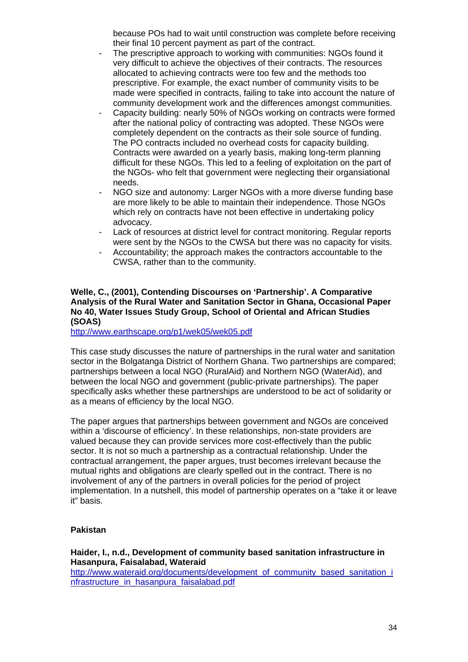because POs had to wait until construction was complete before receiving their final 10 percent payment as part of the contract.

- The prescriptive approach to working with communities: NGOs found it very difficult to achieve the objectives of their contracts. The resources allocated to achieving contracts were too few and the methods too prescriptive. For example, the exact number of community visits to be made were specified in contracts, failing to take into account the nature of community development work and the differences amongst communities.
- Capacity building: nearly 50% of NGOs working on contracts were formed after the national policy of contracting was adopted. These NGOs were completely dependent on the contracts as their sole source of funding. The PO contracts included no overhead costs for capacity building. Contracts were awarded on a yearly basis, making long-term planning difficult for these NGOs. This led to a feeling of exploitation on the part of the NGOs- who felt that government were neglecting their organsiational needs.
- NGO size and autonomy: Larger NGOs with a more diverse funding base are more likely to be able to maintain their independence. Those NGOs which rely on contracts have not been effective in undertaking policy advocacy.
- Lack of resources at district level for contract monitoring. Regular reports were sent by the NGOs to the CWSA but there was no capacity for visits.
- Accountability; the approach makes the contractors accountable to the CWSA, rather than to the community.

#### **Welle, C., (2001), Contending Discourses on 'Partnership'. A Comparative Analysis of the Rural Water and Sanitation Sector in Ghana, Occasional Paper No 40, Water Issues Study Group, School of Oriental and African Studies (SOAS)**

<http://www.earthscape.org/p1/wek05/wek05.pdf>

This case study discusses the nature of partnerships in the rural water and sanitation sector in the Bolgatanga District of Northern Ghana. Two partnerships are compared; partnerships between a local NGO (RuralAid) and Northern NGO (WaterAid), and between the local NGO and government (public-private partnerships). The paper specifically asks whether these partnerships are understood to be act of solidarity or as a means of efficiency by the local NGO.

The paper argues that partnerships between government and NGOs are conceived within a 'discourse of efficiency'. In these relationships, non-state providers are valued because they can provide services more cost-effectively than the public sector. It is not so much a partnership as a contractual relationship. Under the contractual arrangement, the paper argues, trust becomes irrelevant because the mutual rights and obligations are clearly spelled out in the contract. There is no involvement of any of the partners in overall policies for the period of project implementation. In a nutshell, this model of partnership operates on a "take it or leave it" basis.

#### **Pakistan**

#### **Haider, I., n.d., Development of community based sanitation infrastructure in Hasanpura, Faisalabad, Wateraid**

[http://www.wateraid.org/documents/development\\_of\\_community\\_based\\_sanitation\\_i](http://www.wateraid.org/documents/development_of_community_based_sanitation_infrastructure_in_hasanpura_faisalabad.pdf) [nfrastructure\\_in\\_hasanpura\\_faisalabad.pdf](http://www.wateraid.org/documents/development_of_community_based_sanitation_infrastructure_in_hasanpura_faisalabad.pdf)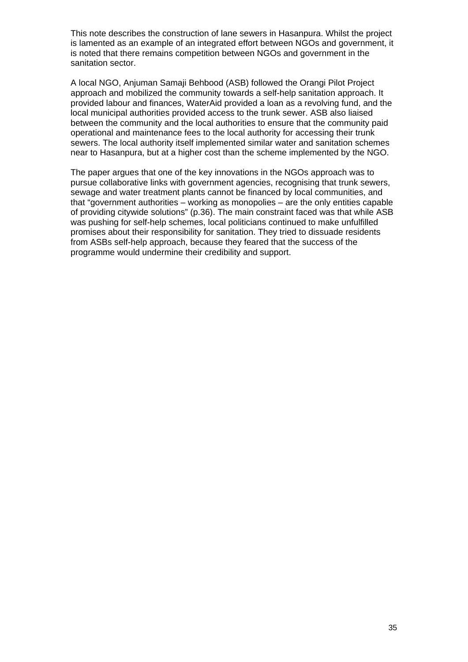This note describes the construction of lane sewers in Hasanpura. Whilst the project is lamented as an example of an integrated effort between NGOs and government, it is noted that there remains competition between NGOs and government in the sanitation sector.

A local NGO, Anjuman Samaji Behbood (ASB) followed the Orangi Pilot Project approach and mobilized the community towards a self-help sanitation approach. It provided labour and finances, WaterAid provided a loan as a revolving fund, and the local municipal authorities provided access to the trunk sewer. ASB also liaised between the community and the local authorities to ensure that the community paid operational and maintenance fees to the local authority for accessing their trunk sewers. The local authority itself implemented similar water and sanitation schemes near to Hasanpura, but at a higher cost than the scheme implemented by the NGO.

The paper argues that one of the key innovations in the NGOs approach was to pursue collaborative links with government agencies, recognising that trunk sewers, sewage and water treatment plants cannot be financed by local communities, and that "government authorities – working as monopolies – are the only entities capable of providing citywide solutions" (p.36). The main constraint faced was that while ASB was pushing for self-help schemes, local politicians continued to make unfulfilled promises about their responsibility for sanitation. They tried to dissuade residents from ASBs self-help approach, because they feared that the success of the programme would undermine their credibility and support.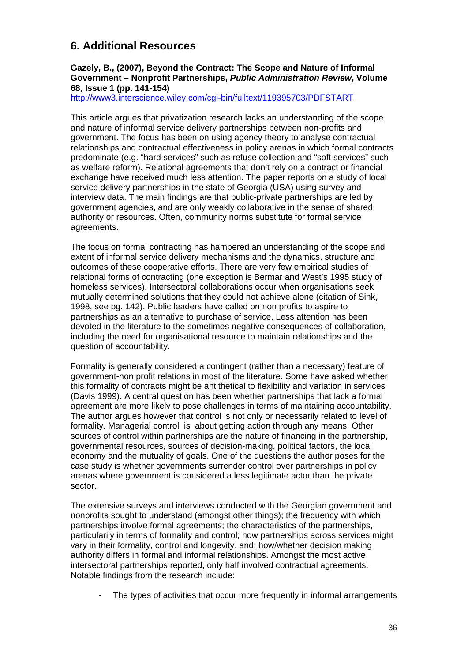## <span id="page-35-0"></span>**6. Additional Resources**

#### **Gazely, B., (2007), Beyond the Contract: The Scope and Nature of Informal Government – Nonprofit Partnerships,** *[Public Administration Review](http://www3.interscience.wiley.com/journal/118484994/home)***, [Volume](http://www3.interscience.wiley.com/journal/119395687/issue)  [68, Issue 1](http://www3.interscience.wiley.com/journal/119395687/issue) (pp. 141-154)**

<http://www3.interscience.wiley.com/cgi-bin/fulltext/119395703/PDFSTART>

This article argues that privatization research lacks an understanding of the scope and nature of informal service delivery partnerships between non-profits and government. The focus has been on using agency theory to analyse contractual relationships and contractual effectiveness in policy arenas in which formal contracts predominate (e.g. "hard services" such as refuse collection and "soft services" such as welfare reform). Relational agreements that don't rely on a contract or financial exchange have received much less attention. The paper reports on a study of local service delivery partnerships in the state of Georgia (USA) using survey and interview data. The main findings are that public-private partnerships are led by government agencies, and are only weakly collaborative in the sense of shared authority or resources. Often, community norms substitute for formal service agreements.

The focus on formal contracting has hampered an understanding of the scope and extent of informal service delivery mechanisms and the dynamics, structure and outcomes of these cooperative efforts. There are very few empirical studies of relational forms of contracting (one exception is Bermar and West's 1995 study of homeless services). Intersectoral collaborations occur when organisations seek mutually determined solutions that they could not achieve alone (citation of Sink, 1998, see pg. 142). Public leaders have called on non profits to aspire to partnerships as an alternative to purchase of service. Less attention has been devoted in the literature to the sometimes negative consequences of collaboration, including the need for organisational resource to maintain relationships and the question of accountability.

Formality is generally considered a contingent (rather than a necessary) feature of government-non profit relations in most of the literature. Some have asked whether this formality of contracts might be antithetical to flexibility and variation in services (Davis 1999). A central question has been whether partnerships that lack a formal agreement are more likely to pose challenges in terms of maintaining accountability. The author argues however that control is not only or necessarily related to level of formality. Managerial control is about getting action through any means. Other sources of control within partnerships are the nature of financing in the partnership, governmental resources, sources of decision-making, political factors, the local economy and the mutuality of goals. One of the questions the author poses for the case study is whether governments surrender control over partnerships in policy arenas where government is considered a less legitimate actor than the private sector.

The extensive surveys and interviews conducted with the Georgian government and nonprofits sought to understand (amongst other things); the frequency with which partnerships involve formal agreements; the characteristics of the partnerships, particularily in terms of formality and control; how partnerships across services might vary in their formality, control and longevity, and; how/whether decision making authority differs in formal and informal relationships. Amongst the most active intersectoral partnerships reported, only half involved contractual agreements. Notable findings from the research include:

The types of activities that occur more frequently in informal arrangements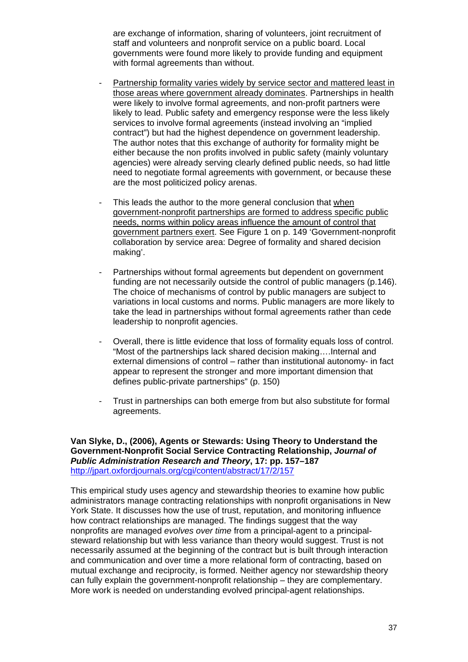are exchange of information, sharing of volunteers, joint recruitment of staff and volunteers and nonprofit service on a public board. Local governments were found more likely to provide funding and equipment with formal agreements than without.

- Partnership formality varies widely by service sector and mattered least in those areas where government already dominates. Partnerships in health were likely to involve formal agreements, and non-profit partners were likely to lead. Public safety and emergency response were the less likely services to involve formal agreements (instead involving an "implied contract") but had the highest dependence on government leadership. The author notes that this exchange of authority for formality might be either because the non profits involved in public safety (mainly voluntary agencies) were already serving clearly defined public needs, so had little need to negotiate formal agreements with government, or because these are the most politicized policy arenas.
- This leads the author to the more general conclusion that when government-nonprofit partnerships are formed to address specific public needs, norms within policy areas influence the amount of control that government partners exert. See Figure 1 on p. 149 'Government-nonprofit collaboration by service area: Degree of formality and shared decision making'.
- Partnerships without formal agreements but dependent on government funding are not necessarily outside the control of public managers (p.146). The choice of mechanisms of control by public managers are subject to variations in local customs and norms. Public managers are more likely to take the lead in partnerships without formal agreements rather than cede leadership to nonprofit agencies.
- Overall, there is little evidence that loss of formality equals loss of control. "Most of the partnerships lack shared decision making….Internal and external dimensions of control – rather than institutional autonomy- in fact appear to represent the stronger and more important dimension that defines public-private partnerships" (p. 150)
- Trust in partnerships can both emerge from but also substitute for formal agreements.

**Van Slyke, D., (2006), Agents or Stewards: Using Theory to Understand the Government-Nonprofit Social Service Contracting Relationship,** *Journal of Public Administration Research and Theory***, 17: pp. 157–187**  <http://jpart.oxfordjournals.org/cgi/content/abstract/17/2/157>

This empirical study uses agency and stewardship theories to examine how public administrators manage contracting relationships with nonprofit organisations in New York State. It discusses how the use of trust, reputation, and monitoring influence how contract relationships are managed. The findings suggest that the way nonprofits are managed *evolves over time* from a principal-agent to a principalsteward relationship but with less variance than theory would suggest. Trust is not necessarily assumed at the beginning of the contract but is built through interaction and communication and over time a more relational form of contracting, based on mutual exchange and reciprocity, is formed. Neither agency nor stewardship theory can fully explain the government-nonprofit relationship – they are complementary. More work is needed on understanding evolved principal-agent relationships.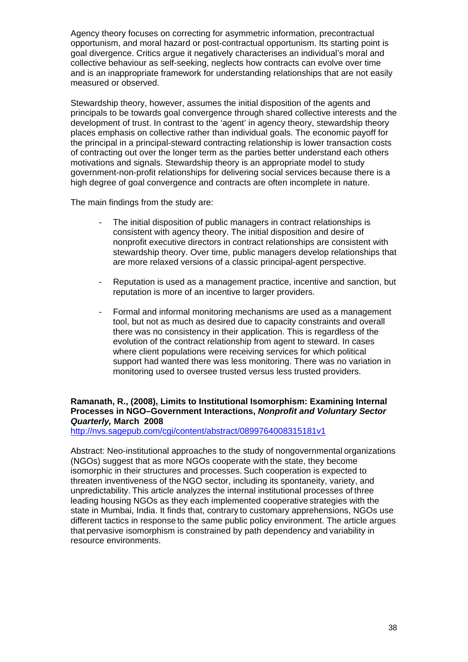Agency theory focuses on correcting for asymmetric information, precontractual opportunism, and moral hazard or post-contractual opportunism. Its starting point is goal divergence. Critics argue it negatively characterises an individual's moral and collective behaviour as self-seeking, neglects how contracts can evolve over time and is an inappropriate framework for understanding relationships that are not easily measured or observed.

Stewardship theory, however, assumes the initial disposition of the agents and principals to be towards goal convergence through shared collective interests and the development of trust. In contrast to the 'agent' in agency theory, stewardship theory places emphasis on collective rather than individual goals. The economic payoff for the principal in a principal-steward contracting relationship is lower transaction costs of contracting out over the longer term as the parties better understand each others motivations and signals. Stewardship theory is an appropriate model to study government-non-profit relationships for delivering social services because there is a high degree of goal convergence and contracts are often incomplete in nature.

The main findings from the study are:

- The initial disposition of public managers in contract relationships is consistent with agency theory. The initial disposition and desire of nonprofit executive directors in contract relationships are consistent with stewardship theory. Over time, public managers develop relationships that are more relaxed versions of a classic principal-agent perspective.
- Reputation is used as a management practice, incentive and sanction, but reputation is more of an incentive to larger providers.
- Formal and informal monitoring mechanisms are used as a management tool, but not as much as desired due to capacity constraints and overall there was no consistency in their application. This is regardless of the evolution of the contract relationship from agent to steward. In cases where client populations were receiving services for which political support had wanted there was less monitoring. There was no variation in monitoring used to oversee trusted versus less trusted providers.

### **Ramanath, R., (2008), Limits to Institutional Isomorphism: Examining Internal Processes in NGO–Government Interactions,** *Nonprofit and Voluntary Sector Quarterly,* **March 2008**

<http://nvs.sagepub.com/cgi/content/abstract/0899764008315181v1>

Abstract: Neo-institutional approaches to the study of nongovernmental organizations (NGOs) suggest that as more NGOs cooperate with the state, they become isomorphic in their structures and processes. Such cooperation is expected to threaten inventiveness of the NGO sector, including its spontaneity, variety, and unpredictability. This article analyzes the internal institutional processes of three leading housing NGOs as they each implemented cooperative strategies with the state in Mumbai, India. It finds that, contrary to customary apprehensions, NGOs use different tactics in response to the same public policy environment. The article argues that pervasive isomorphism is constrained by path dependency and variability in resource environments.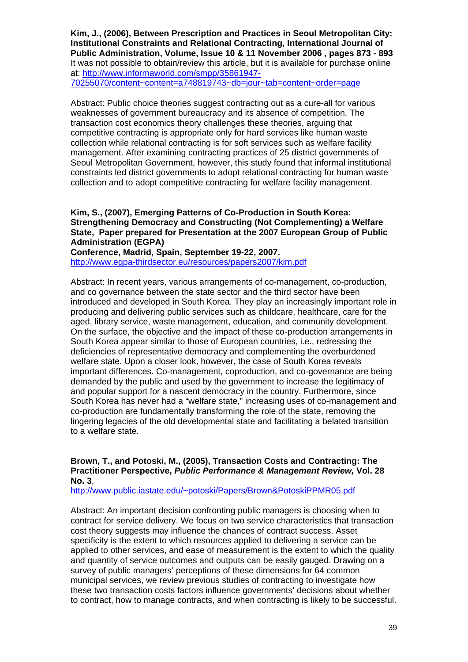**Kim, J., (2006), Between Prescription and Practices in Seoul Metropolitan City: Institutional Constraints and Relational Contracting, International Journal of Public Administration, Volume, Issue 10 & 11 November 2006 , pages 873 - 893**  It was not possible to obtain/review this article, but it is available for purchase online at: [http://www.informaworld.com/smpp/35861947-](http://www.informaworld.com/smpp/35861947-70255070/content%7Econtent=a748819743%7Edb=jour%7Etab=content%7Eorder=page) [70255070/content~content=a748819743~db=jour~tab=content~order=page](http://www.informaworld.com/smpp/35861947-70255070/content%7Econtent=a748819743%7Edb=jour%7Etab=content%7Eorder=page)

Abstract: Public choice theories suggest contracting out as a cure-all for various weaknesses of government bureaucracy and its absence of competition. The transaction cost economics theory challenges these theories, arguing that competitive contracting is appropriate only for hard services like human waste collection while relational contracting is for soft services such as welfare facility management. After examining contracting practices of 25 district governments of Seoul Metropolitan Government, however, this study found that informal institutional constraints led district governments to adopt relational contracting for human waste collection and to adopt competitive contracting for welfare facility management.

#### **Kim, S., (2007), Emerging Patterns of Co-Production in South Korea: Strengthening Democracy and Constructing (Not Complementing) a Welfare State, Paper prepared for Presentation at the 2007 European Group of Public Administration (EGPA)**

**Conference, Madrid, Spain, September 19-22, 2007.**  <http://www.egpa-thirdsector.eu/resources/papers2007/kim.pdf>

Abstract: In recent years, various arrangements of co-management, co-production, and co governance between the state sector and the third sector have been introduced and developed in South Korea. They play an increasingly important role in producing and delivering public services such as childcare, healthcare, care for the aged, library service, waste management, education, and community development. On the surface, the objective and the impact of these co-production arrangements in South Korea appear similar to those of European countries, i.e., redressing the deficiencies of representative democracy and complementing the overburdened welfare state. Upon a closer look, however, the case of South Korea reveals important differences. Co-management, coproduction, and co-governance are being demanded by the public and used by the government to increase the legitimacy of and popular support for a nascent democracy in the country. Furthermore, since South Korea has never had a "welfare state," increasing uses of co-management and co-production are fundamentally transforming the role of the state, removing the lingering legacies of the old developmental state and facilitating a belated transition to a welfare state.

#### **Brown, T., and Potoski, M., (2005), Transaction Costs and Contracting: The Practitioner Perspective,** *Public Performance & Management Review,* **Vol. 28 No. 3**,

[http://www.public.iastate.edu/~potoski/Papers/Brown&PotoskiPPMR05.pdf](http://www.public.iastate.edu/%7Epotoski/Papers/Brown&PotoskiPPMR05.pdf)

Abstract: An important decision confronting public managers is choosing when to contract for service delivery. We focus on two service characteristics that transaction cost theory suggests may influence the chances of contract success. Asset specificity is the extent to which resources applied to delivering a service can be applied to other services, and ease of measurement is the extent to which the quality and quantity of service outcomes and outputs can be easily gauged. Drawing on a survey of public managers' perceptions of these dimensions for 64 common municipal services, we review previous studies of contracting to investigate how these two transaction costs factors influence governments' decisions about whether to contract, how to manage contracts, and when contracting is likely to be successful.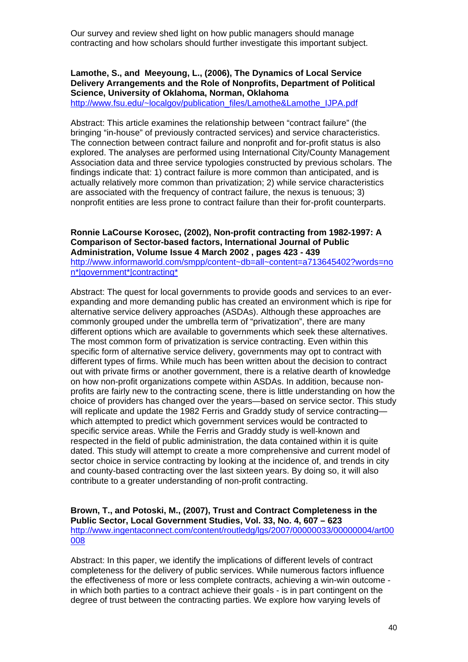Our survey and review shed light on how public managers should manage contracting and how scholars should further investigate this important subject.

## **Lamothe, S., and Meeyoung, L., (2006), The Dynamics of Local Service Delivery Arrangements and the Role of Nonprofits, Department of Political Science, University of Oklahoma, Norman, Oklahoma**

[http://www.fsu.edu/~localgov/publication\\_files/Lamothe&Lamothe\\_IJPA.pdf](http://www.fsu.edu/%7Elocalgov/publication_files/Lamothe&Lamothe_IJPA.pdf)

Abstract: This article examines the relationship between "contract failure" (the bringing "in-house" of previously contracted services) and service characteristics. The connection between contract failure and nonprofit and for-profit status is also explored. The analyses are performed using International City/County Management Association data and three service typologies constructed by previous scholars. The findings indicate that: 1) contract failure is more common than anticipated, and is actually relatively more common than privatization; 2) while service characteristics are associated with the frequency of contract failure, the nexus is tenuous; 3) nonprofit entities are less prone to contract failure than their for-profit counterparts.

#### **Ronnie LaCourse Korosec, (2002), Non-profit contracting from 1982-1997: A Comparison of Sector-based factors, International Journal of Public Administration, Volume Issue 4 March 2002 , pages 423 - 439**

[http://www.informaworld.com/smpp/content~db=all~content=a713645402?words=no](http://www.informaworld.com/smpp/content%7Edb=all%7Econtent=a713645402?words=non*|government*|contracting*) [n\\*|government\\*|contracting\\*](http://www.informaworld.com/smpp/content%7Edb=all%7Econtent=a713645402?words=non*|government*|contracting*)

Abstract: The quest for local governments to provide goods and services to an everexpanding and more demanding public has created an environment which is ripe for alternative service delivery approaches (ASDAs). Although these approaches are commonly grouped under the umbrella term of "privatization", there are many different options which are available to governments which seek these alternatives. The most common form of privatization is service contracting. Even within this specific form of alternative service delivery, governments may opt to contract with different types of firms. While much has been written about the decision to contract out with private firms or another government, there is a relative dearth of knowledge on how non-profit organizations compete within ASDAs. In addition, because nonprofits are fairly new to the contracting scene, there is little understanding on how the choice of providers has changed over the years—based on service sector. This study will replicate and update the 1982 Ferris and Graddy study of service contractingwhich attempted to predict which government services would be contracted to specific service areas. While the Ferris and Graddy study is well-known and respected in the field of public administration, the data contained within it is quite dated. This study will attempt to create a more comprehensive and current model of sector choice in service contracting by looking at the incidence of, and trends in city and county-based contracting over the last sixteen years. By doing so, it will also contribute to a greater understanding of non-profit contracting.

#### **Brown, T., and Potoski, M., (2007), Trust and Contract Completeness in the Public Sector, Local Government Studies, Vol. 33, No. 4, 607 – 623**  [http://www.ingentaconnect.com/content/routledg/lgs/2007/00000033/00000004/art00](http://www.ingentaconnect.com/content/routledg/lgs/2007/00000033/00000004/art00008) [008](http://www.ingentaconnect.com/content/routledg/lgs/2007/00000033/00000004/art00008)

Abstract: In this paper, we identify the implications of different levels of contract completeness for the delivery of public services. While numerous factors influence the effectiveness of more or less complete contracts, achieving a win-win outcome in which both parties to a contract achieve their goals - is in part contingent on the degree of trust between the contracting parties. We explore how varying levels of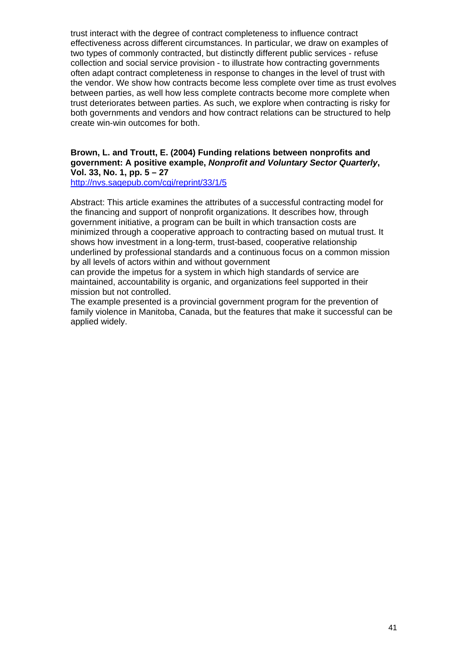trust interact with the degree of contract completeness to influence contract effectiveness across different circumstances. In particular, we draw on examples of two types of commonly contracted, but distinctly different public services - refuse collection and social service provision - to illustrate how contracting governments often adapt contract completeness in response to changes in the level of trust with the vendor. We show how contracts become less complete over time as trust evolves between parties, as well how less complete contracts become more complete when trust deteriorates between parties. As such, we explore when contracting is risky for both governments and vendors and how contract relations can be structured to help create win-win outcomes for both.

### **Brown, L. and Troutt, E. (2004) Funding relations between nonprofits and government: A positive example,** *Nonprofit and Voluntary Sector Quarterly***, Vol. 33, No. 1, pp. 5 – 27**

<http://nvs.sagepub.com/cgi/reprint/33/1/5>

Abstract: This article examines the attributes of a successful contracting model for the financing and support of nonprofit organizations. It describes how, through government initiative, a program can be built in which transaction costs are minimized through a cooperative approach to contracting based on mutual trust. It shows how investment in a long-term, trust-based, cooperative relationship underlined by professional standards and a continuous focus on a common mission by all levels of actors within and without government

can provide the impetus for a system in which high standards of service are maintained, accountability is organic, and organizations feel supported in their mission but not controlled.

The example presented is a provincial government program for the prevention of family violence in Manitoba, Canada, but the features that make it successful can be applied widely.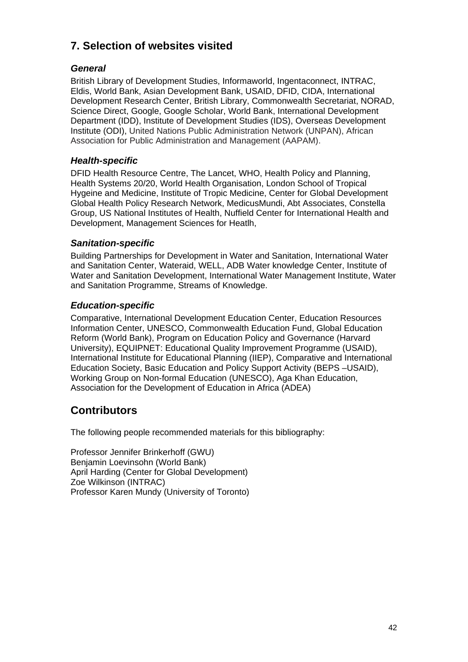## <span id="page-41-0"></span>**7. Selection of websites visited**

## *General*

British Library of Development Studies, Informaworld, Ingentaconnect, INTRAC, Eldis, World Bank, Asian Development Bank, USAID, DFID, CIDA, International Development Research Center, British Library, Commonwealth Secretariat, NORAD, Science Direct, Google, Google Scholar, World Bank, International Development Department (IDD), Institute of Development Studies (IDS), Overseas Development Institute (ODI), United Nations Public Administration Network (UNPAN), African Association for Public Administration and Management (AAPAM).

## *Health-specific*

DFID Health Resource Centre, The Lancet, WHO, Health Policy and Planning, Health Systems 20/20, World Health Organisation, London School of Tropical Hygeine and Medicine, Institute of Tropic Medicine, Center for Global Development Global Health Policy Research Network, MedicusMundi, Abt Associates, Constella Group, US National Institutes of Health, Nuffield Center for International Health and Development, Management Sciences for Heatlh,

## *Sanitation-specific*

Building Partnerships for Development in Water and Sanitation, International Water and Sanitation Center, Wateraid, WELL, ADB Water knowledge Center, Institute of Water and Sanitation Development, International Water Management Institute, Water and Sanitation Programme, Streams of Knowledge.

## *Education-specific*

Comparative, International Development Education Center, Education Resources Information Center, UNESCO, Commonwealth Education Fund, Global Education Reform (World Bank), Program on Education Policy and Governance (Harvard University), EQUIPNET: Educational Quality Improvement Programme (USAID), International Institute for Educational Planning (IIEP), Comparative and International Education Society, Basic Education and Policy Support Activity (BEPS –USAID), Working Group on Non-formal Education (UNESCO), Aga Khan Education, Association for the Development of Education in Africa (ADEA)

## **Contributors**

The following people recommended materials for this bibliography:

Professor Jennifer Brinkerhoff (GWU) Benjamin Loevinsohn (World Bank) April Harding (Center for Global Development) Zoe Wilkinson (INTRAC) Professor Karen Mundy (University of Toronto)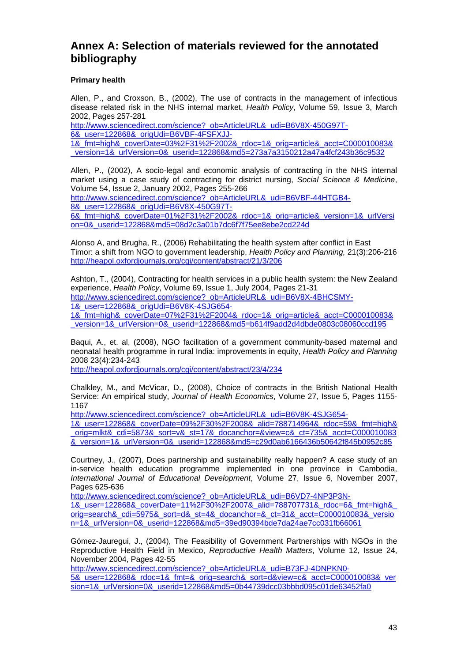## <span id="page-42-0"></span>**Annex A: Selection of materials reviewed for the annotated bibliography**

#### **Primary health**

Allen, P., and Croxson, B., (2002), The use of contracts in the management of infectious disease related risk in the NHS internal market, *Health Policy*, Volume 59, Issue 3, March 2002, Pages 257-281

[http://www.sciencedirect.com/science?\\_ob=ArticleURL&\\_udi=B6V8X-450G97T-](http://www.sciencedirect.com/science?_ob=ArticleURL&_udi=B6V8X-450G97T-6&_user=122868&_origUdi=B6VBF-4FSFXJJ-1&_fmt=high&_coverDate=03%2F31%2F2002&_rdoc=1&_orig=article&_acct=C000010083&_version=1&_urlVersion=0&_userid=122868&md5=273a7a3150212a47a4fcf243b36c9532)[6&\\_user=122868&\\_origUdi=B6VBF-4FSFXJJ-](http://www.sciencedirect.com/science?_ob=ArticleURL&_udi=B6V8X-450G97T-6&_user=122868&_origUdi=B6VBF-4FSFXJJ-1&_fmt=high&_coverDate=03%2F31%2F2002&_rdoc=1&_orig=article&_acct=C000010083&_version=1&_urlVersion=0&_userid=122868&md5=273a7a3150212a47a4fcf243b36c9532)[1&\\_fmt=high&\\_coverDate=03%2F31%2F2002&\\_rdoc=1&\\_orig=article&\\_acct=C000010083&](http://www.sciencedirect.com/science?_ob=ArticleURL&_udi=B6V8X-450G97T-6&_user=122868&_origUdi=B6VBF-4FSFXJJ-1&_fmt=high&_coverDate=03%2F31%2F2002&_rdoc=1&_orig=article&_acct=C000010083&_version=1&_urlVersion=0&_userid=122868&md5=273a7a3150212a47a4fcf243b36c9532) [\\_version=1&\\_urlVersion=0&\\_userid=122868&md5=273a7a3150212a47a4fcf243b36c9532](http://www.sciencedirect.com/science?_ob=ArticleURL&_udi=B6V8X-450G97T-6&_user=122868&_origUdi=B6VBF-4FSFXJJ-1&_fmt=high&_coverDate=03%2F31%2F2002&_rdoc=1&_orig=article&_acct=C000010083&_version=1&_urlVersion=0&_userid=122868&md5=273a7a3150212a47a4fcf243b36c9532) 

Allen, P., (2002), A socio-legal and economic analysis of contracting in the NHS internal market using a case study of contracting for district nursing, *Social Science & Medicine*, Volume 54, Issue 2, January 2002, Pages 255-266

[http://www.sciencedirect.com/science?\\_ob=ArticleURL&\\_udi=B6VBF-44HTGB4-](http://www.sciencedirect.com/science?_ob=ArticleURL&_udi=B6VBF-44HTGB4-8&_user=122868&_origUdi=B6V8X-450G97T-6&_fmt=high&_coverDate=01%2F31%2F2002&_rdoc=1&_orig=article&_version=1&_urlVersion=0&_userid=122868&md5=08d2c3a01b7dc6f7f75ee8ebe2cd224d) [8&\\_user=122868&\\_origUdi=B6V8X-450G97T-](http://www.sciencedirect.com/science?_ob=ArticleURL&_udi=B6VBF-44HTGB4-8&_user=122868&_origUdi=B6V8X-450G97T-6&_fmt=high&_coverDate=01%2F31%2F2002&_rdoc=1&_orig=article&_version=1&_urlVersion=0&_userid=122868&md5=08d2c3a01b7dc6f7f75ee8ebe2cd224d)

[6&\\_fmt=high&\\_coverDate=01%2F31%2F2002&\\_rdoc=1&\\_orig=article&\\_version=1&\\_urlVersi](http://www.sciencedirect.com/science?_ob=ArticleURL&_udi=B6VBF-44HTGB4-8&_user=122868&_origUdi=B6V8X-450G97T-6&_fmt=high&_coverDate=01%2F31%2F2002&_rdoc=1&_orig=article&_version=1&_urlVersion=0&_userid=122868&md5=08d2c3a01b7dc6f7f75ee8ebe2cd224d) [on=0&\\_userid=122868&md5=08d2c3a01b7dc6f7f75ee8ebe2cd224d](http://www.sciencedirect.com/science?_ob=ArticleURL&_udi=B6VBF-44HTGB4-8&_user=122868&_origUdi=B6V8X-450G97T-6&_fmt=high&_coverDate=01%2F31%2F2002&_rdoc=1&_orig=article&_version=1&_urlVersion=0&_userid=122868&md5=08d2c3a01b7dc6f7f75ee8ebe2cd224d) 

Alonso A, and Brugha, R., (2006) Rehabilitating the health system after conflict in East Timor: a shift from NGO to government leadership, *Health Policy and Planning,* 21(3):206-216 <http://heapol.oxfordjournals.org/cgi/content/abstract/21/3/206>

Ashton, T., (2004), Contracting for health services in a public health system: the New Zealand experience, *Health Policy*, Volume 69, Issue 1, July 2004, Pages 21-31 [http://www.sciencedirect.com/science?\\_ob=ArticleURL&\\_udi=B6V8X-4BHCSMY-](http://www.sciencedirect.com/science?_ob=ArticleURL&_udi=B6V8X-4BHCSMY-1&_user=122868&_origUdi=B6V8K-4SJG654-1&_fmt=high&_coverDate=07%2F31%2F2004&_rdoc=1&_orig=article&_acct=C000010083&_version=1&_urlVersion=0&_userid=122868&md5=b614f9add2d4dbde0803c08060ccd195)[1&\\_user=122868&\\_origUdi=B6V8K-4SJG654-](http://www.sciencedirect.com/science?_ob=ArticleURL&_udi=B6V8X-4BHCSMY-1&_user=122868&_origUdi=B6V8K-4SJG654-1&_fmt=high&_coverDate=07%2F31%2F2004&_rdoc=1&_orig=article&_acct=C000010083&_version=1&_urlVersion=0&_userid=122868&md5=b614f9add2d4dbde0803c08060ccd195) [1&\\_fmt=high&\\_coverDate=07%2F31%2F2004&\\_rdoc=1&\\_orig=article&\\_acct=C000010083&](http://www.sciencedirect.com/science?_ob=ArticleURL&_udi=B6V8X-4BHCSMY-1&_user=122868&_origUdi=B6V8K-4SJG654-1&_fmt=high&_coverDate=07%2F31%2F2004&_rdoc=1&_orig=article&_acct=C000010083&_version=1&_urlVersion=0&_userid=122868&md5=b614f9add2d4dbde0803c08060ccd195) [\\_version=1&\\_urlVersion=0&\\_userid=122868&md5=b614f9add2d4dbde0803c08060ccd195](http://www.sciencedirect.com/science?_ob=ArticleURL&_udi=B6V8X-4BHCSMY-1&_user=122868&_origUdi=B6V8K-4SJG654-1&_fmt=high&_coverDate=07%2F31%2F2004&_rdoc=1&_orig=article&_acct=C000010083&_version=1&_urlVersion=0&_userid=122868&md5=b614f9add2d4dbde0803c08060ccd195)

Baqui, A., et. al, (2008), NGO facilitation of a government community-based maternal and neonatal health programme in rural India: improvements in equity, *Health Policy and Planning*  2008 23(4):234-243

<http://heapol.oxfordjournals.org/cgi/content/abstract/23/4/234>

Chalkley, M., and McVicar, D., (2008), Choice of contracts in the British National Health Service: An empirical study, *Journal of Health Economics*, Volume 27, Issue 5, Pages 1155- 1167

[http://www.sciencedirect.com/science?\\_ob=ArticleURL&\\_udi=B6V8K-4SJG654-](http://www.sciencedirect.com/science?_ob=ArticleURL&_udi=B6V8K-4SJG654-1&_user=122868&_coverDate=09%2F30%2F2008&_alid=788714964&_rdoc=59&_fmt=high&_orig=mlkt&_cdi=5873&_sort=v&_st=17&_docanchor=&view=c&_ct=735&_acct=C000010083&_version=1&_urlVersion=0&_userid=122868&md5=c29d0ab6166436b50642f845b0952c85)

[1&\\_user=122868&\\_coverDate=09%2F30%2F2008&\\_alid=788714964&\\_rdoc=59&\\_fmt=high&](http://www.sciencedirect.com/science?_ob=ArticleURL&_udi=B6V8K-4SJG654-1&_user=122868&_coverDate=09%2F30%2F2008&_alid=788714964&_rdoc=59&_fmt=high&_orig=mlkt&_cdi=5873&_sort=v&_st=17&_docanchor=&view=c&_ct=735&_acct=C000010083&_version=1&_urlVersion=0&_userid=122868&md5=c29d0ab6166436b50642f845b0952c85) orig=mlkt&\_cdi=5873&\_sort=v&\_st=17&\_docanchor=&view=c&\_ct=735&\_acct=C000010083 [&\\_version=1&\\_urlVersion=0&\\_userid=122868&md5=c29d0ab6166436b50642f845b0952c85](http://www.sciencedirect.com/science?_ob=ArticleURL&_udi=B6V8K-4SJG654-1&_user=122868&_coverDate=09%2F30%2F2008&_alid=788714964&_rdoc=59&_fmt=high&_orig=mlkt&_cdi=5873&_sort=v&_st=17&_docanchor=&view=c&_ct=735&_acct=C000010083&_version=1&_urlVersion=0&_userid=122868&md5=c29d0ab6166436b50642f845b0952c85)

Courtney, J., (2007), Does partnership and sustainability really happen? A case study of an in-service health education programme implemented in one province in Cambodia, *International Journal of Educational Development*, Volume 27, Issue 6, November 2007, Pages 625-636

[http://www.sciencedirect.com/science?\\_ob=ArticleURL&\\_udi=B6VD7-4NP3P3N-](http://www.sciencedirect.com/science?_ob=ArticleURL&_udi=B6VD7-4NP3P3N-1&_user=122868&_coverDate=11%2F30%2F2007&_alid=788707731&_rdoc=6&_fmt=high&_orig=search&_cdi=5975&_sort=d&_st=4&_docanchor=&_ct=31&_acct=C000010083&_version=1&_urlVersion=0&_userid=122868&md5=39ed90394bde7da24ae7cc031fb66061)

[1&\\_user=122868&\\_coverDate=11%2F30%2F2007&\\_alid=788707731&\\_rdoc=6&\\_fmt=high&\\_](http://www.sciencedirect.com/science?_ob=ArticleURL&_udi=B6VD7-4NP3P3N-1&_user=122868&_coverDate=11%2F30%2F2007&_alid=788707731&_rdoc=6&_fmt=high&_orig=search&_cdi=5975&_sort=d&_st=4&_docanchor=&_ct=31&_acct=C000010083&_version=1&_urlVersion=0&_userid=122868&md5=39ed90394bde7da24ae7cc031fb66061) [orig=search&\\_cdi=5975&\\_sort=d&\\_st=4&\\_docanchor=&\\_ct=31&\\_acct=C000010083&\\_versio](http://www.sciencedirect.com/science?_ob=ArticleURL&_udi=B6VD7-4NP3P3N-1&_user=122868&_coverDate=11%2F30%2F2007&_alid=788707731&_rdoc=6&_fmt=high&_orig=search&_cdi=5975&_sort=d&_st=4&_docanchor=&_ct=31&_acct=C000010083&_version=1&_urlVersion=0&_userid=122868&md5=39ed90394bde7da24ae7cc031fb66061) [n=1&\\_urlVersion=0&\\_userid=122868&md5=39ed90394bde7da24ae7cc031fb66061](http://www.sciencedirect.com/science?_ob=ArticleURL&_udi=B6VD7-4NP3P3N-1&_user=122868&_coverDate=11%2F30%2F2007&_alid=788707731&_rdoc=6&_fmt=high&_orig=search&_cdi=5975&_sort=d&_st=4&_docanchor=&_ct=31&_acct=C000010083&_version=1&_urlVersion=0&_userid=122868&md5=39ed90394bde7da24ae7cc031fb66061)

Gómez-Jauregui, J., (2004), The Feasibility of Government Partnerships with NGOs in the Reproductive Health Field in Mexico, *Reproductive Health Matters*, Volume 12, Issue 24, November 2004, Pages 42-55

[http://www.sciencedirect.com/science?\\_ob=ArticleURL&\\_udi=B73FJ-4DNPKN0-](http://www.sciencedirect.com/science?_ob=ArticleURL&_udi=B73FJ-4DNPKN0-5&_user=122868&_rdoc=1&_fmt=&_orig=search&_sort=d&view=c&_acct=C000010083&_version=1&_urlVersion=0&_userid=122868&md5=0b44739dcc03bbbd095c01de63452fa0) [5&\\_user=122868&\\_rdoc=1&\\_fmt=&\\_orig=search&\\_sort=d&view=c&\\_acct=C000010083&\\_ver](http://www.sciencedirect.com/science?_ob=ArticleURL&_udi=B73FJ-4DNPKN0-5&_user=122868&_rdoc=1&_fmt=&_orig=search&_sort=d&view=c&_acct=C000010083&_version=1&_urlVersion=0&_userid=122868&md5=0b44739dcc03bbbd095c01de63452fa0) [sion=1&\\_urlVersion=0&\\_userid=122868&md5=0b44739dcc03bbbd095c01de63452fa0](http://www.sciencedirect.com/science?_ob=ArticleURL&_udi=B73FJ-4DNPKN0-5&_user=122868&_rdoc=1&_fmt=&_orig=search&_sort=d&view=c&_acct=C000010083&_version=1&_urlVersion=0&_userid=122868&md5=0b44739dcc03bbbd095c01de63452fa0)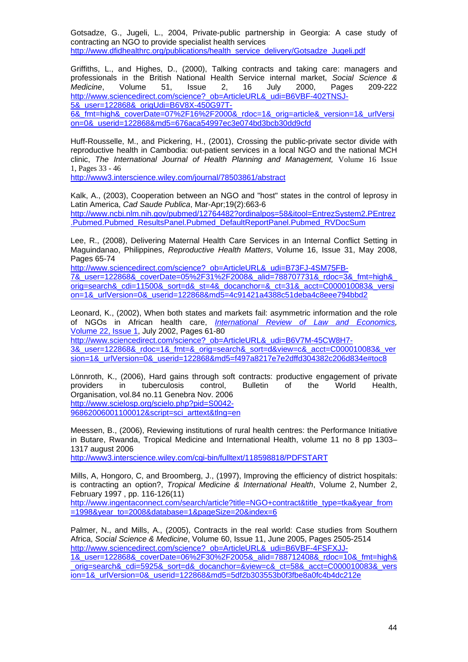Gotsadze, G., Jugeli, L., 2004, Private-public partnership in Georgia: A case study of contracting an NGO to provide specialist health services [http://www.dfidhealthrc.org/publications/health\\_service\\_delivery/Gotsadze\\_Jugeli.pdf](http://www.dfidhealthrc.org/publications/health_service_delivery/Gotsadze_Jugeli.pdf)

Griffiths, L., and Highes, D., (2000), Talking contracts and taking care: managers and professionals in the British National Health Service internal market, *Social Science & Medicine*, Volume 51, Issue 2, 16 July 2000, Pages 209-222 http://www.sciencedirect.com/science? ob=ArticleURL&\_udi=B6VBF-402TNSJ-[5&\\_user=122868&\\_origUdi=B6V8X-450G97T-](http://www.sciencedirect.com/science?_ob=ArticleURL&_udi=B6VBF-402TNSJ-5&_user=122868&_origUdi=B6V8X-450G97T-6&_fmt=high&_coverDate=07%2F16%2F2000&_rdoc=1&_orig=article&_version=1&_urlVersion=0&_userid=122868&md5=676aca54997ec3e074bd3bcb30dd9cfd)

[6&\\_fmt=high&\\_coverDate=07%2F16%2F2000&\\_rdoc=1&\\_orig=article&\\_version=1&\\_urlVersi](http://www.sciencedirect.com/science?_ob=ArticleURL&_udi=B6VBF-402TNSJ-5&_user=122868&_origUdi=B6V8X-450G97T-6&_fmt=high&_coverDate=07%2F16%2F2000&_rdoc=1&_orig=article&_version=1&_urlVersion=0&_userid=122868&md5=676aca54997ec3e074bd3bcb30dd9cfd) [on=0&\\_userid=122868&md5=676aca54997ec3e074bd3bcb30dd9cfd](http://www.sciencedirect.com/science?_ob=ArticleURL&_udi=B6VBF-402TNSJ-5&_user=122868&_origUdi=B6V8X-450G97T-6&_fmt=high&_coverDate=07%2F16%2F2000&_rdoc=1&_orig=article&_version=1&_urlVersion=0&_userid=122868&md5=676aca54997ec3e074bd3bcb30dd9cfd) 

Huff-Rousselle, M., and Pickering, H., (2001), Crossing the public-private sector divide with reproductive health in Cambodia: out-patient services in a local NGO and the national MCH clinic, *The International Journal of Health Planning and Management,* Volume 16 Issue 1, Pages 33 - 46

<http://www3.interscience.wiley.com/journal/78503861/abstract>

Kalk, A., (2003), Cooperation between an NGO and "host" states in the control of leprosy in Latin America, *Cad Saude Publica*, Mar-Apr;19(2):663-6 [http://www.ncbi.nlm.nih.gov/pubmed/12764482?ordinalpos=58&itool=EntrezSystem2.PEntrez](http://www.ncbi.nlm.nih.gov/pubmed/12764482?ordinalpos=58&itool=EntrezSystem2.PEntrez.Pubmed.Pubmed_ResultsPanel.Pubmed_DefaultReportPanel.Pubmed_RVDocSum) [.Pubmed.Pubmed\\_ResultsPanel.Pubmed\\_DefaultReportPanel.Pubmed\\_RVDocSum](http://www.ncbi.nlm.nih.gov/pubmed/12764482?ordinalpos=58&itool=EntrezSystem2.PEntrez.Pubmed.Pubmed_ResultsPanel.Pubmed_DefaultReportPanel.Pubmed_RVDocSum)

Lee, R., (2008), Delivering Maternal Health Care Services in an Internal Conflict Setting in Maguindanao, Philippines, *Reproductive Health Matters*, Volume 16, Issue 31, May 2008, Pages 65-74

[http://www.sciencedirect.com/science?\\_ob=ArticleURL&\\_udi=B73FJ-4SM75FB-](http://www.sciencedirect.com/science?_ob=ArticleURL&_udi=B73FJ-4SM75FB-7&_user=122868&_coverDate=05%2F31%2F2008&_alid=788707731&_rdoc=3&_fmt=high&_orig=search&_cdi=11500&_sort=d&_st=4&_docanchor=&_ct=31&_acct=C000010083&_version=1&_urlVersion=0&_userid=122868&md5=4c91421a4388c51deba4c8eee794bbd2)[7&\\_user=122868&\\_coverDate=05%2F31%2F2008&\\_alid=788707731&\\_rdoc=3&\\_fmt=high&\\_](http://www.sciencedirect.com/science?_ob=ArticleURL&_udi=B73FJ-4SM75FB-7&_user=122868&_coverDate=05%2F31%2F2008&_alid=788707731&_rdoc=3&_fmt=high&_orig=search&_cdi=11500&_sort=d&_st=4&_docanchor=&_ct=31&_acct=C000010083&_version=1&_urlVersion=0&_userid=122868&md5=4c91421a4388c51deba4c8eee794bbd2) [orig=search&\\_cdi=11500&\\_sort=d&\\_st=4&\\_docanchor=&\\_ct=31&\\_acct=C000010083&\\_versi](http://www.sciencedirect.com/science?_ob=ArticleURL&_udi=B73FJ-4SM75FB-7&_user=122868&_coverDate=05%2F31%2F2008&_alid=788707731&_rdoc=3&_fmt=high&_orig=search&_cdi=11500&_sort=d&_st=4&_docanchor=&_ct=31&_acct=C000010083&_version=1&_urlVersion=0&_userid=122868&md5=4c91421a4388c51deba4c8eee794bbd2) [on=1&\\_urlVersion=0&\\_userid=122868&md5=4c91421a4388c51deba4c8eee794bbd2](http://www.sciencedirect.com/science?_ob=ArticleURL&_udi=B73FJ-4SM75FB-7&_user=122868&_coverDate=05%2F31%2F2008&_alid=788707731&_rdoc=3&_fmt=high&_orig=search&_cdi=11500&_sort=d&_st=4&_docanchor=&_ct=31&_acct=C000010083&_version=1&_urlVersion=0&_userid=122868&md5=4c91421a4388c51deba4c8eee794bbd2) 

Leonard, K., (2002), When both states and markets fail: asymmetric information and the role of NGOs in African health care, *[International Review of Law and Economics,](http://www.sciencedirect.com/science/journal/01448188)*  [Volume 22, Issue 1,](http://www.sciencedirect.com/science?_ob=PublicationURL&_tockey=%23TOC%235846%232002%23999779998%23321587%23FLA%23&_cdi=5846&_pubType=J&_auth=y&_acct=C000010083&_version=1&_urlVersion=0&_userid=122868&md5=1ff5ea0dd15f35ac8d554936cbda3d20) July 2002, Pages 61-80

[http://www.sciencedirect.com/science?\\_ob=ArticleURL&\\_udi=B6V7M-45CW8H7-](http://www.sciencedirect.com/science?_ob=ArticleURL&_udi=B6V7M-45CW8H7-3&_user=122868&_rdoc=1&_fmt=&_orig=search&_sort=d&view=c&_acct=C000010083&_version=1&_urlVersion=0&_userid=122868&md5=f497a8217e7e2dffd304382c206d834e#toc8) [3&\\_user=122868&\\_rdoc=1&\\_fmt=&\\_orig=search&\\_sort=d&view=c&\\_acct=C000010083&\\_ver](http://www.sciencedirect.com/science?_ob=ArticleURL&_udi=B6V7M-45CW8H7-3&_user=122868&_rdoc=1&_fmt=&_orig=search&_sort=d&view=c&_acct=C000010083&_version=1&_urlVersion=0&_userid=122868&md5=f497a8217e7e2dffd304382c206d834e#toc8) [sion=1&\\_urlVersion=0&\\_userid=122868&md5=f497a8217e7e2dffd304382c206d834e#toc8](http://www.sciencedirect.com/science?_ob=ArticleURL&_udi=B6V7M-45CW8H7-3&_user=122868&_rdoc=1&_fmt=&_orig=search&_sort=d&view=c&_acct=C000010083&_version=1&_urlVersion=0&_userid=122868&md5=f497a8217e7e2dffd304382c206d834e#toc8)

Lönnroth, K., (2006), Hard gains through soft contracts: productive engagement of private providers in tuberculosis control, Bulletin of the World Health, Organisation, vol.84 no.11 Genebra Nov. 2006 [http://www.scielosp.org/scielo.php?pid=S0042-](http://www.scielosp.org/scielo.php?pid=S0042-96862006001100012&script=sci_arttext&tlng=en) [96862006001100012&script=sci\\_arttext&tlng=en](http://www.scielosp.org/scielo.php?pid=S0042-96862006001100012&script=sci_arttext&tlng=en)

Meessen, B., (2006), Reviewing institutions of rural health centres: the Performance Initiative in Butare, Rwanda, Tropical Medicine and International Health, volume 11 no 8 pp 1303– 1317 august 2006

<http://www3.interscience.wiley.com/cgi-bin/fulltext/118598818/PDFSTART>

Mills, A, Hongoro, C, and Broomberg, J., (1997), Improving the efficiency of district hospitals: is contracting an option?, *Tropical Medicine & International Health*, Volume 2, Number 2, February 1997 , pp. 116-126(11)

[http://www.ingentaconnect.com/search/article?title=NGO+contract&title\\_type=tka&year\\_from](http://www.ingentaconnect.com/search/article?title=NGO+contract&title_type=tka&year_from=1998&year_to=2008&database=1&pageSize=20&index=6) [=1998&year\\_to=2008&database=1&pageSize=20&index=6](http://www.ingentaconnect.com/search/article?title=NGO+contract&title_type=tka&year_from=1998&year_to=2008&database=1&pageSize=20&index=6)

Palmer, N., and Mills, A., (2005), Contracts in the real world: Case studies from Southern Africa, *Social Science & Medicine*, Volume 60, Issue 11, June 2005, Pages 2505-2514 [http://www.sciencedirect.com/science?\\_ob=ArticleURL&\\_udi=B6VBF-4FSFXJJ-](http://www.sciencedirect.com/science?_ob=ArticleURL&_udi=B6VBF-4FSFXJJ-1&_user=122868&_coverDate=06%2F30%2F2005&_alid=788712408&_rdoc=10&_fmt=high&_orig=search&_cdi=5925&_sort=d&_docanchor=&view=c&_ct=58&_acct=C000010083&_version=1&_urlVersion=0&_userid=122868&md5=5df2b303553b0f3fbe8a0fc4b4dc212e)

[1&\\_user=122868&\\_coverDate=06%2F30%2F2005&\\_alid=788712408&\\_rdoc=10&\\_fmt=high&](http://www.sciencedirect.com/science?_ob=ArticleURL&_udi=B6VBF-4FSFXJJ-1&_user=122868&_coverDate=06%2F30%2F2005&_alid=788712408&_rdoc=10&_fmt=high&_orig=search&_cdi=5925&_sort=d&_docanchor=&view=c&_ct=58&_acct=C000010083&_version=1&_urlVersion=0&_userid=122868&md5=5df2b303553b0f3fbe8a0fc4b4dc212e) [\\_orig=search&\\_cdi=5925&\\_sort=d&\\_docanchor=&view=c&\\_ct=58&\\_acct=C000010083&\\_vers](http://www.sciencedirect.com/science?_ob=ArticleURL&_udi=B6VBF-4FSFXJJ-1&_user=122868&_coverDate=06%2F30%2F2005&_alid=788712408&_rdoc=10&_fmt=high&_orig=search&_cdi=5925&_sort=d&_docanchor=&view=c&_ct=58&_acct=C000010083&_version=1&_urlVersion=0&_userid=122868&md5=5df2b303553b0f3fbe8a0fc4b4dc212e) [ion=1&\\_urlVersion=0&\\_userid=122868&md5=5df2b303553b0f3fbe8a0fc4b4dc212e](http://www.sciencedirect.com/science?_ob=ArticleURL&_udi=B6VBF-4FSFXJJ-1&_user=122868&_coverDate=06%2F30%2F2005&_alid=788712408&_rdoc=10&_fmt=high&_orig=search&_cdi=5925&_sort=d&_docanchor=&view=c&_ct=58&_acct=C000010083&_version=1&_urlVersion=0&_userid=122868&md5=5df2b303553b0f3fbe8a0fc4b4dc212e)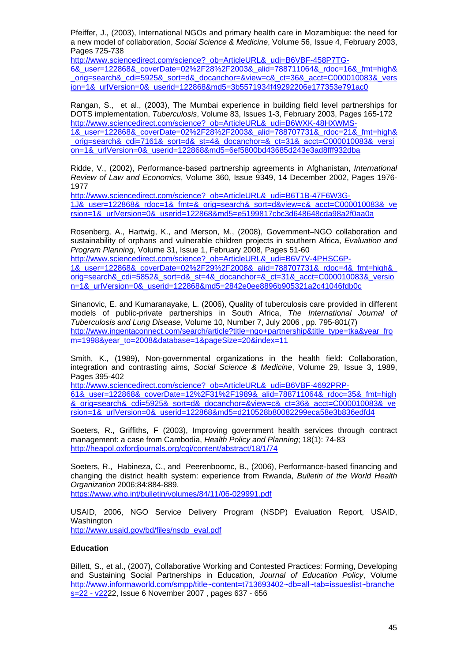Pfeiffer, J., (2003), International NGOs and primary health care in Mozambique: the need for a new model of collaboration, *Social Science & Medicine*, Volume 56, Issue 4, February 2003, Pages 725-738

[http://www.sciencedirect.com/science?\\_ob=ArticleURL&\\_udi=B6VBF-458P7TG-](http://www.sciencedirect.com/science?_ob=ArticleURL&_udi=B6VBF-458P7TG-6&_user=122868&_coverDate=02%2F28%2F2003&_alid=788711064&_rdoc=16&_fmt=high&_orig=search&_cdi=5925&_sort=d&_docanchor=&view=c&_ct=36&_acct=C000010083&_version=1&_urlVersion=0&_userid=122868&md5=3b5571934f49292206e177353e791ac0)

[6&\\_user=122868&\\_coverDate=02%2F28%2F2003&\\_alid=788711064&\\_rdoc=16&\\_fmt=high&](http://www.sciencedirect.com/science?_ob=ArticleURL&_udi=B6VBF-458P7TG-6&_user=122868&_coverDate=02%2F28%2F2003&_alid=788711064&_rdoc=16&_fmt=high&_orig=search&_cdi=5925&_sort=d&_docanchor=&view=c&_ct=36&_acct=C000010083&_version=1&_urlVersion=0&_userid=122868&md5=3b5571934f49292206e177353e791ac0) [\\_orig=search&\\_cdi=5925&\\_sort=d&\\_docanchor=&view=c&\\_ct=36&\\_acct=C000010083&\\_vers](http://www.sciencedirect.com/science?_ob=ArticleURL&_udi=B6VBF-458P7TG-6&_user=122868&_coverDate=02%2F28%2F2003&_alid=788711064&_rdoc=16&_fmt=high&_orig=search&_cdi=5925&_sort=d&_docanchor=&view=c&_ct=36&_acct=C000010083&_version=1&_urlVersion=0&_userid=122868&md5=3b5571934f49292206e177353e791ac0) [ion=1&\\_urlVersion=0&\\_userid=122868&md5=3b5571934f49292206e177353e791ac0](http://www.sciencedirect.com/science?_ob=ArticleURL&_udi=B6VBF-458P7TG-6&_user=122868&_coverDate=02%2F28%2F2003&_alid=788711064&_rdoc=16&_fmt=high&_orig=search&_cdi=5925&_sort=d&_docanchor=&view=c&_ct=36&_acct=C000010083&_version=1&_urlVersion=0&_userid=122868&md5=3b5571934f49292206e177353e791ac0) 

Rangan, S., et al., (2003), The Mumbai experience in building field level partnerships for DOTS implementation, *Tuberculosis*, Volume 83, Issues 1-3, February 2003, Pages 165-172 [http://www.sciencedirect.com/science?\\_ob=ArticleURL&\\_udi=B6WXK-48HXWMS-](http://www.sciencedirect.com/science?_ob=ArticleURL&_udi=B6WXK-48HXWMS-1&_user=122868&_coverDate=02%2F28%2F2003&_alid=788707731&_rdoc=21&_fmt=high&_orig=search&_cdi=7161&_sort=d&_st=4&_docanchor=&_ct=31&_acct=C000010083&_version=1&_urlVersion=0&_userid=122868&md5=6ef5800bd43685d243e3ad8fff932dba)[1&\\_user=122868&\\_coverDate=02%2F28%2F2003&\\_alid=788707731&\\_rdoc=21&\\_fmt=high&](http://www.sciencedirect.com/science?_ob=ArticleURL&_udi=B6WXK-48HXWMS-1&_user=122868&_coverDate=02%2F28%2F2003&_alid=788707731&_rdoc=21&_fmt=high&_orig=search&_cdi=7161&_sort=d&_st=4&_docanchor=&_ct=31&_acct=C000010083&_version=1&_urlVersion=0&_userid=122868&md5=6ef5800bd43685d243e3ad8fff932dba) [\\_orig=search&\\_cdi=7161&\\_sort=d&\\_st=4&\\_docanchor=&\\_ct=31&\\_acct=C000010083&\\_versi](http://www.sciencedirect.com/science?_ob=ArticleURL&_udi=B6WXK-48HXWMS-1&_user=122868&_coverDate=02%2F28%2F2003&_alid=788707731&_rdoc=21&_fmt=high&_orig=search&_cdi=7161&_sort=d&_st=4&_docanchor=&_ct=31&_acct=C000010083&_version=1&_urlVersion=0&_userid=122868&md5=6ef5800bd43685d243e3ad8fff932dba) [on=1&\\_urlVersion=0&\\_userid=122868&md5=6ef5800bd43685d243e3ad8fff932dba](http://www.sciencedirect.com/science?_ob=ArticleURL&_udi=B6WXK-48HXWMS-1&_user=122868&_coverDate=02%2F28%2F2003&_alid=788707731&_rdoc=21&_fmt=high&_orig=search&_cdi=7161&_sort=d&_st=4&_docanchor=&_ct=31&_acct=C000010083&_version=1&_urlVersion=0&_userid=122868&md5=6ef5800bd43685d243e3ad8fff932dba) 

Ridde, V., (2002), Performance-based partnership agreements in Afghanistan, *International Review of Law and Economics*, Volume 360, Issue 9349, 14 December 2002, Pages 1976- 1977

[http://www.sciencedirect.com/science?\\_ob=ArticleURL&\\_udi=B6T1B-47F6W3G-](http://www.sciencedirect.com/science?_ob=ArticleURL&_udi=B6T1B-47F6W3G-1J&_user=122868&_rdoc=1&_fmt=&_orig=search&_sort=d&view=c&_acct=C000010083&_version=1&_urlVersion=0&_userid=122868&md5=e5199817cbc3d648648cda98a2f0aa0a)[1J&\\_user=122868&\\_rdoc=1&\\_fmt=&\\_orig=search&\\_sort=d&view=c&\\_acct=C000010083&\\_ve](http://www.sciencedirect.com/science?_ob=ArticleURL&_udi=B6T1B-47F6W3G-1J&_user=122868&_rdoc=1&_fmt=&_orig=search&_sort=d&view=c&_acct=C000010083&_version=1&_urlVersion=0&_userid=122868&md5=e5199817cbc3d648648cda98a2f0aa0a) [rsion=1&\\_urlVersion=0&\\_userid=122868&md5=e5199817cbc3d648648cda98a2f0aa0a](http://www.sciencedirect.com/science?_ob=ArticleURL&_udi=B6T1B-47F6W3G-1J&_user=122868&_rdoc=1&_fmt=&_orig=search&_sort=d&view=c&_acct=C000010083&_version=1&_urlVersion=0&_userid=122868&md5=e5199817cbc3d648648cda98a2f0aa0a)

Rosenberg, A., Hartwig, K., and Merson, M., (2008), Government–NGO collaboration and sustainability of orphans and vulnerable children projects in southern Africa, *Evaluation and Program Planning*, Volume 31, Issue 1, February 2008, Pages 51-60

[http://www.sciencedirect.com/science?\\_ob=ArticleURL&\\_udi=B6V7V-4PHSC6P-](http://www.sciencedirect.com/science?_ob=ArticleURL&_udi=B6V7V-4PHSC6P-1&_user=122868&_coverDate=02%2F29%2F2008&_alid=788707731&_rdoc=4&_fmt=high&_orig=search&_cdi=5852&_sort=d&_st=4&_docanchor=&_ct=31&_acct=C000010083&_version=1&_urlVersion=0&_userid=122868&md5=2842e0ee8896b905321a2c41046fdb0c)[1&\\_user=122868&\\_coverDate=02%2F29%2F2008&\\_alid=788707731&\\_rdoc=4&\\_fmt=high&\\_](http://www.sciencedirect.com/science?_ob=ArticleURL&_udi=B6V7V-4PHSC6P-1&_user=122868&_coverDate=02%2F29%2F2008&_alid=788707731&_rdoc=4&_fmt=high&_orig=search&_cdi=5852&_sort=d&_st=4&_docanchor=&_ct=31&_acct=C000010083&_version=1&_urlVersion=0&_userid=122868&md5=2842e0ee8896b905321a2c41046fdb0c) [orig=search&\\_cdi=5852&\\_sort=d&\\_st=4&\\_docanchor=&\\_ct=31&\\_acct=C000010083&\\_versio](http://www.sciencedirect.com/science?_ob=ArticleURL&_udi=B6V7V-4PHSC6P-1&_user=122868&_coverDate=02%2F29%2F2008&_alid=788707731&_rdoc=4&_fmt=high&_orig=search&_cdi=5852&_sort=d&_st=4&_docanchor=&_ct=31&_acct=C000010083&_version=1&_urlVersion=0&_userid=122868&md5=2842e0ee8896b905321a2c41046fdb0c) [n=1&\\_urlVersion=0&\\_userid=122868&md5=2842e0ee8896b905321a2c41046fdb0c](http://www.sciencedirect.com/science?_ob=ArticleURL&_udi=B6V7V-4PHSC6P-1&_user=122868&_coverDate=02%2F29%2F2008&_alid=788707731&_rdoc=4&_fmt=high&_orig=search&_cdi=5852&_sort=d&_st=4&_docanchor=&_ct=31&_acct=C000010083&_version=1&_urlVersion=0&_userid=122868&md5=2842e0ee8896b905321a2c41046fdb0c)

Sinanovic, E. and Kumaranayake, L. (2006), Quality of tuberculosis care provided in different models of public-private partnerships in South Africa, *The International Journal of Tuberculosis and Lung Disease*, Volume 10, Number 7, July 2006 , pp. 795-801(7) [http://www.ingentaconnect.com/search/article?title=ngo+partnership&title\\_type=tka&year\\_fro](http://www.ingentaconnect.com/search/article?title=ngo+partnership&title_type=tka&year_from=1998&year_to=2008&database=1&pageSize=20&index=11) [m=1998&year\\_to=2008&database=1&pageSize=20&index=11](http://www.ingentaconnect.com/search/article?title=ngo+partnership&title_type=tka&year_from=1998&year_to=2008&database=1&pageSize=20&index=11) 

Smith, K., (1989), Non-governmental organizations in the health field: Collaboration, integration and contrasting aims, *Social Science & Medicine*, Volume 29, Issue 3, 1989, Pages 395-402

[http://www.sciencedirect.com/science?\\_ob=ArticleURL&\\_udi=B6VBF-4692PRP-](http://www.sciencedirect.com/science?_ob=ArticleURL&_udi=B6VBF-4692PRP-61&_user=122868&_coverDate=12%2F31%2F1989&_alid=788711064&_rdoc=35&_fmt=high&_orig=search&_cdi=5925&_sort=d&_docanchor=&view=c&_ct=36&_acct=C000010083&_version=1&_urlVersion=0&_userid=122868&md5=d210528b80082299eca58e3b836edfd4)

[61&\\_user=122868&\\_coverDate=12%2F31%2F1989&\\_alid=788711064&\\_rdoc=35&\\_fmt=high](http://www.sciencedirect.com/science?_ob=ArticleURL&_udi=B6VBF-4692PRP-61&_user=122868&_coverDate=12%2F31%2F1989&_alid=788711064&_rdoc=35&_fmt=high&_orig=search&_cdi=5925&_sort=d&_docanchor=&view=c&_ct=36&_acct=C000010083&_version=1&_urlVersion=0&_userid=122868&md5=d210528b80082299eca58e3b836edfd4) [&\\_orig=search&\\_cdi=5925&\\_sort=d&\\_docanchor=&view=c&\\_ct=36&\\_acct=C000010083&\\_ve](http://www.sciencedirect.com/science?_ob=ArticleURL&_udi=B6VBF-4692PRP-61&_user=122868&_coverDate=12%2F31%2F1989&_alid=788711064&_rdoc=35&_fmt=high&_orig=search&_cdi=5925&_sort=d&_docanchor=&view=c&_ct=36&_acct=C000010083&_version=1&_urlVersion=0&_userid=122868&md5=d210528b80082299eca58e3b836edfd4) [rsion=1&\\_urlVersion=0&\\_userid=122868&md5=d210528b80082299eca58e3b836edfd4](http://www.sciencedirect.com/science?_ob=ArticleURL&_udi=B6VBF-4692PRP-61&_user=122868&_coverDate=12%2F31%2F1989&_alid=788711064&_rdoc=35&_fmt=high&_orig=search&_cdi=5925&_sort=d&_docanchor=&view=c&_ct=36&_acct=C000010083&_version=1&_urlVersion=0&_userid=122868&md5=d210528b80082299eca58e3b836edfd4) 

Soeters, R., Griffiths, F (2003), Improving government health services through contract management: a case from Cambodia, *Health Policy and Planning*; 18(1): 74-83 <http://heapol.oxfordjournals.org/cgi/content/abstract/18/1/74>

Soeters, R., Habineza, C., and Peerenboomc, B., (2006), Performance-based financing and changing the district health system: experience from Rwanda, *Bulletin of the World Health Organization* 2006;84:884-889.

<https://www.who.int/bulletin/volumes/84/11/06-029991.pdf>

USAID, 2006, NGO Service Delivery Program (NSDP) Evaluation Report, USAID, Washington

[http://www.usaid.gov/bd/files/nsdp\\_eval.pdf](http://www.usaid.gov/bd/files/nsdp_eval.pdf) 

#### **Education**

Billett, S., et al., (2007), Collaborative Working and Contested Practices: Forming, Developing and Sustaining Social Partnerships in Education, *Journal of Education Policy*, Volume [http://www.informaworld.com/smpp/title~content=t713693402~db=all~tab=issueslist~branche](http://www.informaworld.com/smpp/title~content=t713693402~db=all~tab=issueslist~branches=22#v22) [s=22 - v222](http://www.informaworld.com/smpp/title~content=t713693402~db=all~tab=issueslist~branches=22#v22)2, Issue 6 November 2007 , pages 637 - 656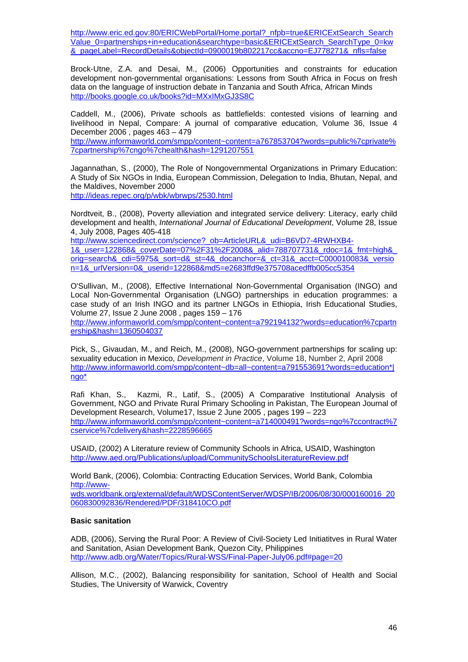[http://www.eric.ed.gov:80/ERICWebPortal/Home.portal?\\_nfpb=true&ERICExtSearch\\_Search](http://www.eric.ed.gov/ERICWebPortal/Home.portal?_nfpb=true&ERICExtSearch_SearchValue_0=partnerships+in+education&searchtype=basic&ERICExtSearch_SearchType_0=kw&_pageLabel=RecordDetails&objectId=0900019b802217cc&accno=EJ778271&_nfls=false) [Value\\_0=partnerships+in+education&searchtype=basic&ERICExtSearch\\_SearchType\\_0=kw](http://www.eric.ed.gov/ERICWebPortal/Home.portal?_nfpb=true&ERICExtSearch_SearchValue_0=partnerships+in+education&searchtype=basic&ERICExtSearch_SearchType_0=kw&_pageLabel=RecordDetails&objectId=0900019b802217cc&accno=EJ778271&_nfls=false) [&\\_pageLabel=RecordDetails&objectId=0900019b802217cc&accno=EJ778271&\\_nfls=false](http://www.eric.ed.gov/ERICWebPortal/Home.portal?_nfpb=true&ERICExtSearch_SearchValue_0=partnerships+in+education&searchtype=basic&ERICExtSearch_SearchType_0=kw&_pageLabel=RecordDetails&objectId=0900019b802217cc&accno=EJ778271&_nfls=false) 

Brock-Utne, Z.A. and Desai, M., (2006) Opportunities and constraints for education development non-governmental organisations: Lessons from South Africa in Focus on fresh data on the language of instruction debate in Tanzania and South Africa, African Minds <http://books.google.co.uk/books?id=MXxIMxGJ3S8C>

Caddell, M., (2006), Private schools as battlefields: contested visions of learning and livelihood in Nepal, Compare: A journal of comparative education, Volume 36, Issue 4 December 2006 , pages 463 – 479

[http://www.informaworld.com/smpp/content~content=a767853704?words=public%7cprivate%](http://www.informaworld.com/smpp/content%7Econtent=a767853704?words=public%7cprivate%7cpartnership%7cngo%7chealth&hash=1291207551) [7cpartnership%7cngo%7chealth&hash=1291207551](http://www.informaworld.com/smpp/content%7Econtent=a767853704?words=public%7cprivate%7cpartnership%7cngo%7chealth&hash=1291207551)

Jagannathan, S., (2000), The Role of Nongovernmental Organizations in Primary Education: A Study of Six NGOs in India, European Commission, Delegation to India, Bhutan, Nepal, and the Maldives, November 2000

<http://ideas.repec.org/p/wbk/wbrwps/2530.html>

Nordtveit, B., (2008), Poverty alleviation and integrated service delivery: Literacy, early child development and health, *International Journal of Educational Development*, Volume 28, Issue 4, July 2008, Pages 405-418

[http://www.sciencedirect.com/science?\\_ob=ArticleURL&\\_udi=B6VD7-4RWHXB4-](http://www.sciencedirect.com/science?_ob=ArticleURL&_udi=B6VD7-4RWHXB4-1&_user=122868&_coverDate=07%2F31%2F2008&_alid=788707731&_rdoc=1&_fmt=high&_orig=search&_cdi=5975&_sort=d&_st=4&_docanchor=&_ct=31&_acct=C000010083&_version=1&_urlVersion=0&_userid=122868&md5=e2683ffd9e375708acedffb005cc5354) [1&\\_user=122868&\\_coverDate=07%2F31%2F2008&\\_alid=788707731&\\_rdoc=1&\\_fmt=high&\\_](http://www.sciencedirect.com/science?_ob=ArticleURL&_udi=B6VD7-4RWHXB4-1&_user=122868&_coverDate=07%2F31%2F2008&_alid=788707731&_rdoc=1&_fmt=high&_orig=search&_cdi=5975&_sort=d&_st=4&_docanchor=&_ct=31&_acct=C000010083&_version=1&_urlVersion=0&_userid=122868&md5=e2683ffd9e375708acedffb005cc5354) [orig=search&\\_cdi=5975&\\_sort=d&\\_st=4&\\_docanchor=&\\_ct=31&\\_acct=C000010083&\\_versio](http://www.sciencedirect.com/science?_ob=ArticleURL&_udi=B6VD7-4RWHXB4-1&_user=122868&_coverDate=07%2F31%2F2008&_alid=788707731&_rdoc=1&_fmt=high&_orig=search&_cdi=5975&_sort=d&_st=4&_docanchor=&_ct=31&_acct=C000010083&_version=1&_urlVersion=0&_userid=122868&md5=e2683ffd9e375708acedffb005cc5354) [n=1&\\_urlVersion=0&\\_userid=122868&md5=e2683ffd9e375708acedffb005cc5354](http://www.sciencedirect.com/science?_ob=ArticleURL&_udi=B6VD7-4RWHXB4-1&_user=122868&_coverDate=07%2F31%2F2008&_alid=788707731&_rdoc=1&_fmt=high&_orig=search&_cdi=5975&_sort=d&_st=4&_docanchor=&_ct=31&_acct=C000010083&_version=1&_urlVersion=0&_userid=122868&md5=e2683ffd9e375708acedffb005cc5354)

O'Sullivan, M., (2008), Effective International Non-Governmental Organisation (INGO) and Local Non-Governmental Organisation (LNGO) partnerships in education programmes: a case study of an Irish INGO and its partner LNGOs in Ethiopia, Irish Educational Studies, Volume 27, Issue 2 June 2008 , pages 159 – 176 [http://www.informaworld.com/smpp/content~content=a792194132?words=education%7cpartn](http://www.informaworld.com/smpp/content%7Econtent=a792194132?words=education%7cpartnership&hash=1360504037) [ership&hash=1360504037](http://www.informaworld.com/smpp/content%7Econtent=a792194132?words=education%7cpartnership&hash=1360504037) 

Pick, S., Givaudan, M., and Reich, M., (2008), NGO-government partnerships for scaling up: sexuality education in Mexico, *Development in Practice*, Volume 18, Number 2, April 2008 [http://www.informaworld.com/smpp/content~db=all~content=a791553691?words=education\\*|](http://www.informaworld.com/smpp/content%7Edb=all%7Econtent=a791553691?words=education*|ngo*) [ngo\\*](http://www.informaworld.com/smpp/content%7Edb=all%7Econtent=a791553691?words=education*|ngo*)

Rafi Khan, S., Kazmi, R., Latif, S., (2005) A Comparative Institutional Analysis of Government, NGO and Private Rural Primary Schooling in Pakistan, The European Journal of Development Research, Volume17, Issue 2 June 2005 , pages 199 – 223 [http://www.informaworld.com/smpp/content~content=a714000491?words=ngo%7ccontract%7](http://www.informaworld.com/smpp/content%7Econtent=a714000491?words=ngo%7ccontract%7cservice%7cdelivery&hash=2228596665) [cservice%7cdelivery&hash=2228596665](http://www.informaworld.com/smpp/content%7Econtent=a714000491?words=ngo%7ccontract%7cservice%7cdelivery&hash=2228596665)

USAID, (2002) A Literature review of Community Schools in Africa, USAID, Washington <http://www.aed.org/Publications/upload/CommunitySchoolsLiteratureReview.pdf>

World Bank, (2006), Colombia: Contracting Education Services, World Bank, Colombia [http://www](http://www-wds.worldbank.org/external/default/WDSContentServer/WDSP/IB/2006/08/30/000160016_20060830092836/Rendered/PDF/318410CO.pdf)[wds.worldbank.org/external/default/WDSContentServer/WDSP/IB/2006/08/30/000160016\\_20](http://www-wds.worldbank.org/external/default/WDSContentServer/WDSP/IB/2006/08/30/000160016_20060830092836/Rendered/PDF/318410CO.pdf) [060830092836/Rendered/PDF/318410CO.pdf](http://www-wds.worldbank.org/external/default/WDSContentServer/WDSP/IB/2006/08/30/000160016_20060830092836/Rendered/PDF/318410CO.pdf)

#### **Basic sanitation**

ADB, (2006), Serving the Rural Poor: A Review of Civil-Society Led Initiatitves in Rural Water and Sanitation, Asian Development Bank, Quezon City, Philippines <http://www.adb.org/Water/Topics/Rural-WSS/Final-Paper-July06.pdf#page=20>

Allison, M.C., (2002), Balancing responsibility for sanitation, School of Health and Social Studies, The University of Warwick, Coventry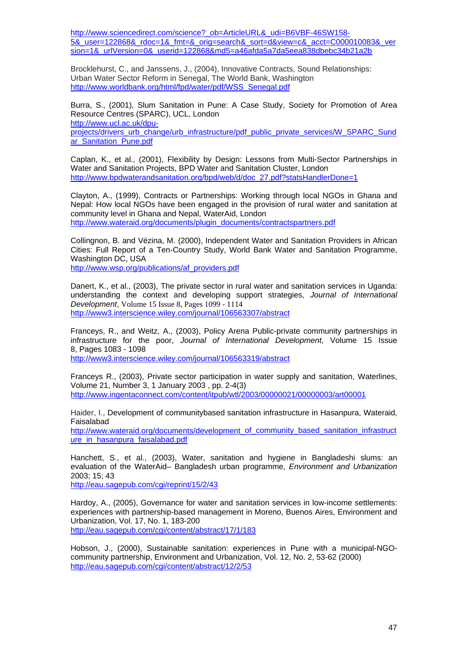http://www.sciencedirect.com/science? ob=ArticleURL&\_udi=B6VBF-46SW158-[5&\\_user=122868&\\_rdoc=1&\\_fmt=&\\_orig=search&\\_sort=d&view=c&\\_acct=C000010083&\\_ver](http://www.sciencedirect.com/science?_ob=ArticleURL&_udi=B6VBF-46SW158-5&_user=122868&_rdoc=1&_fmt=&_orig=search&_sort=d&view=c&_acct=C000010083&_version=1&_urlVersion=0&_userid=122868&md5=a46afda5a7da5eea838dbebc34b21a2b) [sion=1&\\_urlVersion=0&\\_userid=122868&md5=a46afda5a7da5eea838dbebc34b21a2b](http://www.sciencedirect.com/science?_ob=ArticleURL&_udi=B6VBF-46SW158-5&_user=122868&_rdoc=1&_fmt=&_orig=search&_sort=d&view=c&_acct=C000010083&_version=1&_urlVersion=0&_userid=122868&md5=a46afda5a7da5eea838dbebc34b21a2b)

Brocklehurst, C., and Janssens, J., (2004), Innovative Contracts, Sound Relationships: Urban Water Sector Reform in Senegal, The World Bank, Washington [http://www.worldbank.org/html/fpd/water/pdf/WSS\\_Senegal.pdf](http://www.worldbank.org/html/fpd/water/pdf/WSS_Senegal.pdf) 

Burra, S., (2001), Slum Sanitation in Pune: A Case Study, Society for Promotion of Area Resource Centres (SPARC), UCL, London [http://www.ucl.ac.uk/dpu](http://www.ucl.ac.uk/dpu-projects/drivers_urb_change/urb_infrastructure/pdf_public_private_services/W_SPARC_Sundar_Sanitation_Pune.pdf)[projects/drivers\\_urb\\_change/urb\\_infrastructure/pdf\\_public\\_private\\_services/W\\_SPARC\\_Sund](http://www.ucl.ac.uk/dpu-projects/drivers_urb_change/urb_infrastructure/pdf_public_private_services/W_SPARC_Sundar_Sanitation_Pune.pdf) [ar\\_Sanitation\\_Pune.pdf](http://www.ucl.ac.uk/dpu-projects/drivers_urb_change/urb_infrastructure/pdf_public_private_services/W_SPARC_Sundar_Sanitation_Pune.pdf)

Caplan, K., et al., (2001), Flexibility by Design: Lessons from Multi-Sector Partnerships in Water and Sanitation Projects, BPD Water and Sanitation Cluster, London [http://www.bpdwaterandsanitation.org/bpd/web/d/doc\\_27.pdf?statsHandlerDone=1](http://www.bpdwaterandsanitation.org/bpd/web/d/doc_27.pdf?statsHandlerDone=1)

Clayton, A., (1999), Contracts or Partnerships: Working through local NGOs in Ghana and Nepal: How local NGOs have been engaged in the provision of rural water and sanitation at community level in Ghana and Nepal, WaterAid, London [http://www.wateraid.org/documents/plugin\\_documents/contractspartners.pdf](http://www.wateraid.org/documents/plugin_documents/contractspartners.pdf) 

Collingnon, B. and Vézina, M. (2000), Independent Water and Sanitation Providers in African Cities: Full Report of a Ten-Country Study, World Bank Water and Sanitation Programme, Washington DC, USA

[http://www.wsp.org/publications/af\\_providers.pdf](http://www.wsp.org/publications/af_providers.pdf)

Danert, K., et al., (2003), The private sector in rural water and sanitation services in Uganda: understanding the context and developing support strategies, *Journal of International Development*, Volume 15 Issue 8, Pages 1099 - 1114 <http://www3.interscience.wiley.com/journal/106563307/abstract>

Franceys, R., and Weitz, A., (2003), Policy Arena Public-private community partnerships in infrastructure for the poor, *Journal of International Development*, Volume 15 Issue 8, Pages 1083 - 1098

<http://www3.interscience.wiley.com/journal/106563319/abstract>

Franceys R., (2003), Private sector participation in water supply and sanitation, Waterlines, Volume 21, Number 3, 1 January 2003 , pp. 2-4(3) <http://www.ingentaconnect.com/content/itpub/wtl/2003/00000021/00000003/art00001>

Haider, I., Development of communitybased sanitation infrastructure in Hasanpura, Wateraid, Faisalabad

[http://www.wateraid.org/documents/development\\_of\\_community\\_based\\_sanitation\\_infrastruct](http://www.wateraid.org/documents/development_of_community_based_sanitation_infrastructure_in_hasanpura_faisalabad.pdf) ure in hasanpura faisalabad.pdf

Hanchett, S., et al., (2003), Water, sanitation and hygiene in Bangladeshi slums: an evaluation of the WaterAid– Bangladesh urban programme, *Environment and Urbanization*  2003; 15; 43

<http://eau.sagepub.com/cgi/reprint/15/2/43>

Hardoy, A., (2005), Governance for water and sanitation services in low-income settlements: experiences with partnership-based management in Moreno, Buenos Aires, Environment and Urbanization, Vol. 17, No. 1, 183-200 <http://eau.sagepub.com/cgi/content/abstract/17/1/183>

Hobson, J., (2000), Sustainable sanitation: experiences in Pune with a municipal-NGOcommunity partnership, Environment and Urbanization, Vol. 12, No. 2, 53-62 (2000) <http://eau.sagepub.com/cgi/content/abstract/12/2/53>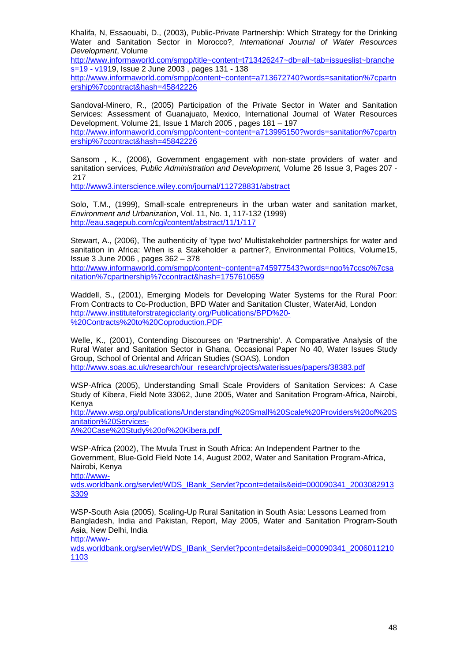Khalifa, N, Essaouabi, D., (2003), Public-Private Partnership: Which Strategy for the Drinking Water and Sanitation Sector in Morocco?, *International Journal of Water Resources Development*, Volume

[http://www.informaworld.com/smpp/title~content=t713426247~db=all~tab=issueslist~branche](http://www.informaworld.com/smpp/title%7Econtent=t713426247%7Edb=all%7Etab=issueslist%7Ebranches=19%20-%20v19) [s=19 - v191](http://www.informaworld.com/smpp/title%7Econtent=t713426247%7Edb=all%7Etab=issueslist%7Ebranches=19%20-%20v19)9, Issue 2 June 2003 , pages 131 - 138

[http://www.informaworld.com/smpp/content~content=a713672740?words=sanitation%7cpartn](http://www.informaworld.com/smpp/content%7Econtent=a713672740?words=sanitation%7cpartnership%7ccontract&hash=45842226) [ership%7ccontract&hash=45842226](http://www.informaworld.com/smpp/content%7Econtent=a713672740?words=sanitation%7cpartnership%7ccontract&hash=45842226)

Sandoval-Minero, R., (2005) Participation of the Private Sector in Water and Sanitation Services: Assessment of Guanajuato, Mexico, International Journal of Water Resources Development, Volume 21, Issue 1 March 2005 , pages 181 – 197

[http://www.informaworld.com/smpp/content~content=a713995150?words=sanitation%7cpartn](http://www.informaworld.com/smpp/content%7Econtent=a713995150?words=sanitation%7cpartnership%7ccontract&hash=45842226) [ership%7ccontract&hash=45842226](http://www.informaworld.com/smpp/content%7Econtent=a713995150?words=sanitation%7cpartnership%7ccontract&hash=45842226) 

Sansom , K., (2006), Government engagement with non-state providers of water and sanitation services, *Public Administration and Development,* Volume 26 Issue 3, Pages 207 - 217

<http://www3.interscience.wiley.com/journal/112728831/abstract>

Solo, T.M., (1999), Small-scale entrepreneurs in the urban water and sanitation market, *Environment and Urbanization*, Vol. 11, No. 1, 117-132 (1999) <http://eau.sagepub.com/cgi/content/abstract/11/1/117>

Stewart, A., (2006), The authenticity of 'type two' Multistakeholder partnerships for water and sanitation in Africa: When is a Stakeholder a partner?, Environmental Politics, Volume15, Issue 3 June 2006 , pages 362 – 378

[http://www.informaworld.com/smpp/content~content=a745977543?words=ngo%7ccso%7csa](http://www.informaworld.com/smpp/content%7Econtent=a745977543?words=ngo%7ccso%7csanitation%7cpartnership%7ccontract&hash=1757610659) [nitation%7cpartnership%7ccontract&hash=1757610659](http://www.informaworld.com/smpp/content%7Econtent=a745977543?words=ngo%7ccso%7csanitation%7cpartnership%7ccontract&hash=1757610659)

Waddell, S., (2001), Emerging Models for Developing Water Systems for the Rural Poor: From Contracts to Co-Production, BPD Water and Sanitation Cluster, WaterAid, London [http://www.instituteforstrategicclarity.org/Publications/BPD%20-](http://www.instituteforstrategicclarity.org/Publications/BPD%20-%20Contracts%20to%20Coproduction.PDF) [%20Contracts%20to%20Coproduction.PDF](http://www.instituteforstrategicclarity.org/Publications/BPD%20-%20Contracts%20to%20Coproduction.PDF)

Welle, K., (2001), Contending Discourses on 'Partnership'. A Comparative Analysis of the Rural Water and Sanitation Sector in Ghana, Occasional Paper No 40, Water Issues Study Group, School of Oriental and African Studies (SOAS), London [http://www.soas.ac.uk/research/our\\_research/projects/waterissues/papers/38383.pdf](http://www.soas.ac.uk/research/our_research/projects/waterissues/papers/38383.pdf)

WSP-Africa (2005), Understanding Small Scale Providers of Sanitation Services: A Case Study of Kiber*a*, Field Note 33062, June 2005, Water and Sanitation Program-Africa, Nairobi, Kenya

http://www.wsp.org/publications/Understanding%20Small%20Scale%20Providers%20of%20S anitation%20Services-

A%20Case%20Study%20of%20Kibera.pdf

WSP-Africa (2002), The Mvula Trust in South Africa: An Independent Partner to the Government, Blue-Gold Field Note 14, August 2002, Water and Sanitation Program-Africa, Nairobi, Kenya

http://www-

wds.worldbank.org/servlet/WDS\_IBank\_Servlet?pcont=details&eid=000090341\_2003082913 3309

WSP-South Asia (2005), Scaling-Up Rural Sanitation in South Asia: Lessons Learned from Bangladesh, India and Pakistan, Report, May 2005, Water and Sanitation Program-South Asia, New Delhi, India

http://www-

wds.worldbank.org/servlet/WDS\_IBank\_Servlet?pcont=details&eid=000090341\_2006011210 1103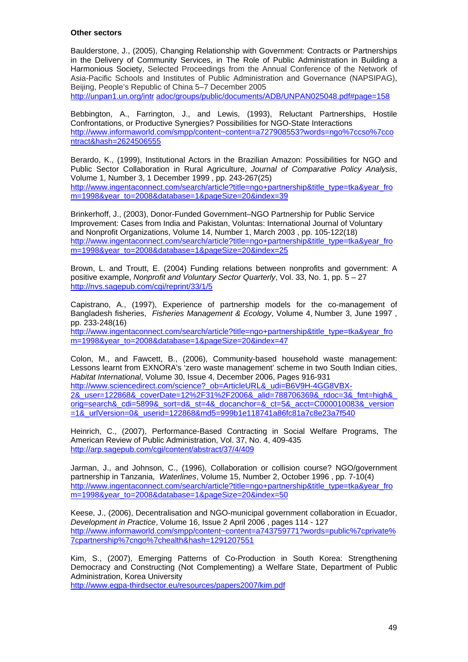#### **Other sectors**

Baulderstone, J., (2005), Changing Relationship with Government: Contracts or Partnerships in the Delivery of Community Services, in The Role of Public Administration in Building a Harmonious Society, Selected Proceedings from the Annual Conference of the Network of Asia-Pacific Schools and Institutes of Public Administration and Governance (NAPSIPAG), Beijing, People's Republic of China 5–7 December 2005

http://unpan1.un.org/intr [adoc/groups/public/documents/ADB/UNPAN025048.pdf#page=158](http://unpan1.un.org/intradoc/groups/public/documents/ADB/UNPAN025048.pdf#page=158) 

Bebbington, A., Farrington, J., and Lewis, (1993), Reluctant Partnerships, Hostile Confrontations, or Productive Synergies? Possibilities for NGO-State Interactions [http://www.informaworld.com/smpp/content~content=a727908553?words=ngo%7ccso%7cco](http://www.informaworld.com/smpp/content%7Econtent=a727908553?words=ngo%7ccso%7ccontract&hash=2624506555) [ntract&hash=2624506555](http://www.informaworld.com/smpp/content%7Econtent=a727908553?words=ngo%7ccso%7ccontract&hash=2624506555) 

Berardo, K., (1999), Institutional Actors in the Brazilian Amazon: Possibilities for NGO and Public Sector Collaboration in Rural Agriculture, *Journal of Comparative Policy Analysis*, Volume 1, Number 3, 1 December 1999 , pp. 243-267(25) [http://www.ingentaconnect.com/search/article?title=ngo+partnership&title\\_type=tka&year\\_fro](http://www.ingentaconnect.com/search/article?title=ngo+partnership&title_type=tka&year_from=1998&year_to=2008&database=1&pageSize=20&index=39) [m=1998&year\\_to=2008&database=1&pageSize=20&index=39](http://www.ingentaconnect.com/search/article?title=ngo+partnership&title_type=tka&year_from=1998&year_to=2008&database=1&pageSize=20&index=39) 

Brinkerhoff, J., (2003), Donor-Funded Government–NGO Partnership for Public Service Improvement: Cases from India and Pakistan, Voluntas: International Journal of Voluntary and Nonprofit Organizations, Volume 14, Number 1, March 2003 , pp. 105-122(18) [http://www.ingentaconnect.com/search/article?title=ngo+partnership&title\\_type=tka&year\\_fro](http://www.ingentaconnect.com/search/article?title=ngo+partnership&title_type=tka&year_from=1998&year_to=2008&database=1&pageSize=20&index=25) [m=1998&year\\_to=2008&database=1&pageSize=20&index=25](http://www.ingentaconnect.com/search/article?title=ngo+partnership&title_type=tka&year_from=1998&year_to=2008&database=1&pageSize=20&index=25) 

Brown, L. and Troutt, E. (2004) Funding relations between nonprofits and government: A positive example, *Nonprofit and Voluntary Sector Quarterly*, Vol. 33, No. 1, pp. 5 – 27 <http://nvs.sagepub.com/cgi/reprint/33/1/5>

Capistrano, A., (1997), Experience of partnership models for the co-management of Bangladesh fisheries, *Fisheries Management & Ecology*, Volume 4, Number 3, June 1997 , pp. 233-248(16)

[http://www.ingentaconnect.com/search/article?title=ngo+partnership&title\\_type=tka&year\\_fro](http://www.ingentaconnect.com/search/article?title=ngo+partnership&title_type=tka&year_from=1998&year_to=2008&database=1&pageSize=20&index=47) [m=1998&year\\_to=2008&database=1&pageSize=20&index=47](http://www.ingentaconnect.com/search/article?title=ngo+partnership&title_type=tka&year_from=1998&year_to=2008&database=1&pageSize=20&index=47) 

Colon, M., and Fawcett, B., (2006), Community-based household waste management: Lessons learnt from EXNORA's 'zero waste management' scheme in two South Indian cities, *Habitat International*, Volume 30, Issue 4, December 2006, Pages 916-931 [http://www.sciencedirect.com/science?\\_ob=ArticleURL&\\_udi=B6V9H-4GG8VBX-](http://www.sciencedirect.com/science?_ob=ArticleURL&_udi=B6V9H-4GG8VBX-2&_user=122868&_coverDate=12%2F31%2F2006&_alid=788706369&_rdoc=3&_fmt=high&_orig=search&_cdi=5899&_sort=d&_st=4&_docanchor=&_ct=5&_acct=C000010083&_version=1&_urlVersion=0&_userid=122868&md5=999b1e118741a86fc81a7c8e23a7f540)[2&\\_user=122868&\\_coverDate=12%2F31%2F2006&\\_alid=788706369&\\_rdoc=3&\\_fmt=high&\\_](http://www.sciencedirect.com/science?_ob=ArticleURL&_udi=B6V9H-4GG8VBX-2&_user=122868&_coverDate=12%2F31%2F2006&_alid=788706369&_rdoc=3&_fmt=high&_orig=search&_cdi=5899&_sort=d&_st=4&_docanchor=&_ct=5&_acct=C000010083&_version=1&_urlVersion=0&_userid=122868&md5=999b1e118741a86fc81a7c8e23a7f540) [orig=search&\\_cdi=5899&\\_sort=d&\\_st=4&\\_docanchor=&\\_ct=5&\\_acct=C000010083&\\_version](http://www.sciencedirect.com/science?_ob=ArticleURL&_udi=B6V9H-4GG8VBX-2&_user=122868&_coverDate=12%2F31%2F2006&_alid=788706369&_rdoc=3&_fmt=high&_orig=search&_cdi=5899&_sort=d&_st=4&_docanchor=&_ct=5&_acct=C000010083&_version=1&_urlVersion=0&_userid=122868&md5=999b1e118741a86fc81a7c8e23a7f540) [=1&\\_urlVersion=0&\\_userid=122868&md5=999b1e118741a86fc81a7c8e23a7f540](http://www.sciencedirect.com/science?_ob=ArticleURL&_udi=B6V9H-4GG8VBX-2&_user=122868&_coverDate=12%2F31%2F2006&_alid=788706369&_rdoc=3&_fmt=high&_orig=search&_cdi=5899&_sort=d&_st=4&_docanchor=&_ct=5&_acct=C000010083&_version=1&_urlVersion=0&_userid=122868&md5=999b1e118741a86fc81a7c8e23a7f540)

Heinrich, C., (2007), Performance-Based Contracting in Social Welfare Programs, The American Review of Public Administration, Vol. 37, No. 4, 409-435 <http://arp.sagepub.com/cgi/content/abstract/37/4/409>

Jarman, J., and Johnson, C., (1996), Collaboration or collision course? NGO/government partnership in Tanzania, *Waterlines*, Volume 15, Number 2, October 1996 , pp. 7-10(4) [http://www.ingentaconnect.com/search/article?title=ngo+partnership&title\\_type=tka&year\\_fro](http://www.ingentaconnect.com/search/article?title=ngo+partnership&title_type=tka&year_from=1998&year_to=2008&database=1&pageSize=20&index=50) [m=1998&year\\_to=2008&database=1&pageSize=20&index=50](http://www.ingentaconnect.com/search/article?title=ngo+partnership&title_type=tka&year_from=1998&year_to=2008&database=1&pageSize=20&index=50) 

Keese, J., (2006), Decentralisation and NGO-municipal government collaboration in Ecuador, *Development in Practice*, Volume 16, Issue 2 April 2006 , pages 114 - 127 [http://www.informaworld.com/smpp/content~content=a743759771?words=public%7cprivate%](http://www.informaworld.com/smpp/content%7Econtent=a743759771?words=public%7cprivate%7cpartnership%7cngo%7chealth&hash=1291207551) [7cpartnership%7cngo%7chealth&hash=1291207551](http://www.informaworld.com/smpp/content%7Econtent=a743759771?words=public%7cprivate%7cpartnership%7cngo%7chealth&hash=1291207551)

Kim, S., (2007), Emerging Patterns of Co-Production in South Korea: Strengthening Democracy and Constructing (Not Complementing) a Welfare State, Department of Public Administration, Korea University

<http://www.egpa-thirdsector.eu/resources/papers2007/kim.pdf>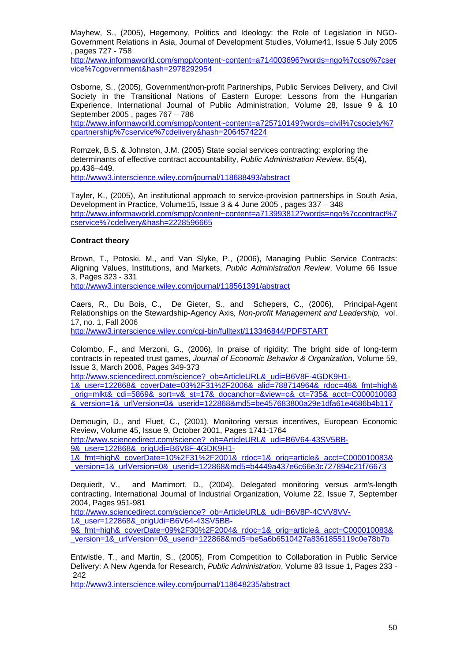Mayhew, S., (2005), Hegemony, Politics and Ideology: the Role of Legislation in NGO-Government Relations in Asia, Journal of Development Studies, Volume41, Issue 5 July 2005 , pages 727 - 758

[http://www.informaworld.com/smpp/content~content=a714003696?words=ngo%7ccso%7cser](http://www.informaworld.com/smpp/content%7Econtent=a714003696?words=ngo%7ccso%7cservice%7cgovernment&hash=2978292954) [vice%7cgovernment&hash=2978292954](http://www.informaworld.com/smpp/content%7Econtent=a714003696?words=ngo%7ccso%7cservice%7cgovernment&hash=2978292954)

Osborne, S., (2005), Government/non-profit Partnerships, Public Services Delivery, and Civil Society in the Transitional Nations of Eastern Europe: Lessons from the Hungarian Experience, International Journal of Public Administration, Volume 28, Issue 9 & 10 September 2005 , pages 767 – 786

[http://www.informaworld.com/smpp/content~content=a725710149?words=civil%7csociety%7](http://www.informaworld.com/smpp/content%7Econtent=a725710149?words=civil%7csociety%7cpartnership%7cservice%7cdelivery&hash=2064574224) [cpartnership%7cservice%7cdelivery&hash=2064574224](http://www.informaworld.com/smpp/content%7Econtent=a725710149?words=civil%7csociety%7cpartnership%7cservice%7cdelivery&hash=2064574224) 

Romzek, B.S. & Johnston, J.M. (2005) State social services contracting: exploring the determinants of effective contract accountability, *Public Administration Review*, 65(4), pp.436–449. <http://www3.interscience.wiley.com/journal/118688493/abstract>

Tayler, K., (2005), An institutional approach to service-provision partnerships in South Asia, Development in Practice, Volume15, Issue 3 & 4 June 2005 , pages 337 – 348 [http://www.informaworld.com/smpp/content~content=a713993812?words=ngo%7ccontract%7](http://www.informaworld.com/smpp/content%7Econtent=a713993812?words=ngo%7ccontract%7cservice%7cdelivery&hash=2228596665) [cservice%7cdelivery&hash=2228596665](http://www.informaworld.com/smpp/content%7Econtent=a713993812?words=ngo%7ccontract%7cservice%7cdelivery&hash=2228596665)

#### **Contract theory**

Brown, T., Potoski, M., and Van Slyke, P., (2006), Managing Public Service Contracts: Aligning Values, Institutions, and Markets, *Public Administration Review*, Volume 66 Issue 3, Pages 323 - 331

<http://www3.interscience.wiley.com/journal/118561391/abstract>

Caers, R., Du Bois, C., De Gieter, S., and Schepers, C., (2006), Principal-Agent Relationships on the Stewardship-Agency Axis*, Non-profit Management and Leadership,* vol. 17, no. 1, Fall 2006

<http://www3.interscience.wiley.com/cgi-bin/fulltext/113346844/PDFSTART>

Colombo, F., and Merzoni, G., (2006), In praise of rigidity: The bright side of long-term contracts in repeated trust games, *Journal of Economic Behavior & Organization,* Volume 59, Issue 3, March 2006, Pages 349-373

[http://www.sciencedirect.com/science?\\_ob=ArticleURL&\\_udi=B6V8F-4GDK9H1-](http://www.sciencedirect.com/science?_ob=ArticleURL&_udi=B6V8F-4GDK9H1-1&_user=122868&_coverDate=03%2F31%2F2006&_alid=788714964&_rdoc=48&_fmt=high&_orig=mlkt&_cdi=5869&_sort=v&_st=17&_docanchor=&view=c&_ct=735&_acct=C000010083&_version=1&_urlVersion=0&_userid=122868&md5=be457683800a29e1dfa61e4686b4b117)

[1&\\_user=122868&\\_coverDate=03%2F31%2F2006&\\_alid=788714964&\\_rdoc=48&\\_fmt=high&](http://www.sciencedirect.com/science?_ob=ArticleURL&_udi=B6V8F-4GDK9H1-1&_user=122868&_coverDate=03%2F31%2F2006&_alid=788714964&_rdoc=48&_fmt=high&_orig=mlkt&_cdi=5869&_sort=v&_st=17&_docanchor=&view=c&_ct=735&_acct=C000010083&_version=1&_urlVersion=0&_userid=122868&md5=be457683800a29e1dfa61e4686b4b117) [\\_orig=mlkt&\\_cdi=5869&\\_sort=v&\\_st=17&\\_docanchor=&view=c&\\_ct=735&\\_acct=C000010083](http://www.sciencedirect.com/science?_ob=ArticleURL&_udi=B6V8F-4GDK9H1-1&_user=122868&_coverDate=03%2F31%2F2006&_alid=788714964&_rdoc=48&_fmt=high&_orig=mlkt&_cdi=5869&_sort=v&_st=17&_docanchor=&view=c&_ct=735&_acct=C000010083&_version=1&_urlVersion=0&_userid=122868&md5=be457683800a29e1dfa61e4686b4b117) [&\\_version=1&\\_urlVersion=0&\\_userid=122868&md5=be457683800a29e1dfa61e4686b4b117](http://www.sciencedirect.com/science?_ob=ArticleURL&_udi=B6V8F-4GDK9H1-1&_user=122868&_coverDate=03%2F31%2F2006&_alid=788714964&_rdoc=48&_fmt=high&_orig=mlkt&_cdi=5869&_sort=v&_st=17&_docanchor=&view=c&_ct=735&_acct=C000010083&_version=1&_urlVersion=0&_userid=122868&md5=be457683800a29e1dfa61e4686b4b117)

Demougin, D., and Fluet, C., (2001), Monitoring versus incentives, European Economic Review, Volume 45, Issue 9, October 2001, Pages 1741-1764 [http://www.sciencedirect.com/science?\\_ob=ArticleURL&\\_udi=B6V64-43SV5BB-](http://www.sciencedirect.com/science?_ob=ArticleURL&_udi=B6V64-43SV5BB-9&_user=122868&_origUdi=B6V8F-4GDK9H1-1&_fmt=high&_coverDate=10%2F31%2F2001&_rdoc=1&_orig=article&_acct=C000010083&_version=1&_urlVersion=0&_userid=122868&md5=b4449a437e6c66e3c727894c21f76673)9& user=122868& origUdi=B6V8F-4GDK9H1-

[1&\\_fmt=high&\\_coverDate=10%2F31%2F2001&\\_rdoc=1&\\_orig=article&\\_acct=C000010083&](http://www.sciencedirect.com/science?_ob=ArticleURL&_udi=B6V64-43SV5BB-9&_user=122868&_origUdi=B6V8F-4GDK9H1-1&_fmt=high&_coverDate=10%2F31%2F2001&_rdoc=1&_orig=article&_acct=C000010083&_version=1&_urlVersion=0&_userid=122868&md5=b4449a437e6c66e3c727894c21f76673) [\\_version=1&\\_urlVersion=0&\\_userid=122868&md5=b4449a437e6c66e3c727894c21f76673](http://www.sciencedirect.com/science?_ob=ArticleURL&_udi=B6V64-43SV5BB-9&_user=122868&_origUdi=B6V8F-4GDK9H1-1&_fmt=high&_coverDate=10%2F31%2F2001&_rdoc=1&_orig=article&_acct=C000010083&_version=1&_urlVersion=0&_userid=122868&md5=b4449a437e6c66e3c727894c21f76673)

Dequiedt, V., and Martimort, D., (2004), Delegated monitoring versus arm's-length contracting, International Journal of Industrial Organization, Volume 22, Issue 7, September 2004, Pages 951-981

[http://www.sciencedirect.com/science?\\_ob=ArticleURL&\\_udi=B6V8P-4CVV8VV-](http://www.sciencedirect.com/science?_ob=ArticleURL&_udi=B6V8P-4CVV8VV-1&_user=122868&_origUdi=B6V64-43SV5BB-9&_fmt=high&_coverDate=09%2F30%2F2004&_rdoc=1&_orig=article&_acct=C000010083&_version=1&_urlVersion=0&_userid=122868&md5=be5a6b6510427a8361855119c0e78b7b)[1&\\_user=122868&\\_origUdi=B6V64-43SV5BB-](http://www.sciencedirect.com/science?_ob=ArticleURL&_udi=B6V8P-4CVV8VV-1&_user=122868&_origUdi=B6V64-43SV5BB-9&_fmt=high&_coverDate=09%2F30%2F2004&_rdoc=1&_orig=article&_acct=C000010083&_version=1&_urlVersion=0&_userid=122868&md5=be5a6b6510427a8361855119c0e78b7b)[9&\\_fmt=high&\\_coverDate=09%2F30%2F2004&\\_rdoc=1&\\_orig=article&\\_acct=C000010083&](http://www.sciencedirect.com/science?_ob=ArticleURL&_udi=B6V8P-4CVV8VV-1&_user=122868&_origUdi=B6V64-43SV5BB-9&_fmt=high&_coverDate=09%2F30%2F2004&_rdoc=1&_orig=article&_acct=C000010083&_version=1&_urlVersion=0&_userid=122868&md5=be5a6b6510427a8361855119c0e78b7b)

Entwistle, T., and Martin, S., (2005), From Competition to Collaboration in Public Service Delivery: A New Agenda for Research, *Public Administration*, Volume 83 Issue 1, Pages 233 - 242

[\\_version=1&\\_urlVersion=0&\\_userid=122868&md5=be5a6b6510427a8361855119c0e78b7b](http://www.sciencedirect.com/science?_ob=ArticleURL&_udi=B6V8P-4CVV8VV-1&_user=122868&_origUdi=B6V64-43SV5BB-9&_fmt=high&_coverDate=09%2F30%2F2004&_rdoc=1&_orig=article&_acct=C000010083&_version=1&_urlVersion=0&_userid=122868&md5=be5a6b6510427a8361855119c0e78b7b) 

<http://www3.interscience.wiley.com/journal/118648235/abstract>